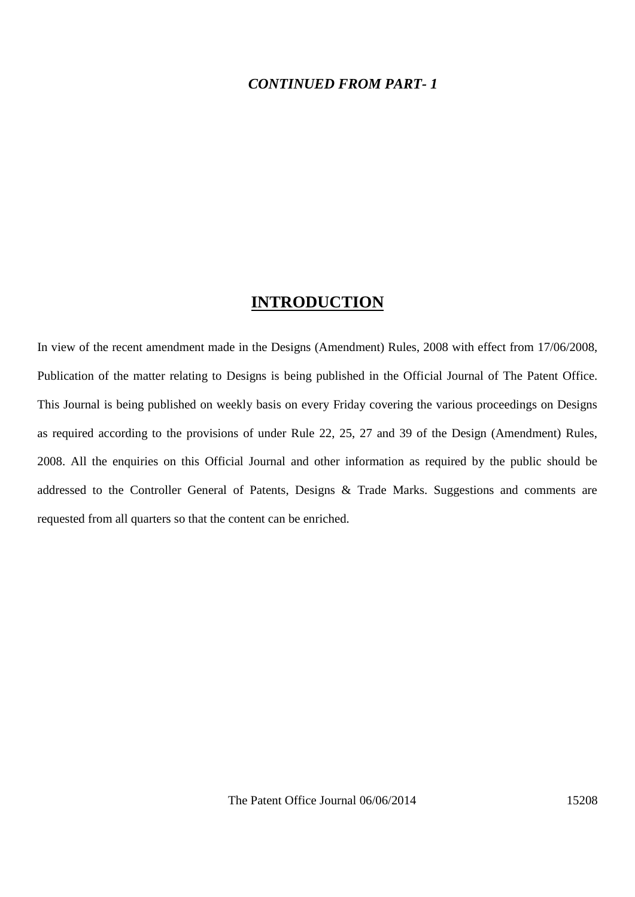#### *CONTINUED FROM PART- 1*

## **INTRODUCTION**

In view of the recent amendment made in the Designs (Amendment) Rules, 2008 with effect from 17/06/2008, Publication of the matter relating to Designs is being published in the Official Journal of The Patent Office. This Journal is being published on weekly basis on every Friday covering the various proceedings on Designs as required according to the provisions of under Rule 22, 25, 27 and 39 of the Design (Amendment) Rules, 2008. All the enquiries on this Official Journal and other information as required by the public should be addressed to the Controller General of Patents, Designs & Trade Marks. Suggestions and comments are requested from all quarters so that the content can be enriched.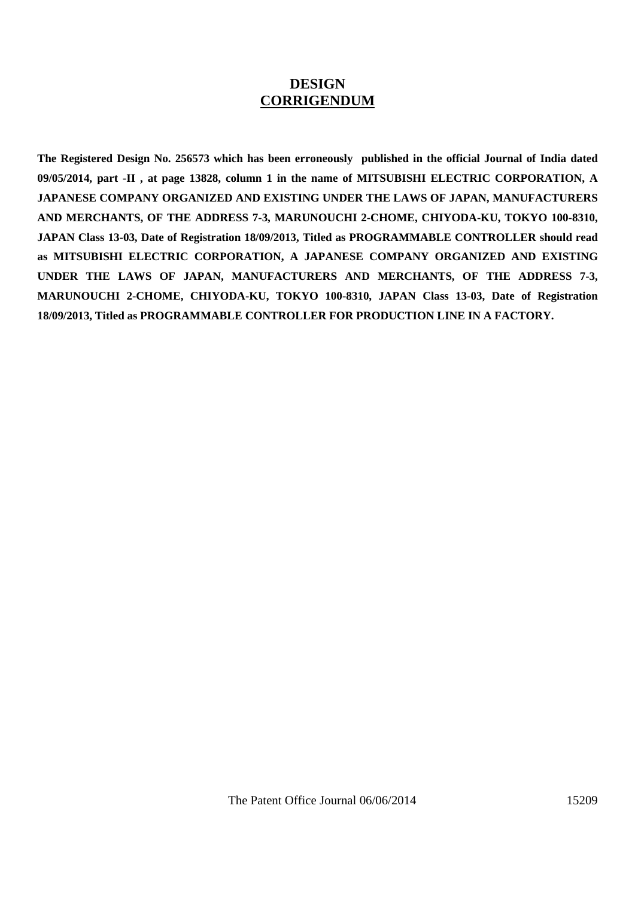### **DESIGN CORRIGENDUM**

**The Registered Design No. 256573 which has been erroneously published in the official Journal of India dated 09/05/2014, part -II , at page 13828, column 1 in the name of MITSUBISHI ELECTRIC CORPORATION, A JAPANESE COMPANY ORGANIZED AND EXISTING UNDER THE LAWS OF JAPAN, MANUFACTURERS AND MERCHANTS, OF THE ADDRESS 7-3, MARUNOUCHI 2-CHOME, CHIYODA-KU, TOKYO 100-8310, JAPAN Class 13-03, Date of Registration 18/09/2013, Titled as PROGRAMMABLE CONTROLLER should read as MITSUBISHI ELECTRIC CORPORATION, A JAPANESE COMPANY ORGANIZED AND EXISTING UNDER THE LAWS OF JAPAN, MANUFACTURERS AND MERCHANTS, OF THE ADDRESS 7-3, MARUNOUCHI 2-CHOME, CHIYODA-KU, TOKYO 100-8310, JAPAN Class 13-03, Date of Registration 18/09/2013, Titled as PROGRAMMABLE CONTROLLER FOR PRODUCTION LINE IN A FACTORY.**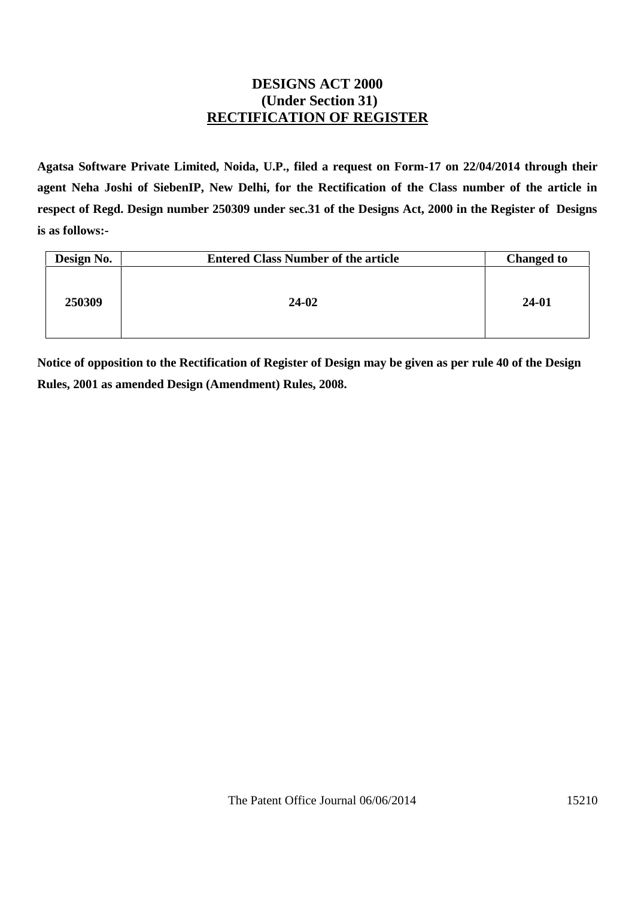## **DESIGNS ACT 2000 (Under Section 31) RECTIFICATION OF REGISTER**

**Agatsa Software Private Limited, Noida, U.P., filed a request on Form-17 on 22/04/2014 through their agent Neha Joshi of SiebenIP, New Delhi, for the Rectification of the Class number of the article in respect of Regd. Design number 250309 under sec.31 of the Designs Act, 2000 in the Register of Designs is as follows:-**

| Design No. | <b>Entered Class Number of the article</b> | <b>Changed to</b> |
|------------|--------------------------------------------|-------------------|
| 250309     | 24-02                                      | 24-01             |

**Notice of opposition to the Rectification of Register of Design may be given as per rule 40 of the Design Rules, 2001 as amended Design (Amendment) Rules, 2008.**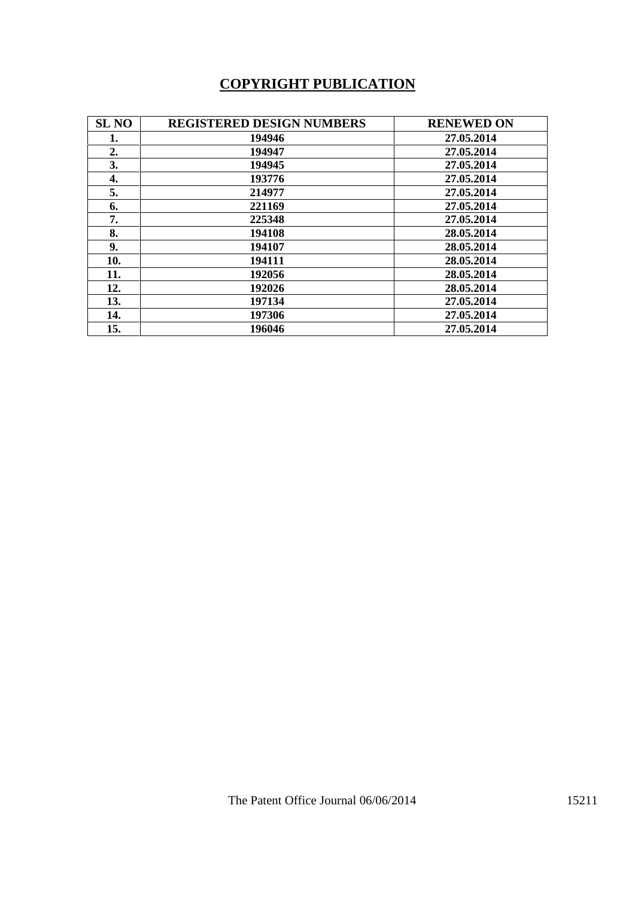# **COPYRIGHT PUBLICATION**

| <b>SL NO</b> | <b>REGISTERED DESIGN NUMBERS</b> | <b>RENEWED ON</b> |
|--------------|----------------------------------|-------------------|
| 1.           | 194946                           | 27.05.2014        |
| 2.           | 194947                           | 27.05.2014        |
| 3.           | 194945                           | 27.05.2014        |
| 4.           | 193776                           | 27.05.2014        |
| 5.           | 214977                           | 27.05.2014        |
| 6.           | 221169                           | 27.05.2014        |
| 7.           | 225348                           | 27.05.2014        |
| 8.           | 194108                           | 28.05.2014        |
| 9.           | 194107                           | 28.05.2014        |
| 10.          | 194111                           | 28.05.2014        |
| 11.          | 192056                           | 28.05.2014        |
| 12.          | 192026                           | 28.05.2014        |
| 13.          | 197134                           | 27.05.2014        |
| 14.          | 197306                           | 27.05.2014        |
| 15.          | 196046                           | 27.05.2014        |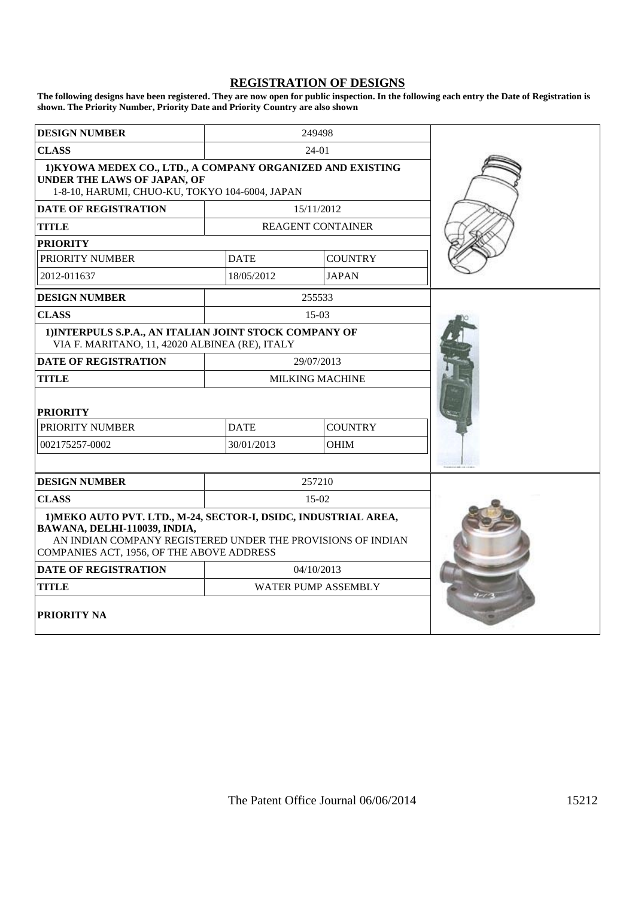#### **REGISTRATION OF DESIGNS**

**The following designs have been registered. They are now open for public inspection. In the following each entry the Date of Registration is shown. The Priority Number, Priority Date and Priority Country are also shown**

| <b>DESIGN NUMBER</b>                                                                                                                                                                                        |             | 249498                   |  |  |  |
|-------------------------------------------------------------------------------------------------------------------------------------------------------------------------------------------------------------|-------------|--------------------------|--|--|--|
| <b>CLASS</b>                                                                                                                                                                                                | 24-01       |                          |  |  |  |
| 1) KYOWA MEDEX CO., LTD., A COMPANY ORGANIZED AND EXISTING<br><b>UNDER THE LAWS OF JAPAN, OF</b><br>1-8-10, HARUMI, CHUO-KU, TOKYO 104-6004, JAPAN                                                          |             |                          |  |  |  |
| <b>DATE OF REGISTRATION</b>                                                                                                                                                                                 |             | 15/11/2012               |  |  |  |
| <b>TITLE</b>                                                                                                                                                                                                |             | <b>REAGENT CONTAINER</b> |  |  |  |
| <b>PRIORITY</b>                                                                                                                                                                                             |             |                          |  |  |  |
| PRIORITY NUMBER                                                                                                                                                                                             | <b>DATE</b> | <b>COUNTRY</b>           |  |  |  |
| 2012-011637                                                                                                                                                                                                 | 18/05/2012  | <b>JAPAN</b>             |  |  |  |
| <b>DESIGN NUMBER</b>                                                                                                                                                                                        |             | 255533                   |  |  |  |
| <b>CLASS</b>                                                                                                                                                                                                |             | 15-03                    |  |  |  |
| 1) INTERPULS S.P.A., AN ITALIAN JOINT STOCK COMPANY OF<br>VIA F. MARITANO, 11, 42020 ALBINEA (RE), ITALY                                                                                                    |             |                          |  |  |  |
| <b>DATE OF REGISTRATION</b>                                                                                                                                                                                 |             | 29/07/2013               |  |  |  |
| <b>TITLE</b>                                                                                                                                                                                                |             | <b>MILKING MACHINE</b>   |  |  |  |
| <b>PRIORITY</b>                                                                                                                                                                                             |             |                          |  |  |  |
| PRIORITY NUMBER                                                                                                                                                                                             | <b>DATE</b> | <b>COUNTRY</b>           |  |  |  |
| 002175257-0002                                                                                                                                                                                              | 30/01/2013  | <b>OHIM</b>              |  |  |  |
|                                                                                                                                                                                                             |             |                          |  |  |  |
| <b>DESIGN NUMBER</b>                                                                                                                                                                                        |             | 257210                   |  |  |  |
| <b>CLASS</b>                                                                                                                                                                                                |             | 15-02                    |  |  |  |
| 1) MEKO AUTO PVT. LTD., M-24, SECTOR-I, DSIDC, INDUSTRIAL AREA,<br>BAWANA, DELHI-110039, INDIA,<br>AN INDIAN COMPANY REGISTERED UNDER THE PROVISIONS OF INDIAN<br>COMPANIES ACT, 1956, OF THE ABOVE ADDRESS |             |                          |  |  |  |
| <b>DATE OF REGISTRATION</b>                                                                                                                                                                                 | 04/10/2013  |                          |  |  |  |
| <b>TITLE</b>                                                                                                                                                                                                |             | WATER PUMP ASSEMBLY      |  |  |  |
| <b>PRIORITY NA</b>                                                                                                                                                                                          |             |                          |  |  |  |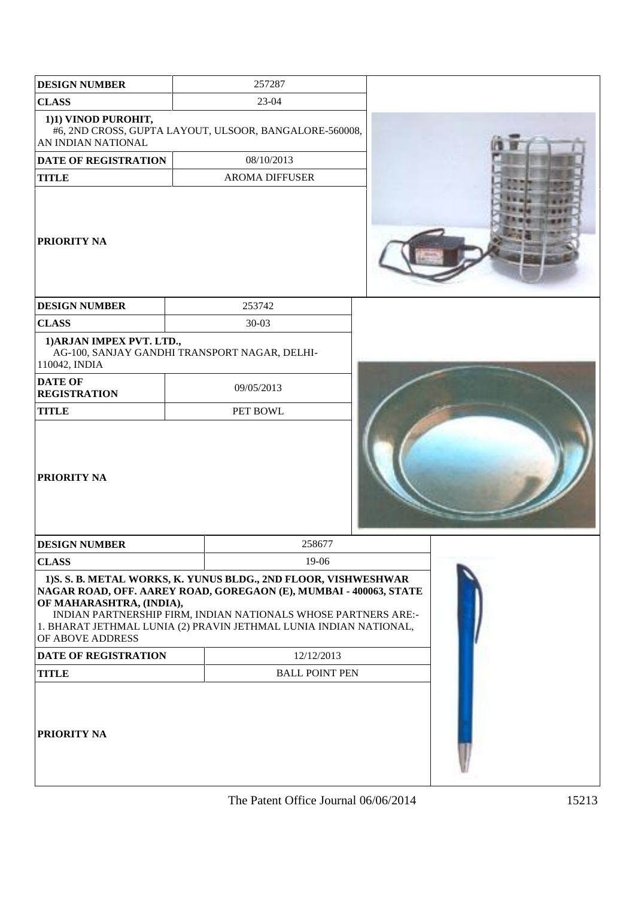| <b>DESIGN NUMBER</b>                                                                                                                                                                   |            | 257287                                                                                                                            |  |  |  |
|----------------------------------------------------------------------------------------------------------------------------------------------------------------------------------------|------------|-----------------------------------------------------------------------------------------------------------------------------------|--|--|--|
| <b>CLASS</b>                                                                                                                                                                           |            | 23-04                                                                                                                             |  |  |  |
| 1)1) VINOD PUROHIT,<br>AN INDIAN NATIONAL                                                                                                                                              |            | #6, 2ND CROSS, GUPTA LAYOUT, ULSOOR, BANGALORE-560008,                                                                            |  |  |  |
| DATE OF REGISTRATION                                                                                                                                                                   |            | 08/10/2013                                                                                                                        |  |  |  |
| <b>TITLE</b>                                                                                                                                                                           |            | <b>AROMA DIFFUSER</b>                                                                                                             |  |  |  |
| <b>PRIORITY NA</b>                                                                                                                                                                     |            |                                                                                                                                   |  |  |  |
| <b>DESIGN NUMBER</b>                                                                                                                                                                   |            | 253742                                                                                                                            |  |  |  |
| <b>CLASS</b>                                                                                                                                                                           |            | 30-03                                                                                                                             |  |  |  |
| 1) ARJAN IMPEX PVT. LTD.,<br>AG-100, SANJAY GANDHI TRANSPORT NAGAR, DELHI-<br>110042, INDIA                                                                                            |            |                                                                                                                                   |  |  |  |
| <b>DATE OF</b><br><b>REGISTRATION</b>                                                                                                                                                  | 09/05/2013 |                                                                                                                                   |  |  |  |
| <b>TITLE</b>                                                                                                                                                                           |            | PET BOWL                                                                                                                          |  |  |  |
| <b>PRIORITY NA</b>                                                                                                                                                                     |            |                                                                                                                                   |  |  |  |
| <b>DESIGN NUMBER</b>                                                                                                                                                                   |            | 258677                                                                                                                            |  |  |  |
| <b>CLASS</b>                                                                                                                                                                           |            | 19-06                                                                                                                             |  |  |  |
| NAGAR ROAD, OFF. AAREY ROAD, GOREGAON (E), MUMBAI - 400063, STATE<br>OF MAHARASHTRA, (INDIA),<br>1. BHARAT JETHMAL LUNIA (2) PRAVIN JETHMAL LUNIA INDIAN NATIONAL,<br>OF ABOVE ADDRESS |            | 1) S. S. B. METAL WORKS, K. YUNUS BLDG., 2ND FLOOR, VISHWESHWAR<br>INDIAN PARTNERSHIP FIRM, INDIAN NATIONALS WHOSE PARTNERS ARE:- |  |  |  |
| <b>DATE OF REGISTRATION</b>                                                                                                                                                            |            | 12/12/2013                                                                                                                        |  |  |  |
| <b>TITLE</b>                                                                                                                                                                           |            | <b>BALL POINT PEN</b>                                                                                                             |  |  |  |
| <b>PRIORITY NA</b>                                                                                                                                                                     |            |                                                                                                                                   |  |  |  |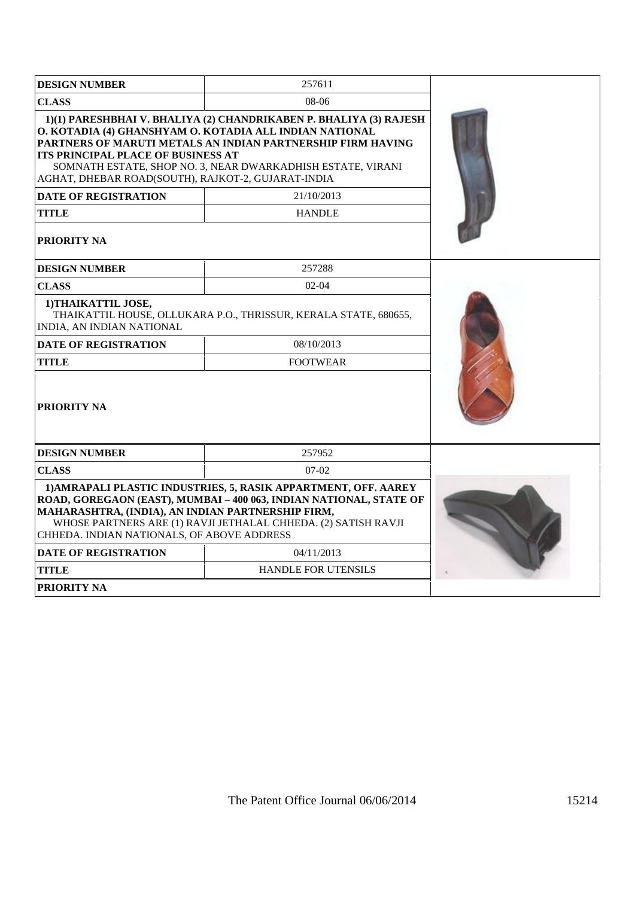| <b>DESIGN NUMBER</b>                                                                            | 257611                                                                                                                                                                                                                                                      |  |
|-------------------------------------------------------------------------------------------------|-------------------------------------------------------------------------------------------------------------------------------------------------------------------------------------------------------------------------------------------------------------|--|
| <b>CLASS</b>                                                                                    |                                                                                                                                                                                                                                                             |  |
| <b>ITS PRINCIPAL PLACE OF BUSINESS AT</b><br>AGHAT, DHEBAR ROAD(SOUTH), RAJKOT-2, GUJARAT-INDIA | 1)(1) PARESHBHAI V. BHALIYA (2) CHANDRIKABEN P. BHALIYA (3) RAJESH<br>O. KOTADIA (4) GHANSHYAM O. KOTADIA ALL INDIAN NATIONAL<br>PARTNERS OF MARUTI METALS AN INDIAN PARTNERSHIP FIRM HAVING<br>SOMNATH ESTATE, SHOP NO. 3, NEAR DWARKADHISH ESTATE, VIRANI |  |
| <b>DATE OF REGISTRATION</b>                                                                     | 21/10/2013                                                                                                                                                                                                                                                  |  |
| <b>TITLE</b>                                                                                    | <b>HANDLE</b>                                                                                                                                                                                                                                               |  |
| <b>PRIORITY NA</b>                                                                              |                                                                                                                                                                                                                                                             |  |
| <b>DESIGN NUMBER</b>                                                                            | 257288                                                                                                                                                                                                                                                      |  |
| <b>CLASS</b>                                                                                    | $02-04$                                                                                                                                                                                                                                                     |  |
| 1) THAIKATTIL JOSE,<br>INDIA, AN INDIAN NATIONAL                                                | THAIKATTIL HOUSE, OLLUKARA P.O., THRISSUR, KERALA STATE, 680655,                                                                                                                                                                                            |  |
| <b>DATE OF REGISTRATION</b>                                                                     | 08/10/2013                                                                                                                                                                                                                                                  |  |
| <b>TITLE</b>                                                                                    | <b>FOOTWEAR</b>                                                                                                                                                                                                                                             |  |
| <b>PRIORITY NA</b>                                                                              |                                                                                                                                                                                                                                                             |  |
| <b>DESIGN NUMBER</b>                                                                            | 257952                                                                                                                                                                                                                                                      |  |
| <b>CLASS</b>                                                                                    | $07-02$                                                                                                                                                                                                                                                     |  |
| MAHARASHTRA, (INDIA), AN INDIAN PARTNERSHIP FIRM,<br>CHHEDA. INDIAN NATIONALS, OF ABOVE ADDRESS | 1) AMRAPALI PLASTIC INDUSTRIES, 5, RASIK APPARTMENT, OFF. AAREY<br>ROAD, GOREGAON (EAST), MUMBAI - 400 063, INDIAN NATIONAL, STATE OF<br>WHOSE PARTNERS ARE (1) RAVJI JETHALAL CHHEDA. (2) SATISH RAVJI                                                     |  |
| <b>DATE OF REGISTRATION</b>                                                                     | 04/11/2013                                                                                                                                                                                                                                                  |  |
| <b>TITLE</b>                                                                                    | <b>HANDLE FOR UTENSILS</b>                                                                                                                                                                                                                                  |  |
| <b>PRIORITY NA</b>                                                                              |                                                                                                                                                                                                                                                             |  |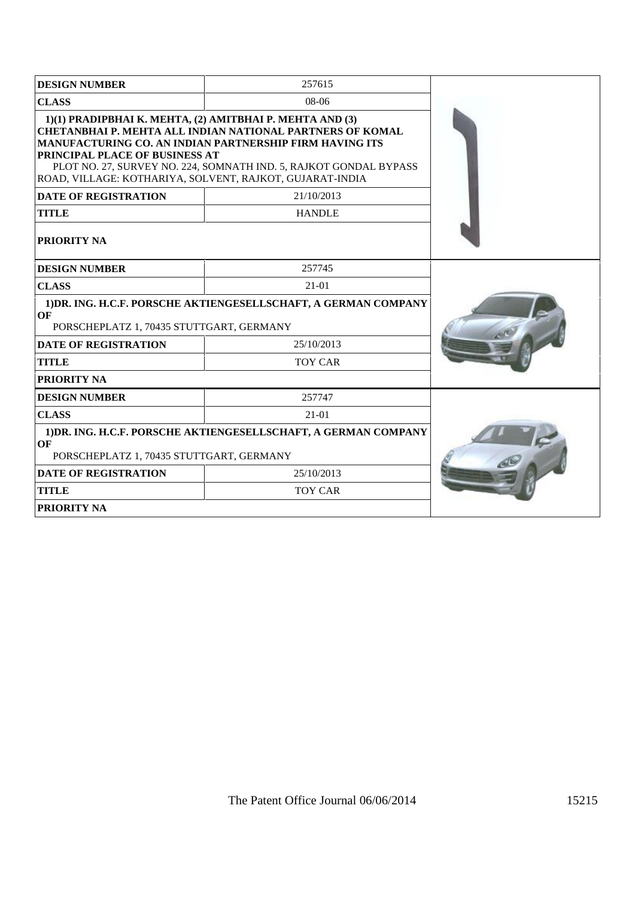| <b>DESIGN NUMBER</b>                                                                                                                                   | 257615                                                                                                                                                                                                  |  |
|--------------------------------------------------------------------------------------------------------------------------------------------------------|---------------------------------------------------------------------------------------------------------------------------------------------------------------------------------------------------------|--|
| <b>CLASS</b>                                                                                                                                           |                                                                                                                                                                                                         |  |
| 1)(1) PRADIPBHAI K. MEHTA, (2) AMITBHAI P. MEHTA AND (3)<br>PRINCIPAL PLACE OF BUSINESS AT<br>ROAD, VILLAGE: KOTHARIYA, SOLVENT, RAJKOT, GUJARAT-INDIA | <b>CHETANBHAI P. MEHTA ALL INDIAN NATIONAL PARTNERS OF KOMAL</b><br><b>MANUFACTURING CO. AN INDIAN PARTNERSHIP FIRM HAVING ITS</b><br>PLOT NO. 27, SURVEY NO. 224, SOMNATH IND. 5, RAJKOT GONDAL BYPASS |  |
| <b>DATE OF REGISTRATION</b>                                                                                                                            | 21/10/2013                                                                                                                                                                                              |  |
| <b>TITLE</b>                                                                                                                                           | <b>HANDLE</b>                                                                                                                                                                                           |  |
| <b>PRIORITY NA</b>                                                                                                                                     |                                                                                                                                                                                                         |  |
| <b>DESIGN NUMBER</b>                                                                                                                                   | 257745                                                                                                                                                                                                  |  |
| <b>CLASS</b>                                                                                                                                           | $21-01$                                                                                                                                                                                                 |  |
| 1) DR. ING. H.C.F. PORSCHE AKTIENGESELLSCHAFT, A GERMAN COMPANY<br>OF<br>PORSCHEPLATZ 1, 70435 STUTTGART, GERMANY                                      |                                                                                                                                                                                                         |  |
| <b>DATE OF REGISTRATION</b>                                                                                                                            |                                                                                                                                                                                                         |  |
| <b>TITLE</b>                                                                                                                                           |                                                                                                                                                                                                         |  |
| <b>PRIORITY NA</b>                                                                                                                                     |                                                                                                                                                                                                         |  |
| <b>DESIGN NUMBER</b>                                                                                                                                   | 257747                                                                                                                                                                                                  |  |
| <b>CLASS</b>                                                                                                                                           | $21-01$                                                                                                                                                                                                 |  |
| 1) DR. ING. H.C.F. PORSCHE AKTIENGESELLSCHAFT, A GERMAN COMPANY<br>OF<br>PORSCHEPLATZ 1, 70435 STUTTGART, GERMANY                                      |                                                                                                                                                                                                         |  |
| <b>DATE OF REGISTRATION</b>                                                                                                                            | 25/10/2013                                                                                                                                                                                              |  |
| <b>TITLE</b>                                                                                                                                           | <b>TOY CAR</b>                                                                                                                                                                                          |  |
| <b>PRIORITY NA</b>                                                                                                                                     |                                                                                                                                                                                                         |  |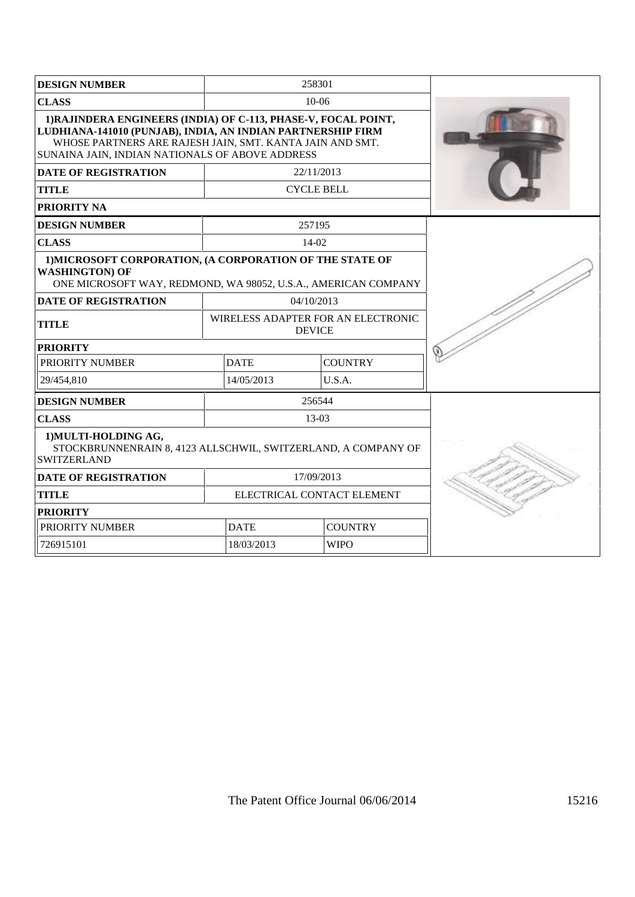| <b>DESIGN NUMBER</b>                                                                                                                                                                                                                         | 258301     |                                                     |                |  |
|----------------------------------------------------------------------------------------------------------------------------------------------------------------------------------------------------------------------------------------------|------------|-----------------------------------------------------|----------------|--|
| <b>CLASS</b>                                                                                                                                                                                                                                 |            | $10-06$                                             |                |  |
| 1) RAJINDERA ENGINEERS (INDIA) OF C-113, PHASE-V, FOCAL POINT,<br>LUDHIANA-141010 (PUNJAB), INDIA, AN INDIAN PARTNERSHIP FIRM<br>WHOSE PARTNERS ARE RAJESH JAIN, SMT. KANTA JAIN AND SMT.<br>SUNAINA JAIN, INDIAN NATIONALS OF ABOVE ADDRESS |            |                                                     |                |  |
| <b>DATE OF REGISTRATION</b>                                                                                                                                                                                                                  |            | 22/11/2013                                          |                |  |
| <b>TITLE</b>                                                                                                                                                                                                                                 |            | <b>CYCLE BELL</b>                                   |                |  |
| <b>PRIORITY NA</b>                                                                                                                                                                                                                           |            |                                                     |                |  |
| <b>DESIGN NUMBER</b>                                                                                                                                                                                                                         |            | 257195                                              |                |  |
| <b>CLASS</b>                                                                                                                                                                                                                                 |            | $14-02$                                             |                |  |
| 1) MICROSOFT CORPORATION, (A CORPORATION OF THE STATE OF<br><b>WASHINGTON) OF</b><br>ONE MICROSOFT WAY, REDMOND, WA 98052, U.S.A., AMERICAN COMPANY                                                                                          |            |                                                     |                |  |
| <b>DATE OF REGISTRATION</b>                                                                                                                                                                                                                  | 04/10/2013 |                                                     |                |  |
| <b>TITLE</b>                                                                                                                                                                                                                                 |            | WIRELESS ADAPTER FOR AN ELECTRONIC<br><b>DEVICE</b> |                |  |
| <b>PRIORITY</b>                                                                                                                                                                                                                              |            |                                                     |                |  |
| PRIORITY NUMBER                                                                                                                                                                                                                              |            | <b>DATE</b>                                         | <b>COUNTRY</b> |  |
| 29/454,810                                                                                                                                                                                                                                   |            | 14/05/2013                                          | U.S.A.         |  |
| <b>DESIGN NUMBER</b><br>256544                                                                                                                                                                                                               |            |                                                     |                |  |
| 13-03<br><b>CLASS</b>                                                                                                                                                                                                                        |            |                                                     |                |  |
| 1) MULTI-HOLDING AG,<br>STOCKBRUNNENRAIN 8, 4123 ALLSCHWIL, SWITZERLAND, A COMPANY OF<br><b>SWITZERLAND</b>                                                                                                                                  |            |                                                     |                |  |
| <b>DATE OF REGISTRATION</b>                                                                                                                                                                                                                  |            | 17/09/2013                                          |                |  |
| <b>TITLE</b>                                                                                                                                                                                                                                 |            | ELECTRICAL CONTACT ELEMENT                          |                |  |
| <b>PRIORITY</b>                                                                                                                                                                                                                              |            |                                                     |                |  |
| PRIORITY NUMBER                                                                                                                                                                                                                              |            | <b>DATE</b>                                         | <b>COUNTRY</b> |  |
| 726915101                                                                                                                                                                                                                                    |            | 18/03/2013                                          | <b>WIPO</b>    |  |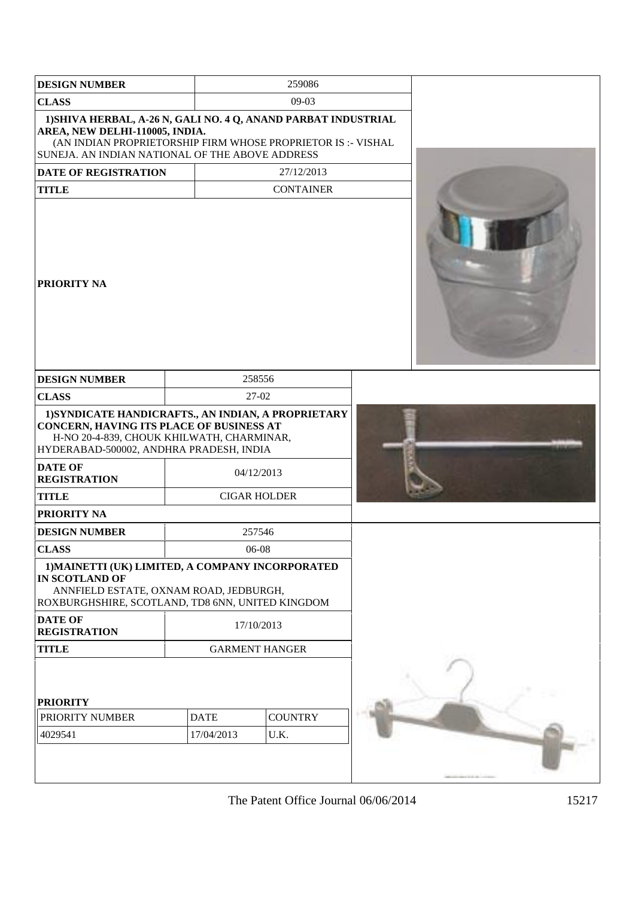| <b>DESIGN NUMBER</b>                                                                                                                                                                                                |                           | 259086                 |  |
|---------------------------------------------------------------------------------------------------------------------------------------------------------------------------------------------------------------------|---------------------------|------------------------|--|
| <b>CLASS</b>                                                                                                                                                                                                        |                           | $09-03$                |  |
| 1) SHIVA HERBAL, A-26 N, GALI NO. 4 Q, ANAND PARBAT INDUSTRIAL<br>AREA, NEW DELHI-110005, INDIA.<br>(AN INDIAN PROPRIETORSHIP FIRM WHOSE PROPRIETOR IS :- VISHAL<br>SUNEJA. AN INDIAN NATIONAL OF THE ABOVE ADDRESS |                           |                        |  |
| <b>DATE OF REGISTRATION</b>                                                                                                                                                                                         |                           | 27/12/2013             |  |
| <b>TITLE</b>                                                                                                                                                                                                        |                           | <b>CONTAINER</b>       |  |
| <b>PRIORITY NA</b>                                                                                                                                                                                                  |                           |                        |  |
| <b>DESIGN NUMBER</b>                                                                                                                                                                                                |                           | 258556                 |  |
| <b>CLASS</b>                                                                                                                                                                                                        |                           | 27-02                  |  |
| 1) SYNDICATE HANDICRAFTS., AN INDIAN, A PROPRIETARY<br>CONCERN, HAVING ITS PLACE OF BUSINESS AT<br>H-NO 20-4-839, CHOUK KHILWATH, CHARMINAR,<br>HYDERABAD-500002, ANDHRA PRADESH, INDIA                             |                           |                        |  |
| <b>DATE OF</b><br><b>REGISTRATION</b>                                                                                                                                                                               |                           | 04/12/2013             |  |
| <b>TITLE</b>                                                                                                                                                                                                        |                           | <b>CIGAR HOLDER</b>    |  |
| <b>PRIORITY NA</b>                                                                                                                                                                                                  |                           |                        |  |
| <b>DESIGN NUMBER</b>                                                                                                                                                                                                |                           | 257546                 |  |
| <b>CLASS</b>                                                                                                                                                                                                        |                           | 06-08                  |  |
| 1) MAINETTI (UK) LIMITED, A COMPANY INCORPORATED<br><b>IN SCOTLAND OF</b><br>ANNFIELD ESTATE, OXNAM ROAD, JEDBURGH,<br>ROXBURGHSHIRE, SCOTLAND, TD8 6NN, UNITED KINGDOM                                             |                           |                        |  |
| <b>DATE OF</b><br><b>REGISTRATION</b>                                                                                                                                                                               |                           | 17/10/2013             |  |
| <b>TITLE</b>                                                                                                                                                                                                        |                           | <b>GARMENT HANGER</b>  |  |
| <b>PRIORITY</b><br>PRIORITY NUMBER<br>4029541                                                                                                                                                                       | <b>DATE</b><br>17/04/2013 | <b>COUNTRY</b><br>U.K. |  |
|                                                                                                                                                                                                                     |                           |                        |  |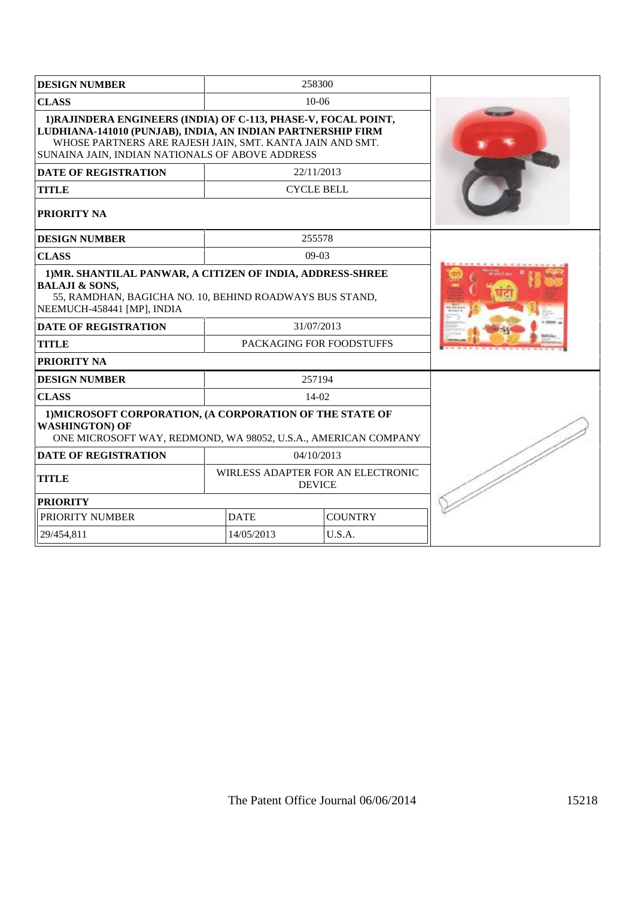| <b>DESIGN NUMBER</b>                                                                                                                                                                                                                                                      |             | 258300            |  |
|---------------------------------------------------------------------------------------------------------------------------------------------------------------------------------------------------------------------------------------------------------------------------|-------------|-------------------|--|
| <b>CLASS</b>                                                                                                                                                                                                                                                              |             |                   |  |
| 1) RAJINDERA ENGINEERS (INDIA) OF C-113, PHASE-V, FOCAL POINT,<br>LUDHIANA-141010 (PUNJAB), INDIA, AN INDIAN PARTNERSHIP FIRM<br>WHOSE PARTNERS ARE RAJESH JAIN, SMT. KANTA JAIN AND SMT.<br>SUNAINA JAIN, INDIAN NATIONALS OF ABOVE ADDRESS                              |             |                   |  |
| <b>DATE OF REGISTRATION</b>                                                                                                                                                                                                                                               |             | 22/11/2013        |  |
| <b>TITLE</b>                                                                                                                                                                                                                                                              |             | <b>CYCLE BELL</b> |  |
| <b>PRIORITY NA</b>                                                                                                                                                                                                                                                        |             |                   |  |
| <b>DESIGN NUMBER</b>                                                                                                                                                                                                                                                      |             | 255578            |  |
| <b>CLASS</b>                                                                                                                                                                                                                                                              |             | $09-03$           |  |
| 1) MR. SHANTILAL PANWAR, A CITIZEN OF INDIA, ADDRESS-SHREE<br><b>BALAJI &amp; SONS,</b><br>55, RAMDHAN, BAGICHA NO. 10, BEHIND ROADWAYS BUS STAND,<br>NEEMUCH-458441 [MP], INDIA<br>31/07/2013<br><b>DATE OF REGISTRATION</b><br><b>TITLE</b><br>PACKAGING FOR FOODSTUFFS |             |                   |  |
| <b>PRIORITY NA</b>                                                                                                                                                                                                                                                        |             |                   |  |
| <b>DESIGN NUMBER</b>                                                                                                                                                                                                                                                      |             | 257194            |  |
| <b>CLASS</b>                                                                                                                                                                                                                                                              | $14-02$     |                   |  |
| 1) MICROSOFT CORPORATION, (A CORPORATION OF THE STATE OF<br><b>WASHINGTON) OF</b><br>ONE MICROSOFT WAY, REDMOND, WA 98052, U.S.A., AMERICAN COMPANY                                                                                                                       |             |                   |  |
| <b>DATE OF REGISTRATION</b>                                                                                                                                                                                                                                               |             | 04/10/2013        |  |
| WIRLESS ADAPTER FOR AN ELECTRONIC<br><b>TITLE</b><br><b>DEVICE</b>                                                                                                                                                                                                        |             |                   |  |
| <b>PRIORITY</b>                                                                                                                                                                                                                                                           |             |                   |  |
| PRIORITY NUMBER                                                                                                                                                                                                                                                           | <b>DATE</b> | <b>COUNTRY</b>    |  |
| 29/454,811                                                                                                                                                                                                                                                                | 14/05/2013  | U.S.A.            |  |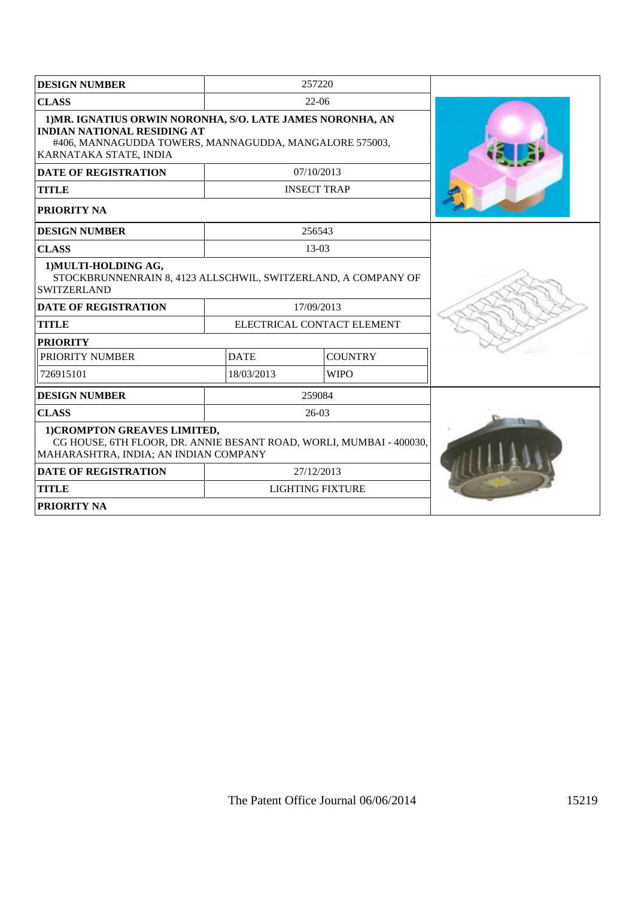| <b>DESIGN NUMBER</b>                                                                                                                                                                 |            | 257220                     |  |  |
|--------------------------------------------------------------------------------------------------------------------------------------------------------------------------------------|------------|----------------------------|--|--|
| <b>CLASS</b>                                                                                                                                                                         | 22-06      |                            |  |  |
| 1) MR. IGNATIUS ORWIN NORONHA, S/O. LATE JAMES NORONHA, AN<br><b>INDIAN NATIONAL RESIDING AT</b><br>#406, MANNAGUDDA TOWERS, MANNAGUDDA, MANGALORE 575003,<br>KARNATAKA STATE, INDIA |            |                            |  |  |
| <b>DATE OF REGISTRATION</b>                                                                                                                                                          |            | 07/10/2013                 |  |  |
| <b>TITLE</b>                                                                                                                                                                         |            | <b>INSECT TRAP</b>         |  |  |
| <b>PRIORITY NA</b>                                                                                                                                                                   |            |                            |  |  |
| <b>DESIGN NUMBER</b>                                                                                                                                                                 |            | 256543                     |  |  |
| <b>CLASS</b>                                                                                                                                                                         | 13-03      |                            |  |  |
| 1) MULTI-HOLDING AG,<br>STOCKBRUNNENRAIN 8, 4123 ALLSCHWIL, SWITZERLAND, A COMPANY OF<br><b>SWITZERLAND</b>                                                                          |            |                            |  |  |
| <b>DATE OF REGISTRATION</b>                                                                                                                                                          |            | 17/09/2013                 |  |  |
| <b>TITLE</b>                                                                                                                                                                         |            | ELECTRICAL CONTACT ELEMENT |  |  |
| <b>PRIORITY</b>                                                                                                                                                                      |            |                            |  |  |
| PRIORITY NUMBER<br><b>DATE</b><br><b>COUNTRY</b>                                                                                                                                     |            |                            |  |  |
| 726915101                                                                                                                                                                            | 18/03/2013 | <b>WIPO</b>                |  |  |
| <b>DESIGN NUMBER</b>                                                                                                                                                                 |            | 259084                     |  |  |
| <b>CLASS</b>                                                                                                                                                                         |            | $26-03$                    |  |  |
| 1) CROMPTON GREAVES LIMITED,<br>CG HOUSE, 6TH FLOOR, DR. ANNIE BESANT ROAD, WORLI, MUMBAI - 400030,<br>MAHARASHTRA, INDIA; AN INDIAN COMPANY                                         |            |                            |  |  |
| <b>DATE OF REGISTRATION</b>                                                                                                                                                          |            | 27/12/2013                 |  |  |
| <b>TITLE</b>                                                                                                                                                                         |            | <b>LIGHTING FIXTURE</b>    |  |  |
| <b>PRIORITY NA</b>                                                                                                                                                                   |            |                            |  |  |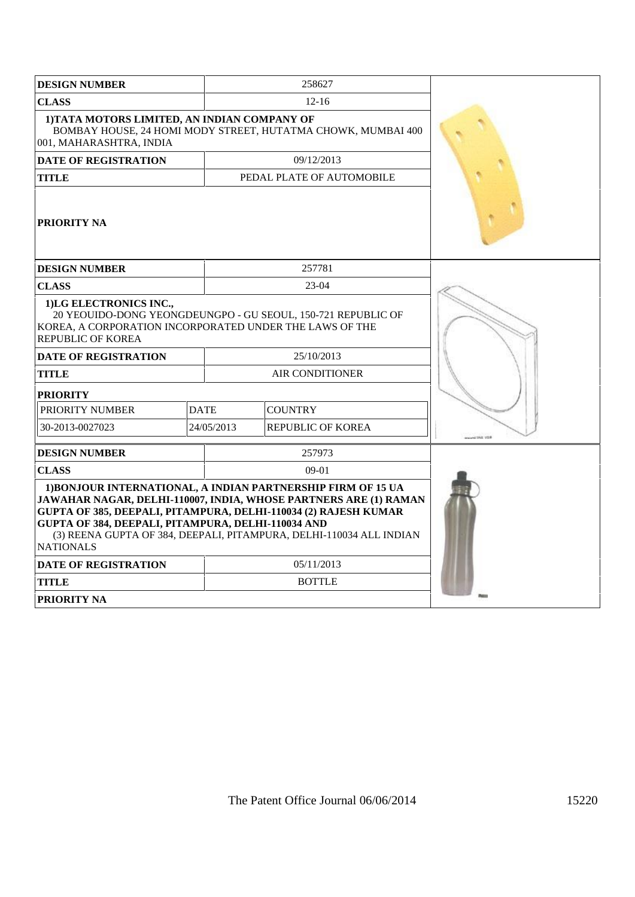| <b>DESIGN NUMBER</b>                                                                                                                                                                                                                                                                                                                                 |             |                        |                           |                     |
|------------------------------------------------------------------------------------------------------------------------------------------------------------------------------------------------------------------------------------------------------------------------------------------------------------------------------------------------------|-------------|------------------------|---------------------------|---------------------|
| <b>CLASS</b>                                                                                                                                                                                                                                                                                                                                         |             |                        |                           |                     |
| 1) TATA MOTORS LIMITED, AN INDIAN COMPANY OF<br>BOMBAY HOUSE, 24 HOMI MODY STREET, HUTATMA CHOWK, MUMBAI 400<br>001. MAHARASHTRA. INDIA                                                                                                                                                                                                              |             |                        |                           |                     |
| <b>DATE OF REGISTRATION</b>                                                                                                                                                                                                                                                                                                                          |             |                        | 09/12/2013                |                     |
| <b>TITLE</b>                                                                                                                                                                                                                                                                                                                                         |             |                        | PEDAL PLATE OF AUTOMOBILE |                     |
| <b>PRIORITY NA</b>                                                                                                                                                                                                                                                                                                                                   |             |                        |                           |                     |
| <b>DESIGN NUMBER</b>                                                                                                                                                                                                                                                                                                                                 |             |                        | 257781                    |                     |
| <b>CLASS</b>                                                                                                                                                                                                                                                                                                                                         |             |                        | $23-04$                   |                     |
| 1)LG ELECTRONICS INC.,<br>20 YEOUIDO-DONG YEONGDEUNGPO - GU SEOUL, 150-721 REPUBLIC OF<br>KOREA, A CORPORATION INCORPORATED UNDER THE LAWS OF THE<br><b>REPUBLIC OF KOREA</b>                                                                                                                                                                        |             |                        |                           |                     |
| <b>DATE OF REGISTRATION</b>                                                                                                                                                                                                                                                                                                                          |             |                        | 25/10/2013                |                     |
| <b>TITLE</b>                                                                                                                                                                                                                                                                                                                                         |             | <b>AIR CONDITIONER</b> |                           |                     |
| <b>PRIORITY</b>                                                                                                                                                                                                                                                                                                                                      |             |                        |                           |                     |
| PRIORITY NUMBER                                                                                                                                                                                                                                                                                                                                      | <b>DATE</b> |                        | <b>COUNTRY</b>            |                     |
| 30-2013-0027023<br>24/05/2013<br><b>REPUBLIC OF KOREA</b>                                                                                                                                                                                                                                                                                            |             |                        |                           | <b>ALCOHOL: YES</b> |
| <b>DESIGN NUMBER</b>                                                                                                                                                                                                                                                                                                                                 |             |                        | 257973                    |                     |
| <b>CLASS</b>                                                                                                                                                                                                                                                                                                                                         |             |                        |                           |                     |
| 1) BONJOUR INTERNATIONAL, A INDIAN PARTNERSHIP FIRM OF 15 UA<br>JAWAHAR NAGAR, DELHI-110007, INDIA, WHOSE PARTNERS ARE (1) RAMAN<br>GUPTA OF 385, DEEPALI, PITAMPURA, DELHI-110034 (2) RAJESH KUMAR<br>GUPTA OF 384, DEEPALI, PITAMPURA, DELHI-110034 AND<br>(3) REENA GUPTA OF 384, DEEPALI, PITAMPURA, DELHI-110034 ALL INDIAN<br><b>NATIONALS</b> |             |                        |                           |                     |
| <b>DATE OF REGISTRATION</b>                                                                                                                                                                                                                                                                                                                          |             |                        | 05/11/2013                |                     |
| TITLE                                                                                                                                                                                                                                                                                                                                                |             |                        | <b>BOTTLE</b>             |                     |
| <b>PRIORITY NA</b>                                                                                                                                                                                                                                                                                                                                   |             |                        |                           |                     |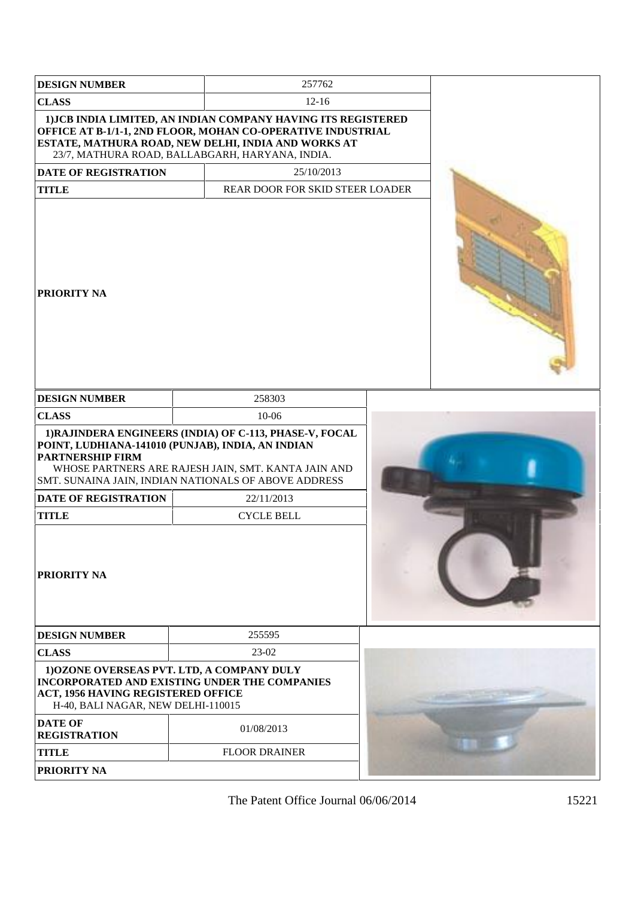| <b>DESIGN NUMBER</b><br>257762<br>$12 - 16$<br><b>CLASS</b><br>1) JCB INDIA LIMITED, AN INDIAN COMPANY HAVING ITS REGISTERED<br>OFFICE AT B-1/1-1, 2ND FLOOR, MOHAN CO-OPERATIVE INDUSTRIAL<br>ESTATE, MATHURA ROAD, NEW DELHI, INDIA AND WORKS AT<br>23/7, MATHURA ROAD, BALLABGARH, HARYANA, INDIA.<br><b>DATE OF REGISTRATION</b><br>25/10/2013<br><b>TITLE</b><br>REAR DOOR FOR SKID STEER LOADER<br><b>PRIORITY NA</b><br>258303<br><b>DESIGN NUMBER</b><br><b>CLASS</b><br>$10-06$<br>1) RAJINDERA ENGINEERS (INDIA) OF C-113, PHASE-V, FOCAL<br>POINT, LUDHIANA-141010 (PUNJAB), INDIA, AN INDIAN<br><b>PARTNERSHIP FIRM</b><br>WHOSE PARTNERS ARE RAJESH JAIN, SMT. KANTA JAIN AND<br>SMT. SUNAINA JAIN, INDIAN NATIONALS OF ABOVE ADDRESS<br><b>DATE OF REGISTRATION</b><br>22/11/2013<br><b>TITLE</b><br><b>CYCLE BELL</b><br><b>PRIORITY NA</b> |              |                      |  |
|------------------------------------------------------------------------------------------------------------------------------------------------------------------------------------------------------------------------------------------------------------------------------------------------------------------------------------------------------------------------------------------------------------------------------------------------------------------------------------------------------------------------------------------------------------------------------------------------------------------------------------------------------------------------------------------------------------------------------------------------------------------------------------------------------------------------------------------------------------|--------------|----------------------|--|
|                                                                                                                                                                                                                                                                                                                                                                                                                                                                                                                                                                                                                                                                                                                                                                                                                                                            |              |                      |  |
|                                                                                                                                                                                                                                                                                                                                                                                                                                                                                                                                                                                                                                                                                                                                                                                                                                                            |              |                      |  |
|                                                                                                                                                                                                                                                                                                                                                                                                                                                                                                                                                                                                                                                                                                                                                                                                                                                            |              |                      |  |
|                                                                                                                                                                                                                                                                                                                                                                                                                                                                                                                                                                                                                                                                                                                                                                                                                                                            |              |                      |  |
|                                                                                                                                                                                                                                                                                                                                                                                                                                                                                                                                                                                                                                                                                                                                                                                                                                                            |              |                      |  |
|                                                                                                                                                                                                                                                                                                                                                                                                                                                                                                                                                                                                                                                                                                                                                                                                                                                            |              |                      |  |
|                                                                                                                                                                                                                                                                                                                                                                                                                                                                                                                                                                                                                                                                                                                                                                                                                                                            |              |                      |  |
|                                                                                                                                                                                                                                                                                                                                                                                                                                                                                                                                                                                                                                                                                                                                                                                                                                                            |              |                      |  |
|                                                                                                                                                                                                                                                                                                                                                                                                                                                                                                                                                                                                                                                                                                                                                                                                                                                            |              |                      |  |
|                                                                                                                                                                                                                                                                                                                                                                                                                                                                                                                                                                                                                                                                                                                                                                                                                                                            |              |                      |  |
|                                                                                                                                                                                                                                                                                                                                                                                                                                                                                                                                                                                                                                                                                                                                                                                                                                                            |              |                      |  |
|                                                                                                                                                                                                                                                                                                                                                                                                                                                                                                                                                                                                                                                                                                                                                                                                                                                            |              |                      |  |
| <b>DESIGN NUMBER</b><br>255595                                                                                                                                                                                                                                                                                                                                                                                                                                                                                                                                                                                                                                                                                                                                                                                                                             |              |                      |  |
| <b>CLASS</b><br>23-02                                                                                                                                                                                                                                                                                                                                                                                                                                                                                                                                                                                                                                                                                                                                                                                                                                      |              |                      |  |
| 1) OZONE OVERSEAS PVT. LTD, A COMPANY DULY<br><b>INCORPORATED AND EXISTING UNDER THE COMPANIES</b><br>ACT, 1956 HAVING REGISTERED OFFICE<br>H-40, BALI NAGAR, NEW DELHI-110015                                                                                                                                                                                                                                                                                                                                                                                                                                                                                                                                                                                                                                                                             |              |                      |  |
| <b>DATE OF</b><br>01/08/2013<br><b>REGISTRATION</b>                                                                                                                                                                                                                                                                                                                                                                                                                                                                                                                                                                                                                                                                                                                                                                                                        |              |                      |  |
|                                                                                                                                                                                                                                                                                                                                                                                                                                                                                                                                                                                                                                                                                                                                                                                                                                                            | <b>TITLE</b> | <b>FLOOR DRAINER</b> |  |
|                                                                                                                                                                                                                                                                                                                                                                                                                                                                                                                                                                                                                                                                                                                                                                                                                                                            |              |                      |  |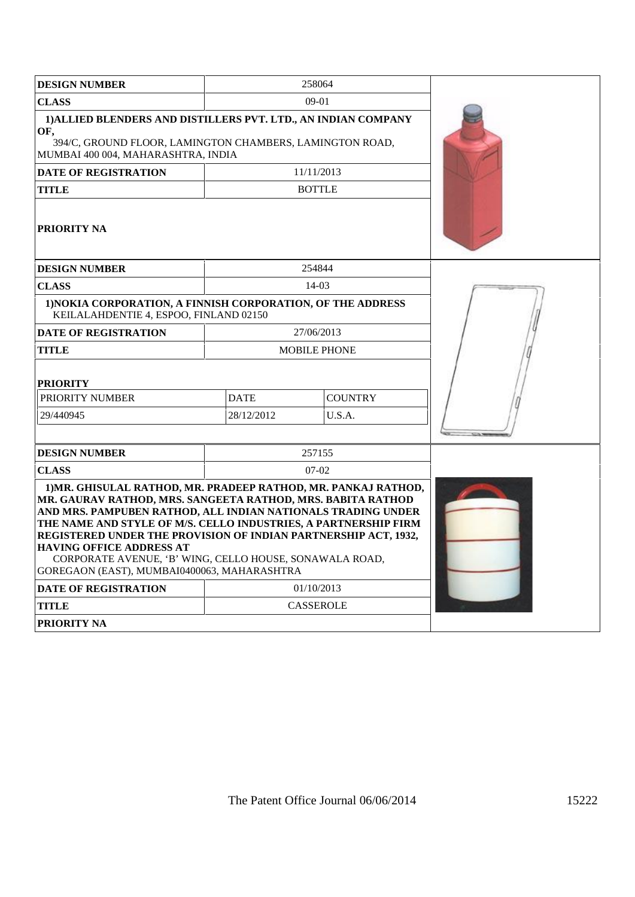| <b>DESIGN NUMBER</b>                                                                                                                                                                                                                                                                                                                                                                                                                                                             |             | 258064              |  |
|----------------------------------------------------------------------------------------------------------------------------------------------------------------------------------------------------------------------------------------------------------------------------------------------------------------------------------------------------------------------------------------------------------------------------------------------------------------------------------|-------------|---------------------|--|
| <b>CLASS</b>                                                                                                                                                                                                                                                                                                                                                                                                                                                                     |             | $09-01$             |  |
| 1) ALLIED BLENDERS AND DISTILLERS PVT. LTD., AN INDIAN COMPANY<br>OF,<br>394/C, GROUND FLOOR, LAMINGTON CHAMBERS, LAMINGTON ROAD,<br>MUMBAI 400 004, MAHARASHTRA, INDIA                                                                                                                                                                                                                                                                                                          |             |                     |  |
| <b>DATE OF REGISTRATION</b>                                                                                                                                                                                                                                                                                                                                                                                                                                                      |             | 11/11/2013          |  |
| <b>TITLE</b>                                                                                                                                                                                                                                                                                                                                                                                                                                                                     |             | <b>BOTTLE</b>       |  |
| <b>PRIORITY NA</b>                                                                                                                                                                                                                                                                                                                                                                                                                                                               |             |                     |  |
| <b>DESIGN NUMBER</b>                                                                                                                                                                                                                                                                                                                                                                                                                                                             |             | 254844              |  |
| <b>CLASS</b>                                                                                                                                                                                                                                                                                                                                                                                                                                                                     |             | 14-03               |  |
| 1) NOKIA CORPORATION, A FINNISH CORPORATION, OF THE ADDRESS<br>KEILALAHDENTIE 4, ESPOO, FINLAND 02150                                                                                                                                                                                                                                                                                                                                                                            |             |                     |  |
| <b>DATE OF REGISTRATION</b>                                                                                                                                                                                                                                                                                                                                                                                                                                                      |             | 27/06/2013          |  |
| <b>TITLE</b>                                                                                                                                                                                                                                                                                                                                                                                                                                                                     |             | <b>MOBILE PHONE</b> |  |
| <b>PRIORITY</b>                                                                                                                                                                                                                                                                                                                                                                                                                                                                  |             |                     |  |
| PRIORITY NUMBER                                                                                                                                                                                                                                                                                                                                                                                                                                                                  | <b>DATE</b> | <b>COUNTRY</b>      |  |
| 29/440945                                                                                                                                                                                                                                                                                                                                                                                                                                                                        | 28/12/2012  | U.S.A.              |  |
|                                                                                                                                                                                                                                                                                                                                                                                                                                                                                  |             |                     |  |
| <b>DESIGN NUMBER</b>                                                                                                                                                                                                                                                                                                                                                                                                                                                             |             | 257155              |  |
| <b>CLASS</b>                                                                                                                                                                                                                                                                                                                                                                                                                                                                     |             | $07-02$             |  |
| 1) MR. GHISULAL RATHOD, MR. PRADEEP RATHOD, MR. PANKAJ RATHOD,<br>MR. GAURAV RATHOD, MRS. SANGEETA RATHOD, MRS. BABITA RATHOD<br>AND MRS. PAMPUBEN RATHOD, ALL INDIAN NATIONALS TRADING UNDER<br>THE NAME AND STYLE OF M/S. CELLO INDUSTRIES, A PARTNERSHIP FIRM<br>REGISTERED UNDER THE PROVISION OF INDIAN PARTNERSHIP ACT, 1932,<br><b>HAVING OFFICE ADDRESS AT</b><br>CORPORATE AVENUE, 'B' WING, CELLO HOUSE, SONAWALA ROAD,<br>GOREGAON (EAST), MUMBAI0400063, MAHARASHTRA |             |                     |  |
| DATE OF REGISTRATION                                                                                                                                                                                                                                                                                                                                                                                                                                                             |             | 01/10/2013          |  |
| <b>TITLE</b>                                                                                                                                                                                                                                                                                                                                                                                                                                                                     |             | CASSEROLE           |  |
| PRIORITY NA                                                                                                                                                                                                                                                                                                                                                                                                                                                                      |             |                     |  |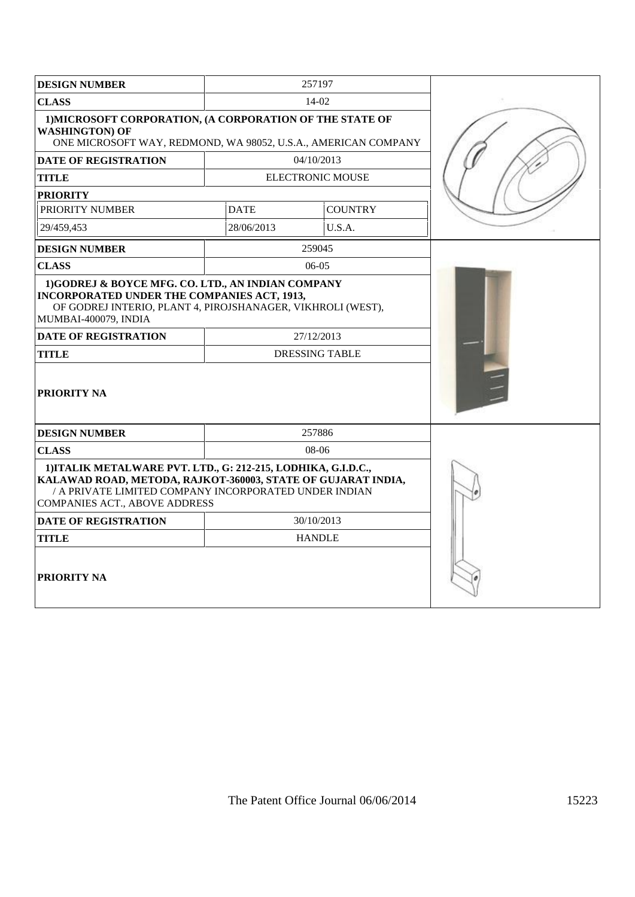| <b>DESIGN NUMBER</b>                                                                                                                                                                                                    |             | 257197                  |  |
|-------------------------------------------------------------------------------------------------------------------------------------------------------------------------------------------------------------------------|-------------|-------------------------|--|
| <b>CLASS</b>                                                                                                                                                                                                            |             | $14-02$                 |  |
| 1) MICROSOFT CORPORATION, (A CORPORATION OF THE STATE OF<br><b>WASHINGTON) OF</b><br>ONE MICROSOFT WAY, REDMOND, WA 98052, U.S.A., AMERICAN COMPANY                                                                     |             |                         |  |
| <b>DATE OF REGISTRATION</b>                                                                                                                                                                                             |             | 04/10/2013              |  |
| <b>TITLE</b>                                                                                                                                                                                                            |             | <b>ELECTRONIC MOUSE</b> |  |
| <b>PRIORITY</b>                                                                                                                                                                                                         |             |                         |  |
| PRIORITY NUMBER                                                                                                                                                                                                         | <b>DATE</b> | <b>COUNTRY</b>          |  |
| 29/459,453                                                                                                                                                                                                              | 28/06/2013  | U.S.A.                  |  |
| <b>DESIGN NUMBER</b>                                                                                                                                                                                                    |             | 259045                  |  |
| <b>CLASS</b>                                                                                                                                                                                                            |             | $06-05$                 |  |
| 1)GODREJ & BOYCE MFG. CO. LTD., AN INDIAN COMPANY<br><b>INCORPORATED UNDER THE COMPANIES ACT, 1913,</b><br>OF GODREJ INTERIO, PLANT 4, PIROJSHANAGER, VIKHROLI (WEST),<br>MUMBAI-400079, INDIA                          |             |                         |  |
| <b>DATE OF REGISTRATION</b>                                                                                                                                                                                             |             | 27/12/2013              |  |
| <b>TITLE</b>                                                                                                                                                                                                            |             | <b>DRESSING TABLE</b>   |  |
| <b>PRIORITY NA</b>                                                                                                                                                                                                      |             |                         |  |
| <b>DESIGN NUMBER</b>                                                                                                                                                                                                    |             | 257886                  |  |
| <b>CLASS</b>                                                                                                                                                                                                            |             | $08-06$                 |  |
| 1) ITALIK METALWARE PVT. LTD., G: 212-215, LODHIKA, G.I.D.C.,<br>KALAWAD ROAD, METODA, RAJKOT-360003, STATE OF GUJARAT INDIA,<br>/ A PRIVATE LIMITED COMPANY INCORPORATED UNDER INDIAN<br>COMPANIES ACT., ABOVE ADDRESS |             |                         |  |
| <b>DATE OF REGISTRATION</b>                                                                                                                                                                                             |             | 30/10/2013              |  |
| <b>TITLE</b>                                                                                                                                                                                                            |             | <b>HANDLE</b>           |  |
| <b>PRIORITY NA</b>                                                                                                                                                                                                      |             |                         |  |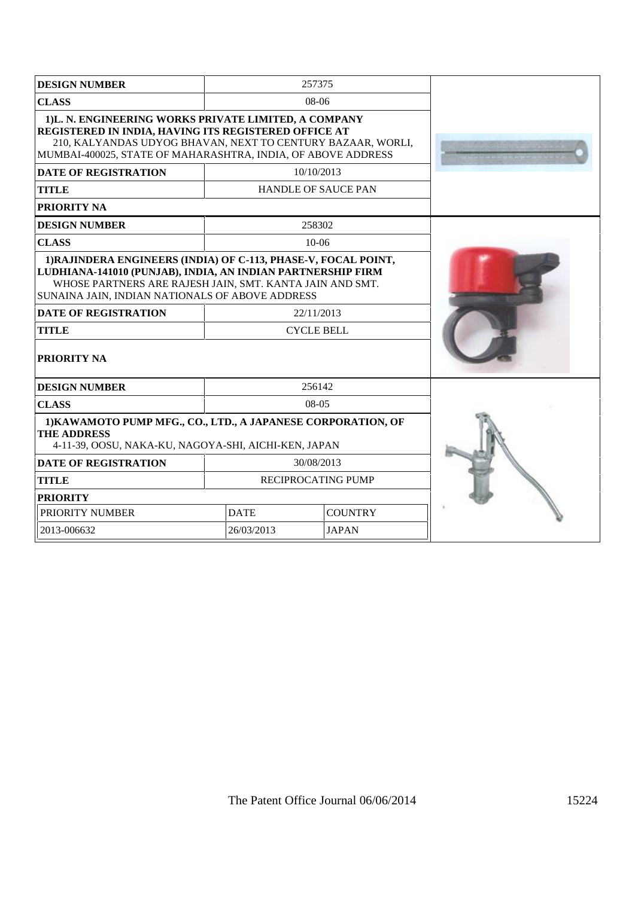| <b>DESIGN NUMBER</b>                                                                                                                                                                                                                                                                                              |                               | 257375                                   |  |
|-------------------------------------------------------------------------------------------------------------------------------------------------------------------------------------------------------------------------------------------------------------------------------------------------------------------|-------------------------------|------------------------------------------|--|
| <b>CLASS</b>                                                                                                                                                                                                                                                                                                      |                               | $08-06$                                  |  |
| 1)L. N. ENGINEERING WORKS PRIVATE LIMITED, A COMPANY<br>REGISTERED IN INDIA, HAVING ITS REGISTERED OFFICE AT<br>210, KALYANDAS UDYOG BHAVAN, NEXT TO CENTURY BAZAAR, WORLI,<br>MUMBAI-400025, STATE OF MAHARASHTRA, INDIA, OF ABOVE ADDRESS<br><b>DATE OF REGISTRATION</b>                                        |                               |                                          |  |
| <b>TITLE</b>                                                                                                                                                                                                                                                                                                      |                               | 10/10/2013<br><b>HANDLE OF SAUCE PAN</b> |  |
| <b>PRIORITY NA</b>                                                                                                                                                                                                                                                                                                |                               |                                          |  |
| <b>DESIGN NUMBER</b>                                                                                                                                                                                                                                                                                              |                               | 258302                                   |  |
| <b>CLASS</b>                                                                                                                                                                                                                                                                                                      |                               | $10 - 06$                                |  |
| 1) RAJINDERA ENGINEERS (INDIA) OF C-113, PHASE-V, FOCAL POINT,<br>LUDHIANA-141010 (PUNJAB), INDIA, AN INDIAN PARTNERSHIP FIRM<br>WHOSE PARTNERS ARE RAJESH JAIN, SMT. KANTA JAIN AND SMT.<br>SUNAINA JAIN, INDIAN NATIONALS OF ABOVE ADDRESS<br><b>DATE OF REGISTRATION</b><br><b>TITLE</b><br><b>PRIORITY NA</b> |                               | 22/11/2013<br><b>CYCLE BELL</b>          |  |
| <b>DESIGN NUMBER</b>                                                                                                                                                                                                                                                                                              |                               | 256142                                   |  |
| <b>CLASS</b>                                                                                                                                                                                                                                                                                                      |                               | $08-05$                                  |  |
| 1) KAWAMOTO PUMP MFG., CO., LTD., A JAPANESE CORPORATION, OF<br><b>THE ADDRESS</b><br>4-11-39, OOSU, NAKA-KU, NAGOYA-SHI, AICHI-KEN, JAPAN                                                                                                                                                                        |                               |                                          |  |
| <b>DATE OF REGISTRATION</b>                                                                                                                                                                                                                                                                                       |                               | 30/08/2013                               |  |
| <b>TITLE</b>                                                                                                                                                                                                                                                                                                      | RECIPROCATING PUMP            |                                          |  |
| <b>PRIORITY</b>                                                                                                                                                                                                                                                                                                   |                               |                                          |  |
| PRIORITY NUMBER                                                                                                                                                                                                                                                                                                   | <b>COUNTRY</b><br><b>DATE</b> |                                          |  |
| 2013-006632                                                                                                                                                                                                                                                                                                       | 26/03/2013<br><b>JAPAN</b>    |                                          |  |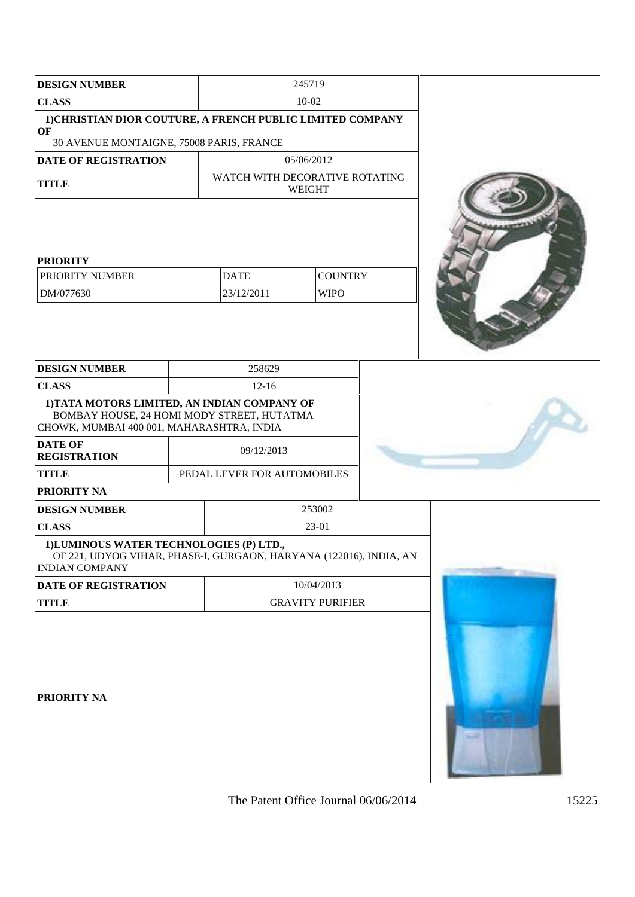| <b>DESIGN NUMBER</b>                                                                                                                                                     |                                                                                         | 245719                        |  |  |
|--------------------------------------------------------------------------------------------------------------------------------------------------------------------------|-----------------------------------------------------------------------------------------|-------------------------------|--|--|
| <b>CLASS</b>                                                                                                                                                             | 10-02                                                                                   |                               |  |  |
| 1) CHRISTIAN DIOR COUTURE, A FRENCH PUBLIC LIMITED COMPANY                                                                                                               |                                                                                         |                               |  |  |
| OF<br>30 AVENUE MONTAIGNE, 75008 PARIS, FRANCE                                                                                                                           |                                                                                         |                               |  |  |
| <b>DATE OF REGISTRATION</b>                                                                                                                                              |                                                                                         | 05/06/2012                    |  |  |
| <b>TITLE</b>                                                                                                                                                             | WATCH WITH DECORATIVE ROTATING                                                          | WEIGHT                        |  |  |
| <b>PRIORITY</b><br>PRIORITY NUMBER<br>DM/077630                                                                                                                          | <b>DATE</b><br>23/12/2011                                                               | <b>COUNTRY</b><br><b>WIPO</b> |  |  |
| <b>DESIGN NUMBER</b>                                                                                                                                                     | 258629                                                                                  |                               |  |  |
| <b>CLASS</b>                                                                                                                                                             | $12 - 16$                                                                               |                               |  |  |
| 1) TATA MOTORS LIMITED, AN INDIAN COMPANY OF<br>CHOWK, MUMBAI 400 001, MAHARASHTRA, INDIA<br><b>DATE OF</b><br><b>REGISTRATION</b><br><b>TITLE</b><br><b>PRIORITY NA</b> | BOMBAY HOUSE, 24 HOMI MODY STREET, HUTATMA<br>09/12/2013<br>PEDAL LEVER FOR AUTOMOBILES |                               |  |  |
| <b>DESIGN NUMBER</b>                                                                                                                                                     |                                                                                         | 253002                        |  |  |
| <b>CLASS</b>                                                                                                                                                             | 23-01                                                                                   |                               |  |  |
| 1) LUMINOUS WATER TECHNOLOGIES (P) LTD.,<br>OF 221, UDYOG VIHAR, PHASE-I, GURGAON, HARYANA (122016), INDIA, AN<br><b>INDIAN COMPANY</b>                                  |                                                                                         |                               |  |  |
| DATE OF REGISTRATION                                                                                                                                                     | 10/04/2013                                                                              |                               |  |  |
| <b>TITLE</b>                                                                                                                                                             | <b>GRAVITY PURIFIER</b>                                                                 |                               |  |  |
| PRIORITY NA                                                                                                                                                              |                                                                                         |                               |  |  |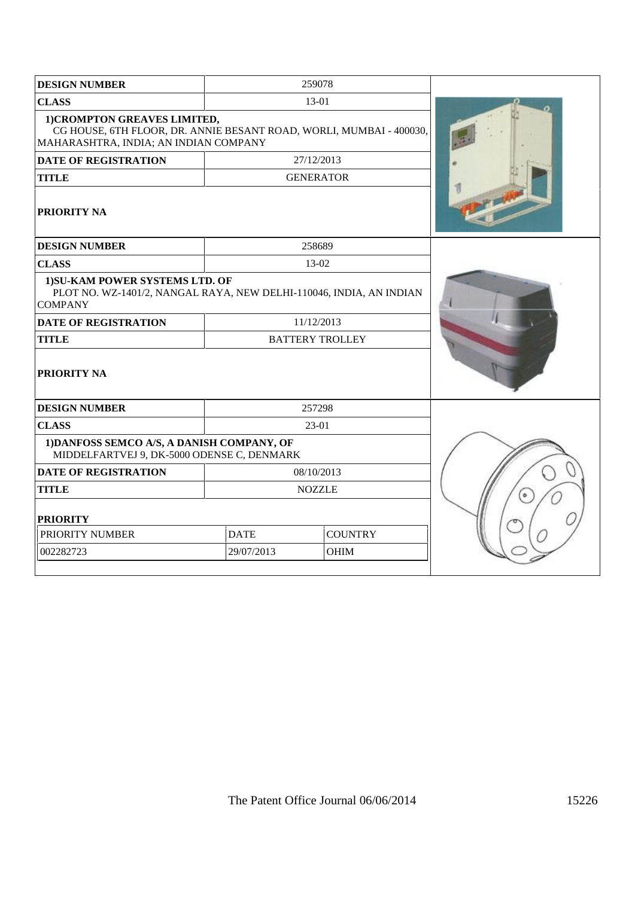| <b>DESIGN NUMBER</b>                                                                                                                         |                               | 259078           |  |
|----------------------------------------------------------------------------------------------------------------------------------------------|-------------------------------|------------------|--|
| <b>CLASS</b>                                                                                                                                 | 13-01                         |                  |  |
| 1) CROMPTON GREAVES LIMITED,<br>CG HOUSE, 6TH FLOOR, DR. ANNIE BESANT ROAD, WORLI, MUMBAI - 400030,<br>MAHARASHTRA, INDIA; AN INDIAN COMPANY |                               |                  |  |
| <b>DATE OF REGISTRATION</b>                                                                                                                  |                               | 27/12/2013       |  |
| <b>TITLE</b>                                                                                                                                 |                               | <b>GENERATOR</b> |  |
| <b>PRIORITY NA</b>                                                                                                                           |                               |                  |  |
| <b>DESIGN NUMBER</b>                                                                                                                         |                               | 258689           |  |
| <b>CLASS</b>                                                                                                                                 |                               | 13-02            |  |
| 1) SU-KAM POWER SYSTEMS LTD. OF<br>PLOT NO. WZ-1401/2, NANGAL RAYA, NEW DELHI-110046, INDIA, AN INDIAN<br><b>COMPANY</b>                     |                               |                  |  |
| <b>DATE OF REGISTRATION</b>                                                                                                                  |                               | 11/12/2013       |  |
| <b>TITLE</b>                                                                                                                                 | <b>BATTERY TROLLEY</b>        |                  |  |
| <b>PRIORITY NA</b>                                                                                                                           |                               |                  |  |
| <b>DESIGN NUMBER</b>                                                                                                                         |                               | 257298           |  |
| <b>CLASS</b>                                                                                                                                 |                               | 23-01            |  |
| 1) DANFOSS SEMCO A/S, A DANISH COMPANY, OF<br>MIDDELFARTVEJ 9, DK-5000 ODENSE C, DENMARK                                                     |                               |                  |  |
| <b>DATE OF REGISTRATION</b>                                                                                                                  |                               | 08/10/2013       |  |
| <b>TITLE</b>                                                                                                                                 | <b>NOZZLE</b>                 |                  |  |
| <b>PRIORITY</b>                                                                                                                              |                               |                  |  |
| PRIORITY NUMBER                                                                                                                              | <b>DATE</b><br><b>COUNTRY</b> |                  |  |
| 002282723                                                                                                                                    | 29/07/2013<br><b>OHIM</b>     |                  |  |
|                                                                                                                                              |                               |                  |  |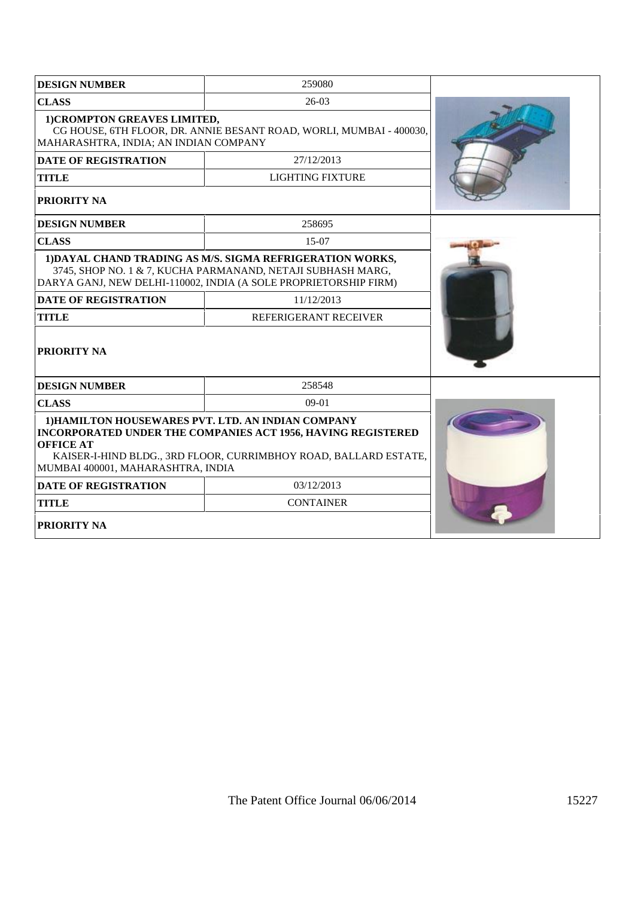| <b>DESIGN NUMBER</b>                                                                                        | 259080                                                                                                                                                                                       |  |
|-------------------------------------------------------------------------------------------------------------|----------------------------------------------------------------------------------------------------------------------------------------------------------------------------------------------|--|
| <b>CLASS</b>                                                                                                | 26-03                                                                                                                                                                                        |  |
| 1) CROMPTON GREAVES LIMITED,<br>MAHARASHTRA, INDIA; AN INDIAN COMPANY                                       | CG HOUSE, 6TH FLOOR, DR. ANNIE BESANT ROAD, WORLI, MUMBAI - 400030,                                                                                                                          |  |
| <b>DATE OF REGISTRATION</b>                                                                                 | 27/12/2013                                                                                                                                                                                   |  |
| <b>TITLE</b>                                                                                                | LIGHTING FIXTURE                                                                                                                                                                             |  |
| PRIORITY NA                                                                                                 |                                                                                                                                                                                              |  |
| <b>DESIGN NUMBER</b>                                                                                        | 258695                                                                                                                                                                                       |  |
| <b>CLASS</b>                                                                                                | $15-07$                                                                                                                                                                                      |  |
|                                                                                                             | 1) DAYAL CHAND TRADING AS M/S. SIGMA REFRIGERATION WORKS,<br>3745, SHOP NO. 1 & 7, KUCHA PARMANAND, NETAJI SUBHASH MARG,<br>DARYA GANJ, NEW DELHI-110002, INDIA (A SOLE PROPRIETORSHIP FIRM) |  |
| <b>DATE OF REGISTRATION</b>                                                                                 | 11/12/2013                                                                                                                                                                                   |  |
| <b>TITLE</b>                                                                                                | REFERIGERANT RECEIVER                                                                                                                                                                        |  |
| PRIORITY NA                                                                                                 |                                                                                                                                                                                              |  |
| <b>DESIGN NUMBER</b>                                                                                        | 258548                                                                                                                                                                                       |  |
| <b>CLASS</b>                                                                                                | $09-01$                                                                                                                                                                                      |  |
| 1) HAMILTON HOUSEWARES PVT. LTD. AN INDIAN COMPANY<br><b>OFFICE AT</b><br>MUMBAI 400001, MAHARASHTRA, INDIA | INCORPORATED UNDER THE COMPANIES ACT 1956, HAVING REGISTERED<br>KAISER-I-HIND BLDG., 3RD FLOOR, CURRIMBHOY ROAD, BALLARD ESTATE,                                                             |  |
| <b>DATE OF REGISTRATION</b>                                                                                 | 03/12/2013                                                                                                                                                                                   |  |
| <b>TITLE</b>                                                                                                | <b>CONTAINER</b>                                                                                                                                                                             |  |
| <b>PRIORITY NA</b>                                                                                          |                                                                                                                                                                                              |  |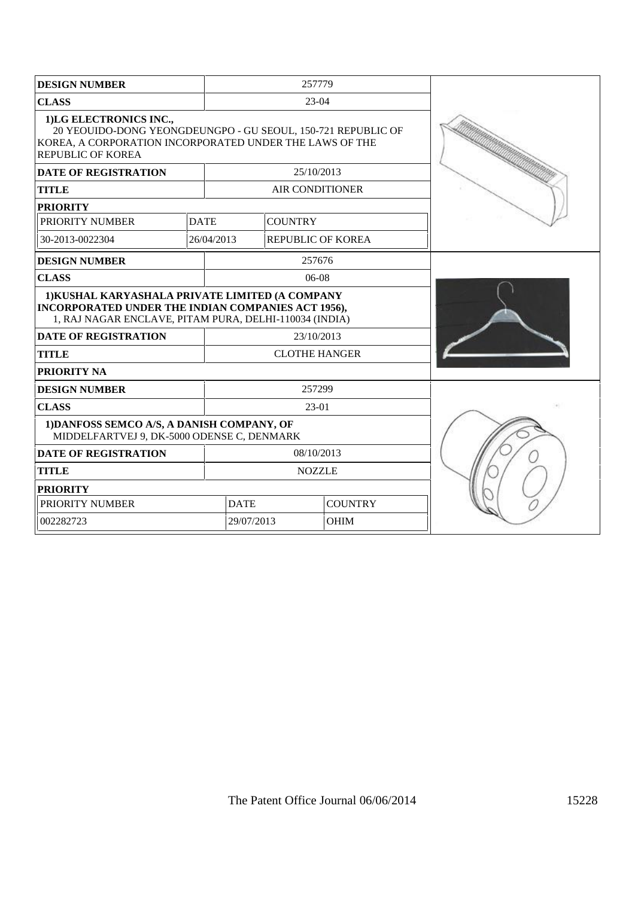| <b>DESIGN NUMBER</b>                                                                                                                                                          |             | 257779                        |             |  |
|-------------------------------------------------------------------------------------------------------------------------------------------------------------------------------|-------------|-------------------------------|-------------|--|
| <b>CLASS</b>                                                                                                                                                                  |             | $23-04$                       |             |  |
| 1)LG ELECTRONICS INC.,<br>20 YEOUIDO-DONG YEONGDEUNGPO - GU SEOUL, 150-721 REPUBLIC OF<br>KOREA, A CORPORATION INCORPORATED UNDER THE LAWS OF THE<br><b>REPUBLIC OF KOREA</b> |             |                               |             |  |
| <b>DATE OF REGISTRATION</b>                                                                                                                                                   |             | 25/10/2013                    |             |  |
| <b>TITLE</b>                                                                                                                                                                  |             | <b>AIR CONDITIONER</b>        |             |  |
| <b>PRIORITY</b>                                                                                                                                                               |             |                               |             |  |
| PRIORITY NUMBER                                                                                                                                                               | <b>DATE</b> | <b>COUNTRY</b>                |             |  |
| 30-2013-0022304                                                                                                                                                               | 26/04/2013  | REPUBLIC OF KOREA             |             |  |
| <b>DESIGN NUMBER</b>                                                                                                                                                          |             | 257676                        |             |  |
| <b>CLASS</b>                                                                                                                                                                  |             | $06-08$                       |             |  |
| 1) KUSHAL KARYASHALA PRIVATE LIMITED (A COMPANY<br>INCORPORATED UNDER THE INDIAN COMPANIES ACT 1956),<br>1, RAJ NAGAR ENCLAVE, PITAM PURA, DELHI-110034 (INDIA)               |             |                               |             |  |
| <b>DATE OF REGISTRATION</b><br>23/10/2013                                                                                                                                     |             |                               |             |  |
| <b>TITLE</b>                                                                                                                                                                  |             | <b>CLOTHE HANGER</b>          |             |  |
| <b>PRIORITY NA</b>                                                                                                                                                            |             |                               |             |  |
| <b>DESIGN NUMBER</b>                                                                                                                                                          |             | 257299                        |             |  |
| <b>CLASS</b>                                                                                                                                                                  |             | 23-01                         |             |  |
| 1) DANFOSS SEMCO A/S, A DANISH COMPANY, OF<br>MIDDELFARTVEJ 9, DK-5000 ODENSE C, DENMARK                                                                                      |             |                               |             |  |
| <b>DATE OF REGISTRATION</b>                                                                                                                                                   |             | 08/10/2013                    |             |  |
| <b>TITLE</b>                                                                                                                                                                  |             | <b>NOZZLE</b>                 |             |  |
| <b>PRIORITY</b>                                                                                                                                                               |             |                               |             |  |
| PRIORITY NUMBER                                                                                                                                                               |             | <b>DATE</b><br><b>COUNTRY</b> |             |  |
| 002282723                                                                                                                                                                     |             | 29/07/2013                    | <b>OHIM</b> |  |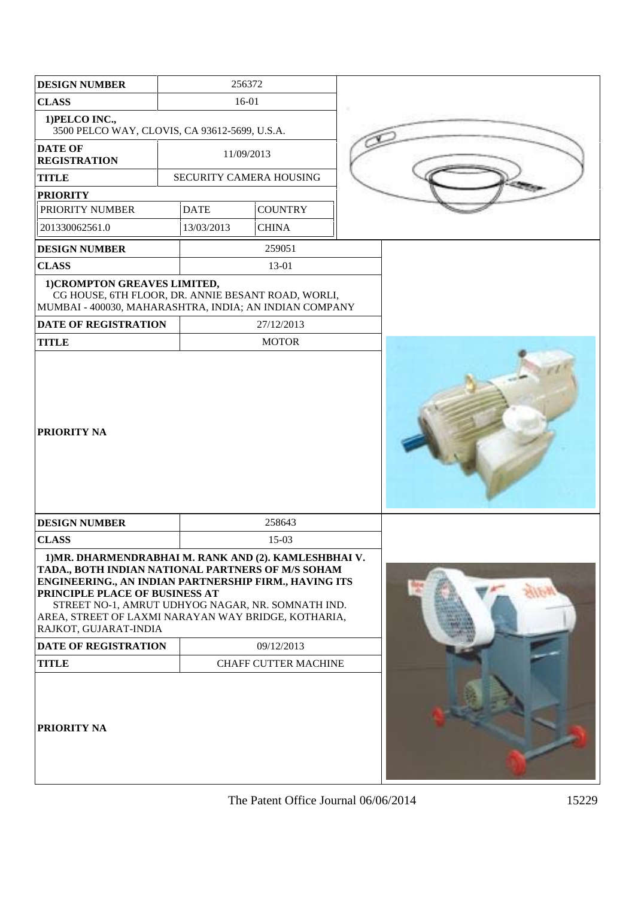| <b>DESIGN NUMBER</b>                                                                                                                                                                                                                                                                                                                       |             | 256372                                        |  |  |
|--------------------------------------------------------------------------------------------------------------------------------------------------------------------------------------------------------------------------------------------------------------------------------------------------------------------------------------------|-------------|-----------------------------------------------|--|--|
| <b>CLASS</b>                                                                                                                                                                                                                                                                                                                               |             | 16-01                                         |  |  |
| 1) PELCO INC.,                                                                                                                                                                                                                                                                                                                             |             | 3500 PELCO WAY, CLOVIS, CA 93612-5699, U.S.A. |  |  |
| <b>DATE OF</b><br><b>REGISTRATION</b>                                                                                                                                                                                                                                                                                                      |             | 11/09/2013                                    |  |  |
| <b>TITLE</b>                                                                                                                                                                                                                                                                                                                               |             | SECURITY CAMERA HOUSING                       |  |  |
| <b>PRIORITY</b>                                                                                                                                                                                                                                                                                                                            |             |                                               |  |  |
| PRIORITY NUMBER                                                                                                                                                                                                                                                                                                                            | <b>DATE</b> | <b>COUNTRY</b>                                |  |  |
| 201330062561.0                                                                                                                                                                                                                                                                                                                             | 13/03/2013  | <b>CHINA</b>                                  |  |  |
| <b>DESIGN NUMBER</b>                                                                                                                                                                                                                                                                                                                       |             | 259051                                        |  |  |
| <b>CLASS</b>                                                                                                                                                                                                                                                                                                                               |             | 13-01                                         |  |  |
| 1) CROMPTON GREAVES LIMITED,<br>CG HOUSE, 6TH FLOOR, DR. ANNIE BESANT ROAD, WORLI,<br>MUMBAI - 400030, MAHARASHTRA, INDIA; AN INDIAN COMPANY<br><b>DATE OF REGISTRATION</b>                                                                                                                                                                |             | 27/12/2013                                    |  |  |
| <b>TITLE</b>                                                                                                                                                                                                                                                                                                                               |             | <b>MOTOR</b>                                  |  |  |
| PRIORITY NA                                                                                                                                                                                                                                                                                                                                |             |                                               |  |  |
| <b>DESIGN NUMBER</b>                                                                                                                                                                                                                                                                                                                       |             | 258643                                        |  |  |
| <b>CLASS</b>                                                                                                                                                                                                                                                                                                                               |             | 15-03                                         |  |  |
| 1) MR. DHARMENDRABHAI M. RANK AND (2). KAMLESHBHAI V.<br>TADA., BOTH INDIAN NATIONAL PARTNERS OF M/S SOHAM<br>ENGINEERING., AN INDIAN PARTNERSHIP FIRM., HAVING ITS<br>PRINCIPLE PLACE OF BUSINESS AT<br>STREET NO-1, AMRUT UDHYOG NAGAR, NR. SOMNATH IND.<br>AREA, STREET OF LAXMI NARAYAN WAY BRIDGE, KOTHARIA,<br>RAJKOT, GUJARAT-INDIA |             |                                               |  |  |
| DATE OF REGISTRATION                                                                                                                                                                                                                                                                                                                       |             | 09/12/2013                                    |  |  |
| <b>TITLE</b><br>PRIORITY NA                                                                                                                                                                                                                                                                                                                |             | <b>CHAFF CUTTER MACHINE</b>                   |  |  |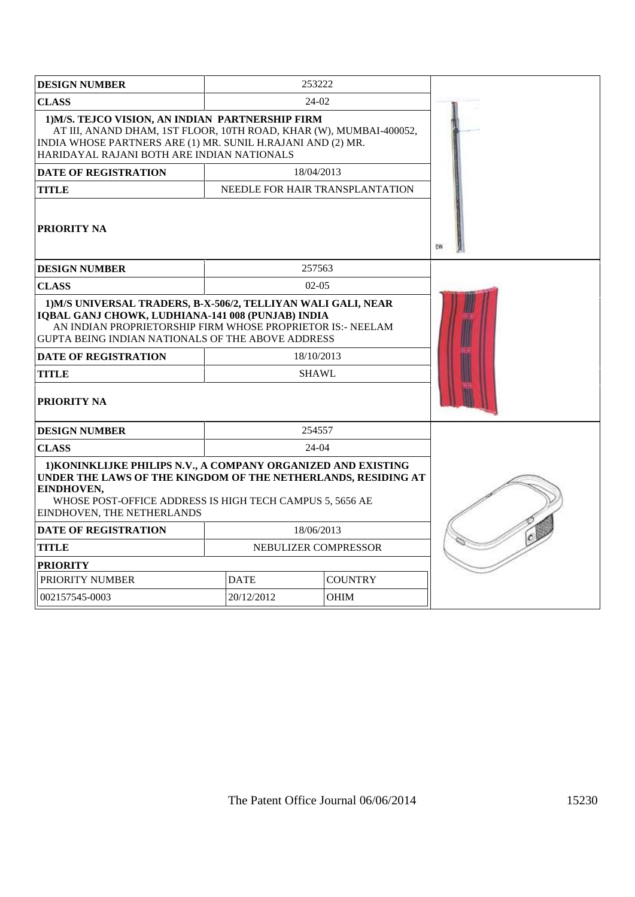| <b>DESIGN NUMBER</b>                                                                                                                                                                                                                                                                                       | 253222                          |                |    |
|------------------------------------------------------------------------------------------------------------------------------------------------------------------------------------------------------------------------------------------------------------------------------------------------------------|---------------------------------|----------------|----|
| <b>CLASS</b>                                                                                                                                                                                                                                                                                               |                                 |                |    |
| 1) M/S. TEJCO VISION, AN INDIAN PARTNERSHIP FIRM<br>AT III, ANAND DHAM, 1ST FLOOR, 10TH ROAD, KHAR (W), MUMBAI-400052,<br>INDIA WHOSE PARTNERS ARE (1) MR. SUNIL H.RAJANI AND (2) MR.<br>HARIDAYAL RAJANI BOTH ARE INDIAN NATIONALS                                                                        |                                 |                |    |
| <b>DATE OF REGISTRATION</b>                                                                                                                                                                                                                                                                                | 18/04/2013                      |                |    |
| TITLE                                                                                                                                                                                                                                                                                                      | NEEDLE FOR HAIR TRANSPLANTATION |                |    |
| <b>PRIORITY NA</b>                                                                                                                                                                                                                                                                                         |                                 |                | EW |
| <b>DESIGN NUMBER</b>                                                                                                                                                                                                                                                                                       | 257563                          |                |    |
| <b>CLASS</b>                                                                                                                                                                                                                                                                                               | $02-05$                         |                |    |
| 1) M/S UNIVERSAL TRADERS, B-X-506/2, TELLIYAN WALI GALI, NEAR<br><b>IOBAL GANJ CHOWK, LUDHIANA-141 008 (PUNJAB) INDIA</b><br>AN INDIAN PROPRIETORSHIP FIRM WHOSE PROPRIETOR IS:- NEELAM<br>GUPTA BEING INDIAN NATIONALS OF THE ABOVE ADDRESS<br><b>DATE OF REGISTRATION</b><br><b>TITLE</b><br>PRIORITY NA | 18/10/2013<br><b>SHAWL</b>      |                |    |
| <b>DESIGN NUMBER</b>                                                                                                                                                                                                                                                                                       | 254557                          |                |    |
| <b>CLASS</b>                                                                                                                                                                                                                                                                                               | 24-04                           |                |    |
| 1) KONINKLIJKE PHILIPS N.V., A COMPANY ORGANIZED AND EXISTING<br>UNDER THE LAWS OF THE KINGDOM OF THE NETHERLANDS, RESIDING AT<br>EINDHOVEN,<br>WHOSE POST-OFFICE ADDRESS IS HIGH TECH CAMPUS 5, 5656 AE<br>EINDHOVEN, THE NETHERLANDS                                                                     |                                 |                |    |
| DATE OF REGISTRATION                                                                                                                                                                                                                                                                                       | 18/06/2013                      |                |    |
| TITLE                                                                                                                                                                                                                                                                                                      | NEBULIZER COMPRESSOR            |                |    |
| <b>PRIORITY</b>                                                                                                                                                                                                                                                                                            |                                 |                |    |
| PRIORITY NUMBER                                                                                                                                                                                                                                                                                            | <b>DATE</b>                     | <b>COUNTRY</b> |    |
| 002157545-0003                                                                                                                                                                                                                                                                                             | 20/12/2012                      | <b>OHIM</b>    |    |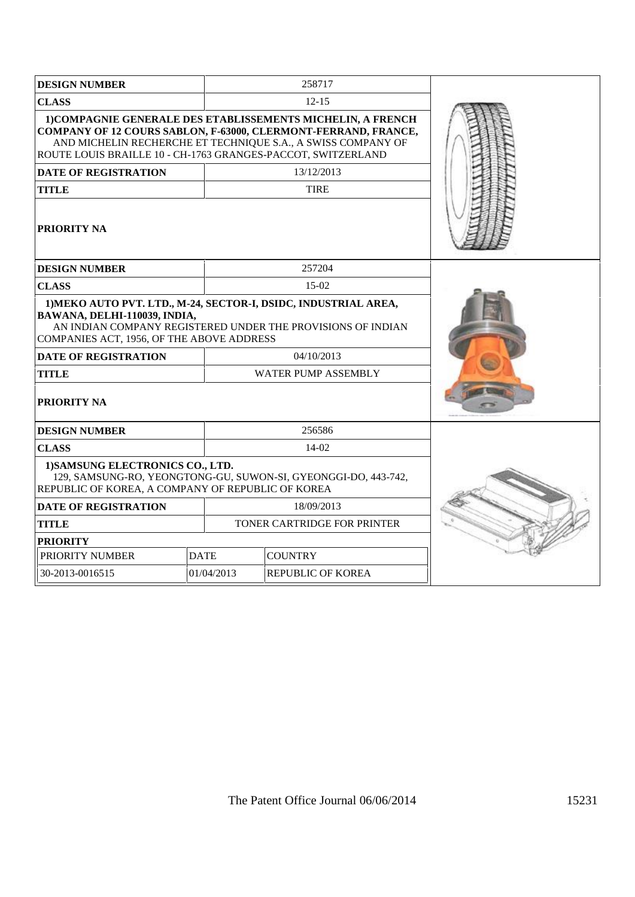| <b>DESIGN NUMBER</b>                                                                                                                                                                                                                                          |             | 258717                             |  |
|---------------------------------------------------------------------------------------------------------------------------------------------------------------------------------------------------------------------------------------------------------------|-------------|------------------------------------|--|
| <b>CLASS</b>                                                                                                                                                                                                                                                  |             | $12 - 15$                          |  |
| 1) COMPAGNIE GENERALE DES ETABLISSEMENTS MICHELIN, A FRENCH<br>COMPANY OF 12 COURS SABLON, F-63000, CLERMONT-FERRAND, FRANCE,<br>AND MICHELIN RECHERCHE ET TECHNIQUE S.A., A SWISS COMPANY OF<br>ROUTE LOUIS BRAILLE 10 - CH-1763 GRANGES-PACCOT, SWITZERLAND |             |                                    |  |
| <b>DATE OF REGISTRATION</b>                                                                                                                                                                                                                                   |             | 13/12/2013                         |  |
| TITLE                                                                                                                                                                                                                                                         |             | <b>TIRE</b>                        |  |
| PRIORITY NA                                                                                                                                                                                                                                                   |             |                                    |  |
| <b>DESIGN NUMBER</b>                                                                                                                                                                                                                                          |             | 257204                             |  |
| <b>CLASS</b>                                                                                                                                                                                                                                                  |             | $15-02$                            |  |
| 1) MEKO AUTO PVT. LTD., M-24, SECTOR-I, DSIDC, INDUSTRIAL AREA,<br>BAWANA, DELHI-110039, INDIA,<br>AN INDIAN COMPANY REGISTERED UNDER THE PROVISIONS OF INDIAN<br>COMPANIES ACT, 1956, OF THE ABOVE ADDRESS                                                   |             |                                    |  |
| <b>DATE OF REGISTRATION</b>                                                                                                                                                                                                                                   | 04/10/2013  |                                    |  |
| <b>TITLE</b>                                                                                                                                                                                                                                                  |             | WATER PUMP ASSEMBLY                |  |
| PRIORITY NA                                                                                                                                                                                                                                                   |             |                                    |  |
| <b>DESIGN NUMBER</b>                                                                                                                                                                                                                                          |             | 256586                             |  |
| <b>CLASS</b>                                                                                                                                                                                                                                                  |             | $14-02$                            |  |
| 1) SAMSUNG ELECTRONICS CO., LTD.<br>129, SAMSUNG-RO, YEONGTONG-GU, SUWON-SI, GYEONGGI-DO, 443-742,<br>REPUBLIC OF KOREA, A COMPANY OF REPUBLIC OF KOREA                                                                                                       |             |                                    |  |
| <b>DATE OF REGISTRATION</b>                                                                                                                                                                                                                                   |             | 18/09/2013                         |  |
| <b>TITLE</b>                                                                                                                                                                                                                                                  |             | <b>TONER CARTRIDGE FOR PRINTER</b> |  |
| <b>PRIORITY</b>                                                                                                                                                                                                                                               |             |                                    |  |
| PRIORITY NUMBER                                                                                                                                                                                                                                               | <b>DATE</b> | <b>COUNTRY</b>                     |  |
| 30-2013-0016515                                                                                                                                                                                                                                               | 01/04/2013  | <b>REPUBLIC OF KOREA</b>           |  |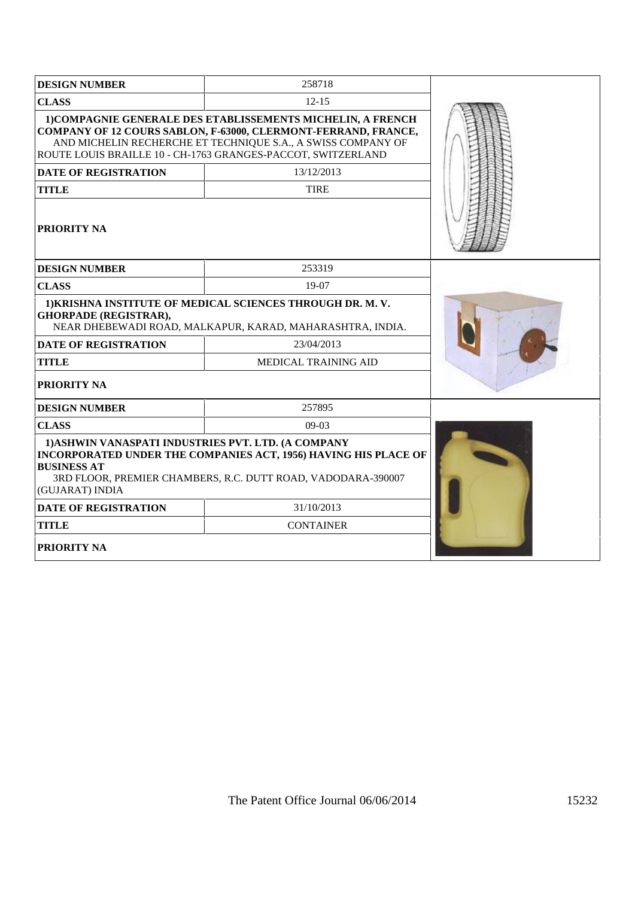| <b>DESIGN NUMBER</b>                                                                                                                                                                                                                                          | 258718                                                                                                                          |  |
|---------------------------------------------------------------------------------------------------------------------------------------------------------------------------------------------------------------------------------------------------------------|---------------------------------------------------------------------------------------------------------------------------------|--|
| <b>CLASS</b>                                                                                                                                                                                                                                                  | $12 - 15$                                                                                                                       |  |
| 1) COMPAGNIE GENERALE DES ETABLISSEMENTS MICHELIN, A FRENCH<br>COMPANY OF 12 COURS SABLON, F-63000, CLERMONT-FERRAND, FRANCE,<br>AND MICHELIN RECHERCHE ET TECHNIQUE S.A., A SWISS COMPANY OF<br>ROUTE LOUIS BRAILLE 10 - CH-1763 GRANGES-PACCOT, SWITZERLAND |                                                                                                                                 |  |
| <b>DATE OF REGISTRATION</b>                                                                                                                                                                                                                                   | 13/12/2013                                                                                                                      |  |
| <b>TITLE</b>                                                                                                                                                                                                                                                  | <b>TIRE</b>                                                                                                                     |  |
| PRIORITY NA                                                                                                                                                                                                                                                   |                                                                                                                                 |  |
| <b>DESIGN NUMBER</b>                                                                                                                                                                                                                                          | 253319                                                                                                                          |  |
| <b>CLASS</b>                                                                                                                                                                                                                                                  | 19-07                                                                                                                           |  |
| 1) KRISHNA INSTITUTE OF MEDICAL SCIENCES THROUGH DR. M.V.<br><b>GHORPADE (REGISTRAR),</b><br>NEAR DHEBEWADI ROAD, MALKAPUR, KARAD, MAHARASHTRA, INDIA.                                                                                                        |                                                                                                                                 |  |
| <b>DATE OF REGISTRATION</b>                                                                                                                                                                                                                                   | 23/04/2013                                                                                                                      |  |
| <b>TITLE</b>                                                                                                                                                                                                                                                  | <b>MEDICAL TRAINING AID</b>                                                                                                     |  |
| PRIORITY NA                                                                                                                                                                                                                                                   |                                                                                                                                 |  |
| <b>DESIGN NUMBER</b>                                                                                                                                                                                                                                          | 257895                                                                                                                          |  |
| <b>CLASS</b>                                                                                                                                                                                                                                                  | 09-03                                                                                                                           |  |
| 1) ASHWIN VANASPATI INDUSTRIES PVT. LTD. (A COMPANY<br><b>BUSINESS AT</b><br>(GUJARAT) INDIA                                                                                                                                                                  | INCORPORATED UNDER THE COMPANIES ACT, 1956) HAVING HIS PLACE OF<br>3RD FLOOR, PREMIER CHAMBERS, R.C. DUTT ROAD, VADODARA-390007 |  |
| <b>DATE OF REGISTRATION</b>                                                                                                                                                                                                                                   | 31/10/2013                                                                                                                      |  |
| <b>TITLE</b>                                                                                                                                                                                                                                                  | <b>CONTAINER</b>                                                                                                                |  |
| <b>PRIORITY NA</b>                                                                                                                                                                                                                                            |                                                                                                                                 |  |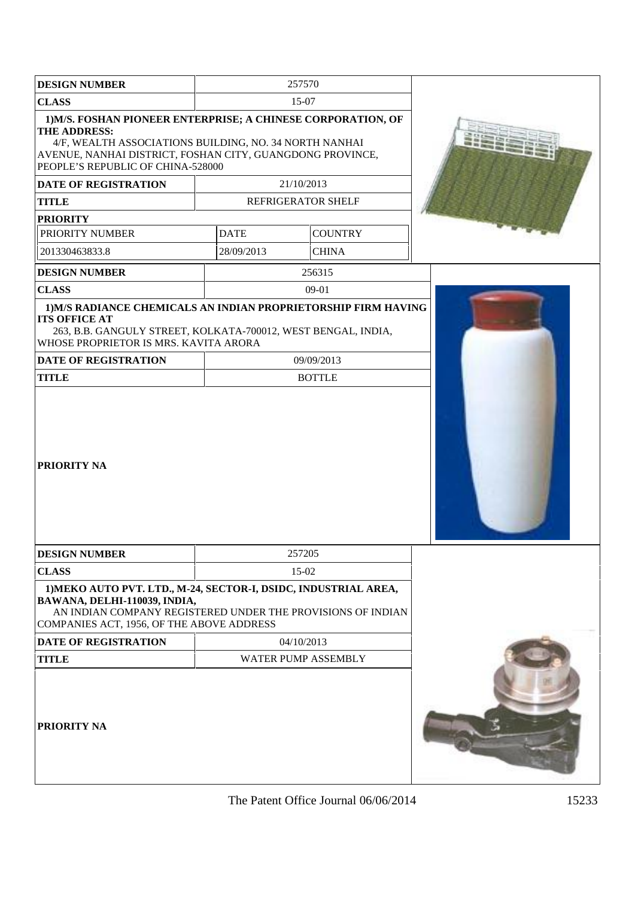| <b>DESIGN NUMBER</b>                                                                                                                                                                                                                            |                     | 257570             |  |
|-------------------------------------------------------------------------------------------------------------------------------------------------------------------------------------------------------------------------------------------------|---------------------|--------------------|--|
| <b>CLASS</b>                                                                                                                                                                                                                                    |                     | 15-07              |  |
| 1) M/S. FOSHAN PIONEER ENTERPRISE; A CHINESE CORPORATION, OF<br><b>THE ADDRESS:</b><br>4/F, WEALTH ASSOCIATIONS BUILDING, NO. 34 NORTH NANHAI<br>AVENUE, NANHAI DISTRICT, FOSHAN CITY, GUANGDONG PROVINCE,<br>PEOPLE'S REPUBLIC OF CHINA-528000 |                     |                    |  |
| DATE OF REGISTRATION                                                                                                                                                                                                                            |                     | 21/10/2013         |  |
| <b>TITLE</b>                                                                                                                                                                                                                                    |                     | REFRIGERATOR SHELF |  |
| <b>PRIORITY</b>                                                                                                                                                                                                                                 |                     |                    |  |
| PRIORITY NUMBER                                                                                                                                                                                                                                 | <b>DATE</b>         | <b>COUNTRY</b>     |  |
| 201330463833.8                                                                                                                                                                                                                                  | 28/09/2013          | <b>CHINA</b>       |  |
| <b>DESIGN NUMBER</b>                                                                                                                                                                                                                            |                     | 256315             |  |
| <b>CLASS</b>                                                                                                                                                                                                                                    |                     | 09-01              |  |
| 1) M/S RADIANCE CHEMICALS AN INDIAN PROPRIETORSHIP FIRM HAVING<br><b>ITS OFFICE AT</b><br>263, B.B. GANGULY STREET, KOLKATA-700012, WEST BENGAL, INDIA,<br>WHOSE PROPRIETOR IS MRS. KAVITA ARORA<br><b>DATE OF REGISTRATION</b>                 |                     | 09/09/2013         |  |
| <b>TITLE</b>                                                                                                                                                                                                                                    |                     | <b>BOTTLE</b>      |  |
| <b>PRIORITY NA</b>                                                                                                                                                                                                                              |                     |                    |  |
| <b>DESIGN NUMBER</b>                                                                                                                                                                                                                            |                     | 257205             |  |
| <b>CLASS</b>                                                                                                                                                                                                                                    |                     | 15-02              |  |
| 1) MEKO AUTO PVT. LTD., M-24, SECTOR-I, DSIDC, INDUSTRIAL AREA,<br>BAWANA, DELHI-110039, INDIA,<br>AN INDIAN COMPANY REGISTERED UNDER THE PROVISIONS OF INDIAN<br>COMPANIES ACT, 1956, OF THE ABOVE ADDRESS                                     |                     |                    |  |
| DATE OF REGISTRATION                                                                                                                                                                                                                            |                     | 04/10/2013         |  |
| <b>TITLE</b>                                                                                                                                                                                                                                    | WATER PUMP ASSEMBLY |                    |  |
| <b>PRIORITY NA</b>                                                                                                                                                                                                                              |                     |                    |  |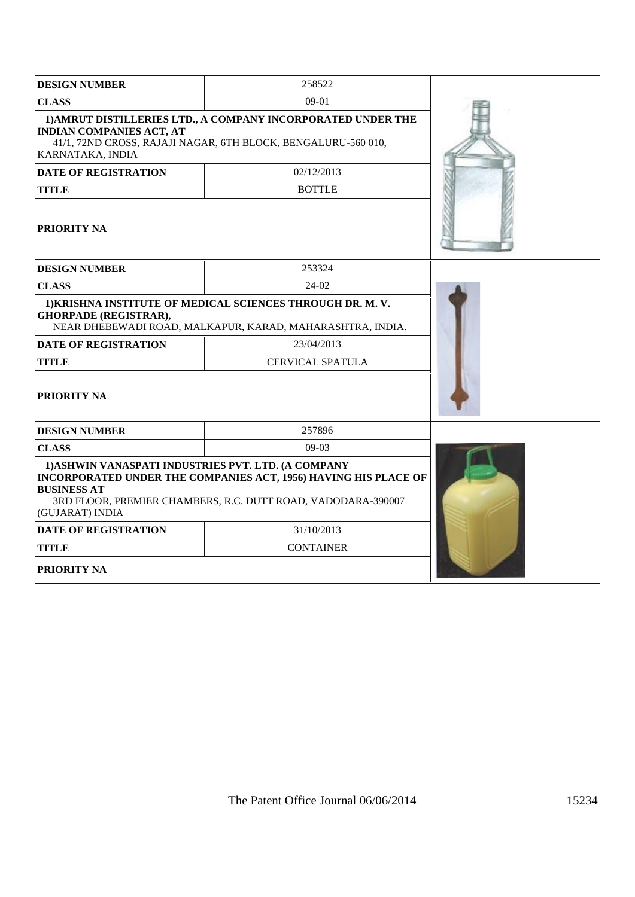| <b>DESIGN NUMBER</b>                                                                         | 258522                                                                                                                          |  |
|----------------------------------------------------------------------------------------------|---------------------------------------------------------------------------------------------------------------------------------|--|
| <b>CLASS</b>                                                                                 | $09-01$                                                                                                                         |  |
| <b>INDIAN COMPANIES ACT, AT</b><br>KARNATAKA, INDIA                                          | 1) AMRUT DISTILLERIES LTD., A COMPANY INCORPORATED UNDER THE<br>41/1, 72ND CROSS, RAJAJI NAGAR, 6TH BLOCK, BENGALURU-560 010,   |  |
| <b>DATE OF REGISTRATION</b>                                                                  | 02/12/2013                                                                                                                      |  |
| <b>TITLE</b>                                                                                 | <b>BOTTLE</b>                                                                                                                   |  |
| <b>PRIORITY NA</b>                                                                           |                                                                                                                                 |  |
| <b>DESIGN NUMBER</b>                                                                         | 253324                                                                                                                          |  |
| <b>CLASS</b>                                                                                 | $24-02$                                                                                                                         |  |
| <b>GHORPADE (REGISTRAR),</b>                                                                 | 1) KRISHNA INSTITUTE OF MEDICAL SCIENCES THROUGH DR. M.V.<br>NEAR DHEBEWADI ROAD, MALKAPUR, KARAD, MAHARASHTRA, INDIA.          |  |
| <b>DATE OF REGISTRATION</b>                                                                  | 23/04/2013                                                                                                                      |  |
| <b>TITLE</b>                                                                                 | <b>CERVICAL SPATULA</b>                                                                                                         |  |
| PRIORITY NA                                                                                  |                                                                                                                                 |  |
| <b>DESIGN NUMBER</b>                                                                         | 257896                                                                                                                          |  |
| <b>CLASS</b>                                                                                 | $09-03$                                                                                                                         |  |
| 1) ASHWIN VANASPATI INDUSTRIES PVT. LTD. (A COMPANY<br><b>BUSINESS AT</b><br>(GUJARAT) INDIA | INCORPORATED UNDER THE COMPANIES ACT, 1956) HAVING HIS PLACE OF<br>3RD FLOOR, PREMIER CHAMBERS, R.C. DUTT ROAD, VADODARA-390007 |  |
| <b>DATE OF REGISTRATION</b>                                                                  | 31/10/2013                                                                                                                      |  |
| <b>TITLE</b>                                                                                 | <b>CONTAINER</b>                                                                                                                |  |
| <b>PRIORITY NA</b>                                                                           |                                                                                                                                 |  |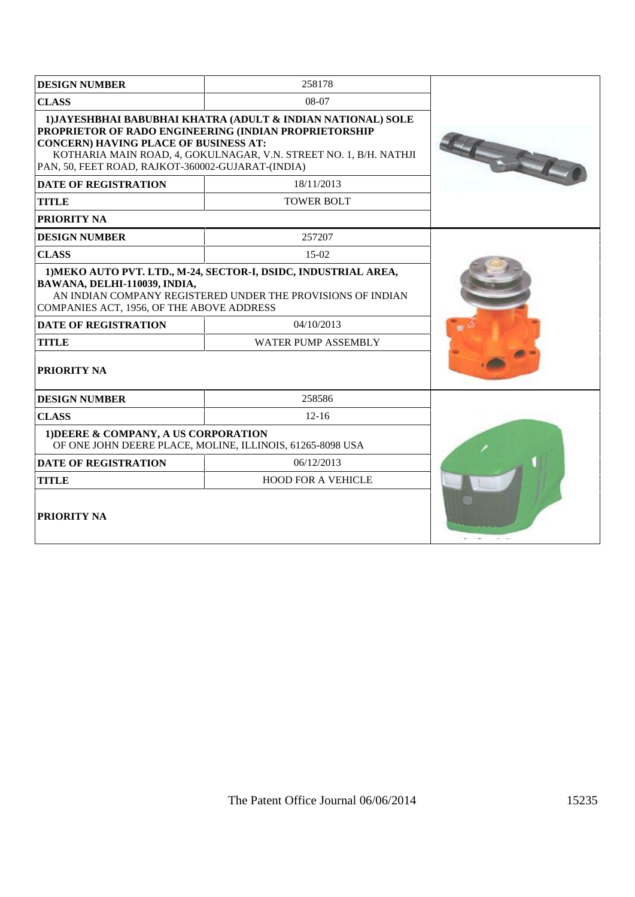| <b>DESIGN NUMBER</b>                                                                                                                           | 258178                                                                                                                                                                                     |          |
|------------------------------------------------------------------------------------------------------------------------------------------------|--------------------------------------------------------------------------------------------------------------------------------------------------------------------------------------------|----------|
| <b>CLASS</b>                                                                                                                                   | 08-07                                                                                                                                                                                      |          |
| <b>CONCERN) HAVING PLACE OF BUSINESS AT:</b><br>PAN, 50, FEET ROAD, RAJKOT-360002-GUJARAT-(INDIA)                                              | 1) JAYESHBHAI BABUBHAI KHATRA (ADULT & INDIAN NATIONAL) SOLE<br>PROPRIETOR OF RADO ENGINEERING (INDIAN PROPRIETORSHIP<br>KOTHARIA MAIN ROAD, 4, GOKULNAGAR, V.N. STREET NO. 1, B/H. NATHJI | Hospital |
| <b>DATE OF REGISTRATION</b>                                                                                                                    | 18/11/2013                                                                                                                                                                                 |          |
| <b>TITLE</b>                                                                                                                                   | <b>TOWER BOLT</b>                                                                                                                                                                          |          |
| <b>PRIORITY NA</b>                                                                                                                             |                                                                                                                                                                                            |          |
| <b>DESIGN NUMBER</b>                                                                                                                           | 257207                                                                                                                                                                                     |          |
| <b>CLASS</b>                                                                                                                                   | 15-02                                                                                                                                                                                      |          |
| BAWANA, DELHI-110039, INDIA,<br>COMPANIES ACT, 1956, OF THE ABOVE ADDRESS<br><b>DATE OF REGISTRATION</b><br><b>TITLE</b><br><b>PRIORITY NA</b> | 1) MEKO AUTO PVT, LTD., M-24, SECTOR-I, DSIDC, INDUSTRIAL AREA,<br>AN INDIAN COMPANY REGISTERED UNDER THE PROVISIONS OF INDIAN<br>04/10/2013<br><b>WATER PUMP ASSEMBLY</b>                 |          |
| <b>DESIGN NUMBER</b>                                                                                                                           | 258586                                                                                                                                                                                     |          |
| <b>CLASS</b>                                                                                                                                   | $12 - 16$                                                                                                                                                                                  |          |
| 1) DEERE & COMPANY, A US CORPORATION                                                                                                           | OF ONE JOHN DEERE PLACE, MOLINE, ILLINOIS, 61265-8098 USA                                                                                                                                  |          |
| <b>DATE OF REGISTRATION</b>                                                                                                                    | 06/12/2013                                                                                                                                                                                 |          |
| <b>TITLE</b>                                                                                                                                   | <b>HOOD FOR A VEHICLE</b>                                                                                                                                                                  |          |
| <b>PRIORITY NA</b>                                                                                                                             |                                                                                                                                                                                            |          |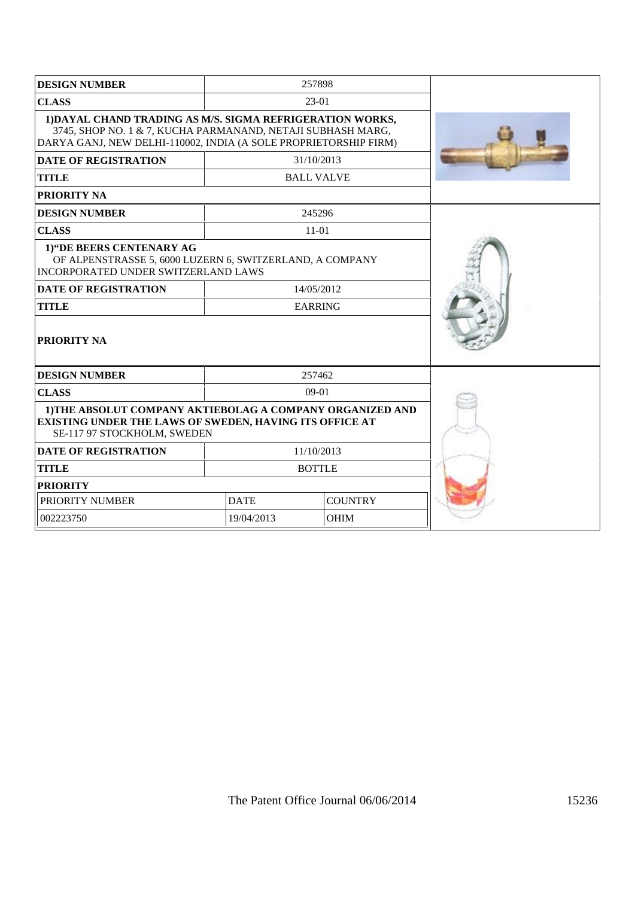| <b>DESIGN NUMBER</b>                                                                                                                                                                         |                               | 257898            |  |
|----------------------------------------------------------------------------------------------------------------------------------------------------------------------------------------------|-------------------------------|-------------------|--|
| <b>CLASS</b>                                                                                                                                                                                 |                               | $23-01$           |  |
| 1) DAYAL CHAND TRADING AS M/S. SIGMA REFRIGERATION WORKS,<br>3745, SHOP NO. 1 & 7, KUCHA PARMANAND, NETAJI SUBHASH MARG,<br>DARYA GANJ, NEW DELHI-110002, INDIA (A SOLE PROPRIETORSHIP FIRM) |                               |                   |  |
| <b>DATE OF REGISTRATION</b>                                                                                                                                                                  |                               | 31/10/2013        |  |
| <b>TITLE</b>                                                                                                                                                                                 |                               | <b>BALL VALVE</b> |  |
| <b>PRIORITY NA</b>                                                                                                                                                                           |                               |                   |  |
| <b>DESIGN NUMBER</b>                                                                                                                                                                         |                               | 245296            |  |
| <b>CLASS</b>                                                                                                                                                                                 |                               | 11-01             |  |
| 1) "DE BEERS CENTENARY AG<br>OF ALPENSTRASSE 5, 6000 LUZERN 6, SWITZERLAND, A COMPANY<br>INCORPORATED UNDER SWITZERLAND LAWS                                                                 |                               |                   |  |
| <b>DATE OF REGISTRATION</b>                                                                                                                                                                  | 14/05/2012                    |                   |  |
| <b>TITLE</b>                                                                                                                                                                                 |                               | <b>EARRING</b>    |  |
| <b>PRIORITY NA</b>                                                                                                                                                                           |                               |                   |  |
| <b>DESIGN NUMBER</b>                                                                                                                                                                         |                               | 257462            |  |
| <b>CLASS</b>                                                                                                                                                                                 | $09-01$                       |                   |  |
| 1) THE ABSOLUT COMPANY AKTIEBOLAG A COMPANY ORGANIZED AND<br><b>EXISTING UNDER THE LAWS OF SWEDEN, HAVING ITS OFFICE AT</b><br>SE-117 97 STOCKHOLM, SWEDEN                                   |                               |                   |  |
| <b>DATE OF REGISTRATION</b>                                                                                                                                                                  | 11/10/2013                    |                   |  |
| <b>TITLE</b>                                                                                                                                                                                 | <b>BOTTLE</b>                 |                   |  |
| <b>PRIORITY</b>                                                                                                                                                                              |                               |                   |  |
| PRIORITY NUMBER                                                                                                                                                                              | <b>DATE</b><br><b>COUNTRY</b> |                   |  |
| 002223750                                                                                                                                                                                    | 19/04/2013<br><b>OHIM</b>     |                   |  |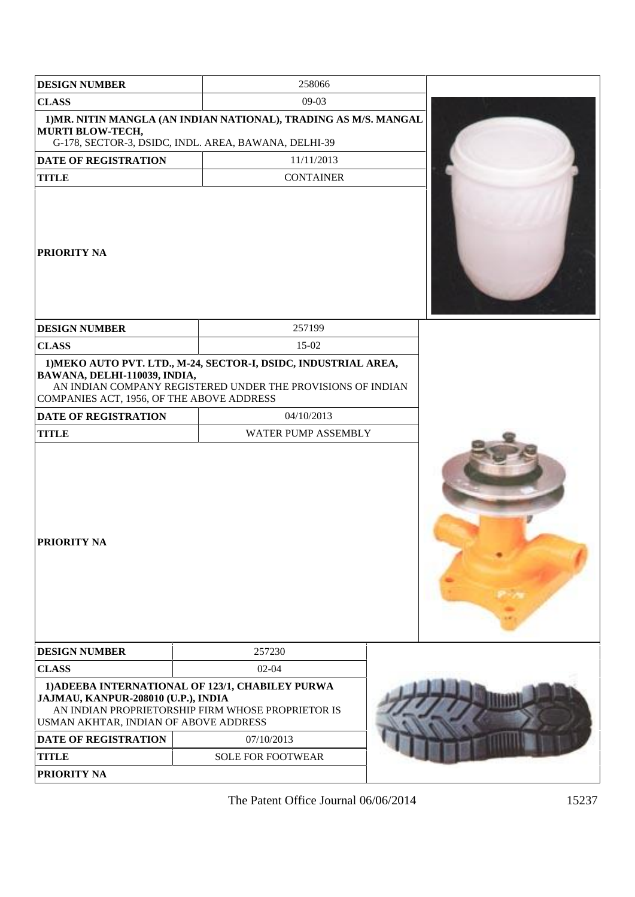| <b>DESIGN NUMBER</b>                                                         | 258066                                                                                                                         |  |
|------------------------------------------------------------------------------|--------------------------------------------------------------------------------------------------------------------------------|--|
| <b>CLASS</b>                                                                 | 09-03                                                                                                                          |  |
| <b>MURTI BLOW-TECH,</b>                                                      | 1) MR. NITIN MANGLA (AN INDIAN NATIONAL), TRADING AS M/S. MANGAL<br>G-178, SECTOR-3, DSIDC, INDL. AREA, BAWANA, DELHI-39       |  |
| DATE OF REGISTRATION                                                         | 11/11/2013                                                                                                                     |  |
| <b>TITLE</b>                                                                 | <b>CONTAINER</b>                                                                                                               |  |
| <b>PRIORITY NA</b>                                                           |                                                                                                                                |  |
| <b>DESIGN NUMBER</b>                                                         | 257199                                                                                                                         |  |
| <b>CLASS</b>                                                                 | 15-02                                                                                                                          |  |
| BAWANA, DELHI-110039, INDIA,<br>COMPANIES ACT, 1956, OF THE ABOVE ADDRESS    | 1) MEKO AUTO PVT. LTD., M-24, SECTOR-I, DSIDC, INDUSTRIAL AREA,<br>AN INDIAN COMPANY REGISTERED UNDER THE PROVISIONS OF INDIAN |  |
| DATE OF REGISTRATION                                                         | 04/10/2013                                                                                                                     |  |
| <b>TITLE</b>                                                                 | WATER PUMP ASSEMBLY                                                                                                            |  |
| <b>PRIORITY NA</b>                                                           |                                                                                                                                |  |
| <b>DESIGN NUMBER</b>                                                         | 257230                                                                                                                         |  |
| <b>CLASS</b>                                                                 | $02 - 04$                                                                                                                      |  |
| JAJMAU, KANPUR-208010 (U.P.), INDIA<br>USMAN AKHTAR, INDIAN OF ABOVE ADDRESS | 1) ADEEBA INTERNATIONAL OF 123/1, CHABILEY PURWA<br>AN INDIAN PROPRIETORSHIP FIRM WHOSE PROPRIETOR IS                          |  |
| <b>DATE OF REGISTRATION</b>                                                  | 07/10/2013                                                                                                                     |  |
| <b>TITLE</b>                                                                 | <b>SOLE FOR FOOTWEAR</b>                                                                                                       |  |
| <b>PRIORITY NA</b>                                                           |                                                                                                                                |  |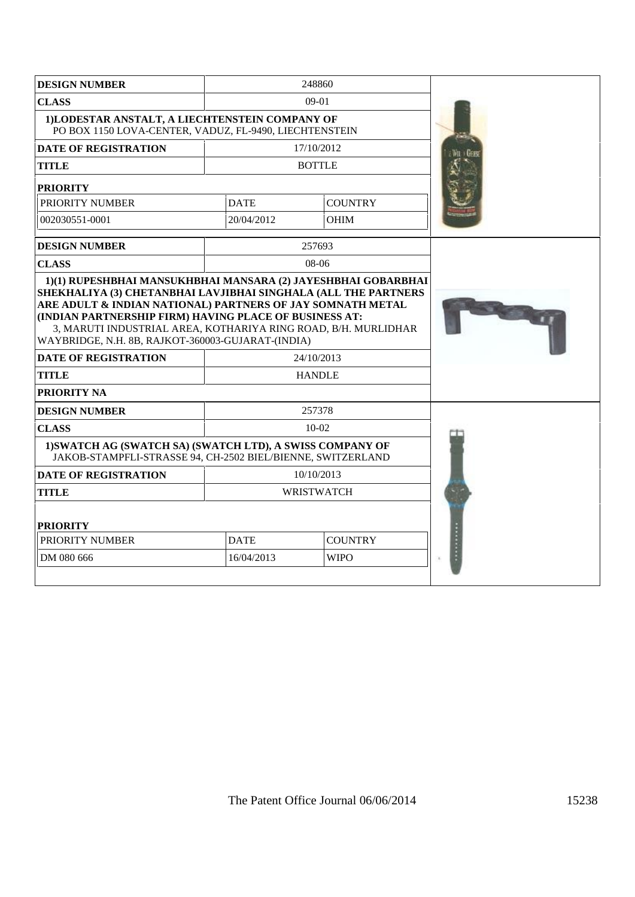| <b>DESIGN NUMBER</b>                                                                                                                                       |                                                                                               | 248860         |  |
|------------------------------------------------------------------------------------------------------------------------------------------------------------|-----------------------------------------------------------------------------------------------|----------------|--|
| <b>CLASS</b>                                                                                                                                               |                                                                                               | $09-01$        |  |
| 1)LODESTAR ANSTALT, A LIECHTENSTEIN COMPANY OF<br>PO BOX 1150 LOVA-CENTER, VADUZ, FL-9490, LIECHTENSTEIN                                                   |                                                                                               |                |  |
| <b>DATE OF REGISTRATION</b>                                                                                                                                |                                                                                               | 17/10/2012     |  |
| <b>TITLE</b>                                                                                                                                               |                                                                                               | <b>BOTTLE</b>  |  |
| <b>PRIORITY</b>                                                                                                                                            |                                                                                               |                |  |
| PRIORITY NUMBER                                                                                                                                            | <b>DATE</b>                                                                                   | <b>COUNTRY</b> |  |
| 002030551-0001                                                                                                                                             | 20/04/2012                                                                                    | <b>OHIM</b>    |  |
| <b>DESIGN NUMBER</b>                                                                                                                                       |                                                                                               | 257693         |  |
| <b>CLASS</b>                                                                                                                                               |                                                                                               | 08-06          |  |
| (INDIAN PARTNERSHIP FIRM) HAVING PLACE OF BUSINESS AT:<br>WAYBRIDGE, N.H. 8B, RAJKOT-360003-GUJARAT-(INDIA)<br><b>DATE OF REGISTRATION</b><br><b>TITLE</b> | 3, MARUTI INDUSTRIAL AREA, KOTHARIYA RING ROAD, B/H. MURLIDHAR<br>24/10/2013<br><b>HANDLE</b> |                |  |
| <b>PRIORITY NA</b>                                                                                                                                         |                                                                                               |                |  |
| <b>DESIGN NUMBER</b>                                                                                                                                       |                                                                                               | 257378         |  |
| <b>CLASS</b>                                                                                                                                               | $10-02$                                                                                       |                |  |
| 1) SWATCH AG (SWATCH SA) (SWATCH LTD), A SWISS COMPANY OF<br>JAKOB-STAMPFLI-STRASSE 94, CH-2502 BIEL/BIENNE, SWITZERLAND                                   |                                                                                               |                |  |
| <b>DATE OF REGISTRATION</b>                                                                                                                                | 10/10/2013                                                                                    |                |  |
| <b>TITLE</b>                                                                                                                                               | <b>WRISTWATCH</b>                                                                             |                |  |
| <b>PRIORITY</b>                                                                                                                                            |                                                                                               |                |  |
| PRIORITY NUMBER                                                                                                                                            | <b>COUNTRY</b><br><b>DATE</b>                                                                 |                |  |
| DM 080 666                                                                                                                                                 | 16/04/2013<br><b>WIPO</b>                                                                     |                |  |
|                                                                                                                                                            |                                                                                               |                |  |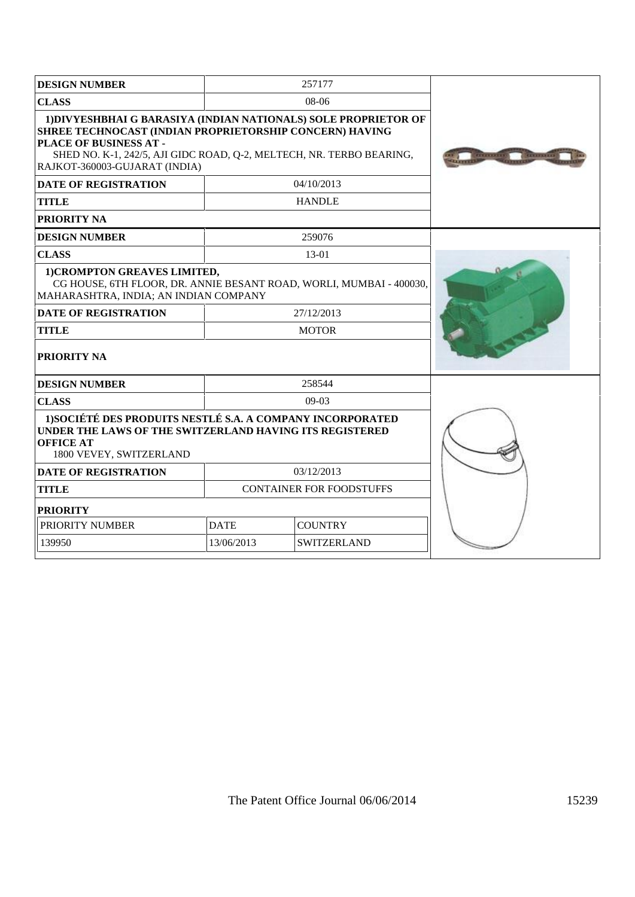| <b>DESIGN NUMBER</b>                                                                                                                                                                                                                                          |                                 | 257177             |  |
|---------------------------------------------------------------------------------------------------------------------------------------------------------------------------------------------------------------------------------------------------------------|---------------------------------|--------------------|--|
| <b>CLASS</b>                                                                                                                                                                                                                                                  |                                 | $08-06$            |  |
| 1) DIVYESHBHAI G BARASIYA (INDIAN NATIONALS) SOLE PROPRIETOR OF<br>SHREE TECHNOCAST (INDIAN PROPRIETORSHIP CONCERN) HAVING<br>PLACE OF BUSINESS AT -<br>SHED NO. K-1, 242/5, AJI GIDC ROAD, Q-2, MELTECH, NR. TERBO BEARING,<br>RAJKOT-360003-GUJARAT (INDIA) |                                 |                    |  |
| <b>DATE OF REGISTRATION</b>                                                                                                                                                                                                                                   |                                 | 04/10/2013         |  |
| <b>TITLE</b>                                                                                                                                                                                                                                                  |                                 | <b>HANDLE</b>      |  |
| PRIORITY NA                                                                                                                                                                                                                                                   |                                 |                    |  |
| <b>DESIGN NUMBER</b>                                                                                                                                                                                                                                          |                                 | 259076             |  |
| <b>CLASS</b>                                                                                                                                                                                                                                                  |                                 | 13-01              |  |
| 1) CROMPTON GREAVES LIMITED,<br>CG HOUSE, 6TH FLOOR, DR. ANNIE BESANT ROAD, WORLI, MUMBAI - 400030,<br>MAHARASHTRA, INDIA; AN INDIAN COMPANY                                                                                                                  |                                 |                    |  |
| <b>DATE OF REGISTRATION</b>                                                                                                                                                                                                                                   |                                 | 27/12/2013         |  |
| <b>TITLE</b>                                                                                                                                                                                                                                                  |                                 | <b>MOTOR</b>       |  |
| <b>PRIORITY NA</b>                                                                                                                                                                                                                                            |                                 |                    |  |
| <b>DESIGN NUMBER</b>                                                                                                                                                                                                                                          |                                 | 258544             |  |
| <b>CLASS</b>                                                                                                                                                                                                                                                  |                                 | $09-03$            |  |
| 1) SOCIÉTÉ DES PRODUITS NESTLÉ S.A. A COMPANY INCORPORATED<br>UNDER THE LAWS OF THE SWITZERLAND HAVING ITS REGISTERED<br><b>OFFICE AT</b><br>1800 VEVEY, SWITZERLAND                                                                                          |                                 |                    |  |
| <b>DATE OF REGISTRATION</b>                                                                                                                                                                                                                                   |                                 | 03/12/2013         |  |
| <b>TITLE</b>                                                                                                                                                                                                                                                  | <b>CONTAINER FOR FOODSTUFFS</b> |                    |  |
| <b>PRIORITY</b>                                                                                                                                                                                                                                               |                                 |                    |  |
| PRIORITY NUMBER                                                                                                                                                                                                                                               | <b>DATE</b>                     | <b>COUNTRY</b>     |  |
| 139950                                                                                                                                                                                                                                                        | 13/06/2013                      | <b>SWITZERLAND</b> |  |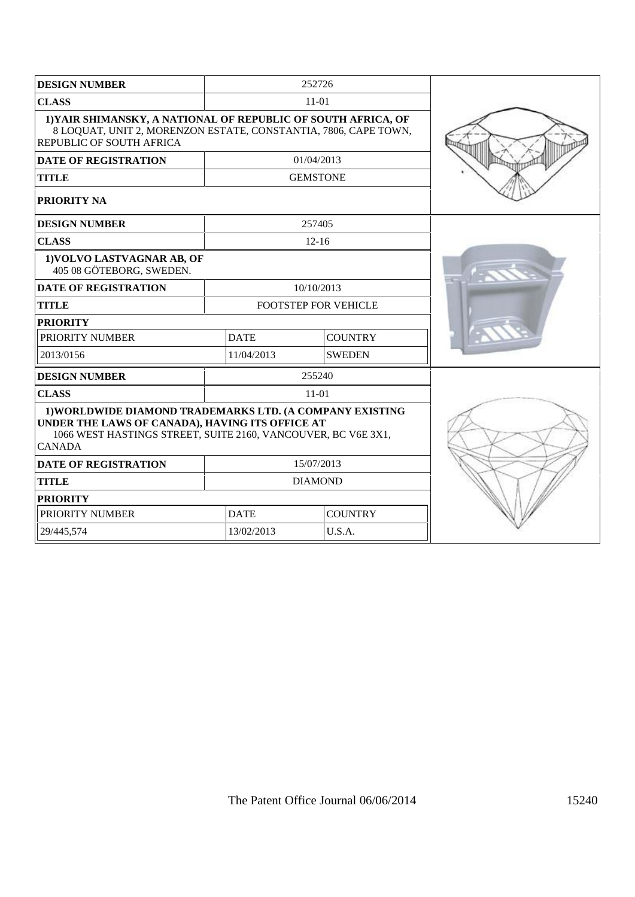| <b>DESIGN NUMBER</b>                                                                                                                                                                          |                               | 252726          |  |
|-----------------------------------------------------------------------------------------------------------------------------------------------------------------------------------------------|-------------------------------|-----------------|--|
| <b>CLASS</b>                                                                                                                                                                                  |                               | $11-01$         |  |
| 1) YAIR SHIMANSKY, A NATIONAL OF REPUBLIC OF SOUTH AFRICA, OF<br>8 LOQUAT, UNIT 2, MORENZON ESTATE, CONSTANTIA, 7806, CAPE TOWN,<br>REPUBLIC OF SOUTH AFRICA                                  |                               |                 |  |
| <b>DATE OF REGISTRATION</b>                                                                                                                                                                   | 01/04/2013                    |                 |  |
| <b>TITLE</b>                                                                                                                                                                                  |                               | <b>GEMSTONE</b> |  |
| <b>PRIORITY NA</b>                                                                                                                                                                            |                               |                 |  |
| <b>DESIGN NUMBER</b>                                                                                                                                                                          |                               | 257405          |  |
| <b>CLASS</b>                                                                                                                                                                                  |                               | $12 - 16$       |  |
| 1) VOLVO LASTVAGNAR AB, OF<br>405 08 GÖTEBORG, SWEDEN.                                                                                                                                        |                               |                 |  |
| <b>DATE OF REGISTRATION</b>                                                                                                                                                                   | 10/10/2013                    |                 |  |
| <b>TITLE</b>                                                                                                                                                                                  | <b>FOOTSTEP FOR VEHICLE</b>   |                 |  |
| <b>PRIORITY</b>                                                                                                                                                                               |                               |                 |  |
| PRIORITY NUMBER                                                                                                                                                                               | <b>COUNTRY</b><br><b>DATE</b> |                 |  |
| 2013/0156                                                                                                                                                                                     | <b>SWEDEN</b><br>11/04/2013   |                 |  |
| <b>DESIGN NUMBER</b>                                                                                                                                                                          |                               | 255240          |  |
| <b>CLASS</b>                                                                                                                                                                                  |                               | $11-01$         |  |
| 1) WORLDWIDE DIAMOND TRADEMARKS LTD. (A COMPANY EXISTING<br>UNDER THE LAWS OF CANADA), HAVING ITS OFFICE AT<br>1066 WEST HASTINGS STREET, SUITE 2160, VANCOUVER, BC V6E 3X1,<br><b>CANADA</b> |                               |                 |  |
| <b>DATE OF REGISTRATION</b>                                                                                                                                                                   |                               | 15/07/2013      |  |
| <b>TITLE</b>                                                                                                                                                                                  | <b>DIAMOND</b>                |                 |  |
| <b>PRIORITY</b>                                                                                                                                                                               |                               |                 |  |
| PRIORITY NUMBER                                                                                                                                                                               | <b>DATE</b><br><b>COUNTRY</b> |                 |  |
| 29/445,574                                                                                                                                                                                    | 13/02/2013                    | U.S.A.          |  |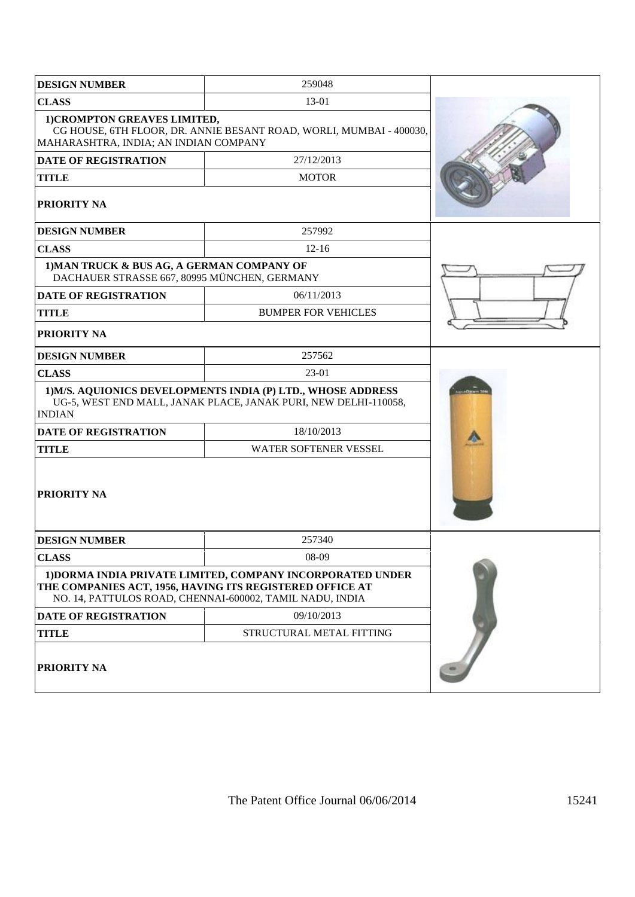| <b>DESIGN NUMBER</b>                                                                       | 259048                                                                                                                          |  |
|--------------------------------------------------------------------------------------------|---------------------------------------------------------------------------------------------------------------------------------|--|
| <b>CLASS</b>                                                                               | 13-01                                                                                                                           |  |
| 1) CROMPTON GREAVES LIMITED,<br>MAHARASHTRA, INDIA; AN INDIAN COMPANY                      | CG HOUSE, 6TH FLOOR, DR. ANNIE BESANT ROAD, WORLI, MUMBAI - 400030,                                                             |  |
| <b>DATE OF REGISTRATION</b>                                                                | 27/12/2013                                                                                                                      |  |
| <b>TITLE</b>                                                                               | <b>MOTOR</b>                                                                                                                    |  |
| <b>PRIORITY NA</b>                                                                         |                                                                                                                                 |  |
| <b>DESIGN NUMBER</b>                                                                       | 257992                                                                                                                          |  |
| <b>CLASS</b>                                                                               | $12 - 16$                                                                                                                       |  |
| 1) MAN TRUCK & BUS AG, A GERMAN COMPANY OF<br>DACHAUER STRASSE 667, 80995 MÜNCHEN, GERMANY |                                                                                                                                 |  |
| <b>DATE OF REGISTRATION</b>                                                                | 06/11/2013                                                                                                                      |  |
| <b>TITLE</b>                                                                               | <b>BUMPER FOR VEHICLES</b>                                                                                                      |  |
| PRIORITY NA                                                                                |                                                                                                                                 |  |
| <b>DESIGN NUMBER</b>                                                                       | 257562                                                                                                                          |  |
| <b>CLASS</b>                                                                               | 23-01                                                                                                                           |  |
| <b>INDIAN</b>                                                                              | 1) M/S. AQUIONICS DEVELOPMENTS INDIA (P) LTD., WHOSE ADDRESS<br>UG-5, WEST END MALL, JANAK PLACE, JANAK PURI, NEW DELHI-110058, |  |
| <b>DATE OF REGISTRATION</b>                                                                | 18/10/2013                                                                                                                      |  |
| <b>TITLE</b>                                                                               | WATER SOFTENER VESSEL                                                                                                           |  |
| PRIORITY NA                                                                                |                                                                                                                                 |  |
| <b>DESIGN NUMBER</b>                                                                       | 257340                                                                                                                          |  |
| <b>CLASS</b>                                                                               | 08-09                                                                                                                           |  |
| THE COMPANIES ACT, 1956, HAVING ITS REGISTERED OFFICE AT                                   | 1) DORMA INDIA PRIVATE LIMITED, COMPANY INCORPORATED UNDER<br>NO. 14, PATTULOS ROAD, CHENNAI-600002, TAMIL NADU, INDIA          |  |
| <b>DATE OF REGISTRATION</b>                                                                | 09/10/2013                                                                                                                      |  |
| <b>TITLE</b>                                                                               | STRUCTURAL METAL FITTING                                                                                                        |  |
| <b>PRIORITY NA</b>                                                                         |                                                                                                                                 |  |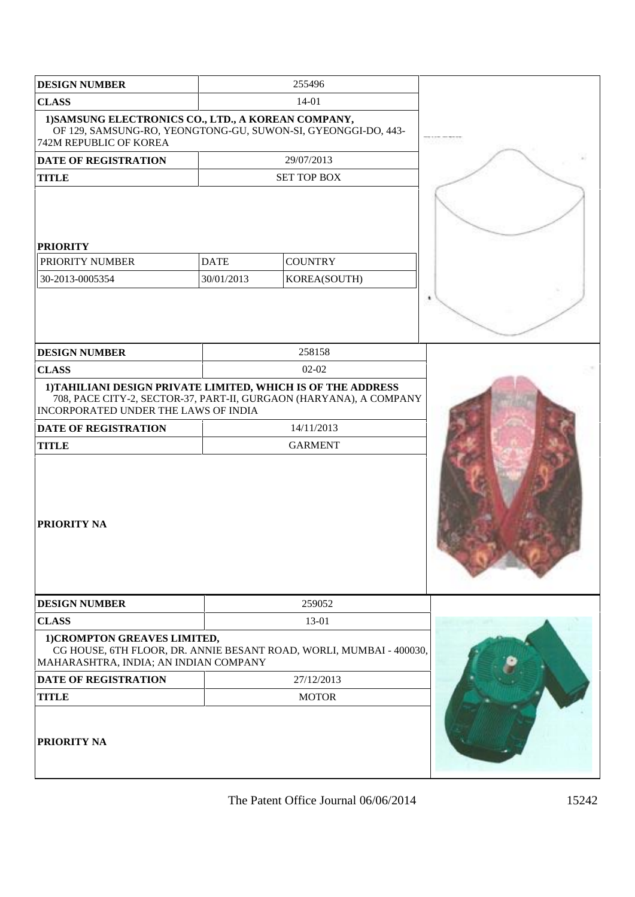| <b>DESIGN NUMBER</b>                                                                                                                           |                           | 255496                                                              |   |
|------------------------------------------------------------------------------------------------------------------------------------------------|---------------------------|---------------------------------------------------------------------|---|
| <b>CLASS</b>                                                                                                                                   |                           | 14-01                                                               |   |
| 1) SAMSUNG ELECTRONICS CO., LTD., A KOREAN COMPANY,<br>OF 129, SAMSUNG-RO, YEONGTONG-GU, SUWON-SI, GYEONGGI-DO, 443-<br>742M REPUBLIC OF KOREA |                           |                                                                     |   |
| <b>DATE OF REGISTRATION</b>                                                                                                                    |                           | 29/07/2013                                                          |   |
| <b>TITLE</b>                                                                                                                                   |                           | <b>SET TOP BOX</b>                                                  |   |
| <b>PRIORITY</b><br>PRIORITY NUMBER<br>30-2013-0005354                                                                                          | <b>DATE</b><br>30/01/2013 | <b>COUNTRY</b><br>KOREA(SOUTH)                                      |   |
|                                                                                                                                                |                           |                                                                     | ٠ |
| <b>DESIGN NUMBER</b>                                                                                                                           |                           | 258158                                                              |   |
| <b>CLASS</b>                                                                                                                                   |                           | $02 - 02$                                                           |   |
| 1) TAHILIANI DESIGN PRIVATE LIMITED, WHICH IS OF THE ADDRESS<br>INCORPORATED UNDER THE LAWS OF INDIA                                           |                           | 708, PACE CITY-2, SECTOR-37, PART-II, GURGAON (HARYANA), A COMPANY  |   |
| <b>DATE OF REGISTRATION</b>                                                                                                                    |                           | 14/11/2013                                                          |   |
| <b>TITLE</b>                                                                                                                                   |                           | <b>GARMENT</b>                                                      |   |
| <b>PRIORITY NA</b>                                                                                                                             |                           |                                                                     |   |
| <b>DESIGN NUMBER</b>                                                                                                                           |                           | 259052                                                              |   |
| <b>CLASS</b>                                                                                                                                   |                           | 13-01                                                               |   |
| 1) CROMPTON GREAVES LIMITED,<br>MAHARASHTRA, INDIA; AN INDIAN COMPANY                                                                          |                           | CG HOUSE, 6TH FLOOR, DR. ANNIE BESANT ROAD, WORLI, MUMBAI - 400030, |   |
| <b>DATE OF REGISTRATION</b>                                                                                                                    |                           | 27/12/2013                                                          |   |
| <b>TITLE</b>                                                                                                                                   |                           | <b>MOTOR</b>                                                        |   |
| <b>PRIORITY NA</b>                                                                                                                             |                           |                                                                     |   |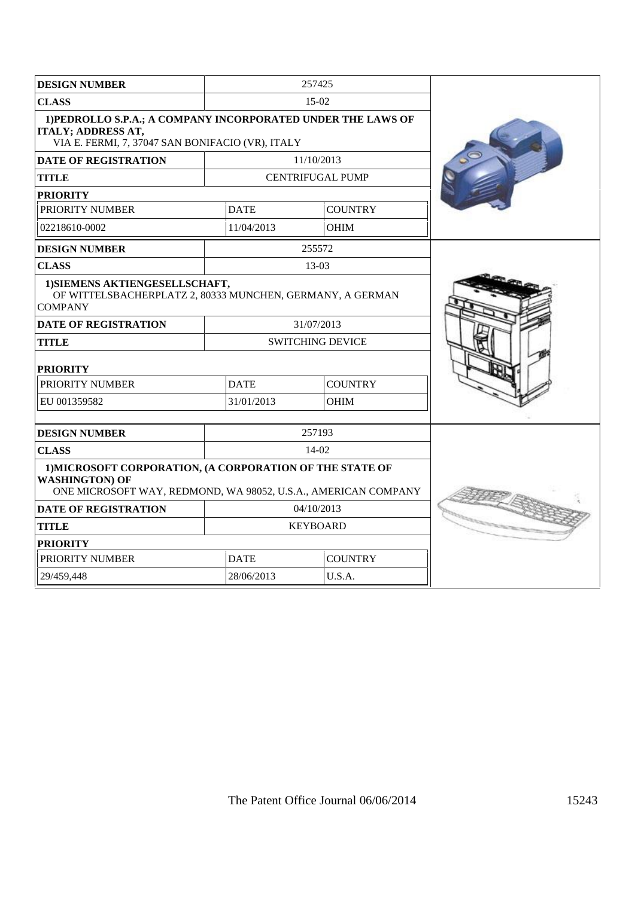| <b>DESIGN NUMBER</b>                                                                                                                                       | 257425                        |                         |  |
|------------------------------------------------------------------------------------------------------------------------------------------------------------|-------------------------------|-------------------------|--|
| <b>CLASS</b>                                                                                                                                               | $15-02$                       |                         |  |
| 1) PEDROLLO S.P.A.; A COMPANY INCORPORATED UNDER THE LAWS OF<br><b>ITALY; ADDRESS AT,</b><br>VIA E. FERMI, 7, 37047 SAN BONIFACIO (VR), ITALY              |                               |                         |  |
| <b>DATE OF REGISTRATION</b>                                                                                                                                |                               | 11/10/2013              |  |
| <b>TITLE</b>                                                                                                                                               |                               | <b>CENTRIFUGAL PUMP</b> |  |
| <b>PRIORITY</b>                                                                                                                                            |                               |                         |  |
| PRIORITY NUMBER                                                                                                                                            | <b>DATE</b>                   | <b>COUNTRY</b>          |  |
| 02218610-0002                                                                                                                                              | 11/04/2013                    | <b>OHIM</b>             |  |
| <b>DESIGN NUMBER</b>                                                                                                                                       |                               | 255572                  |  |
| <b>CLASS</b>                                                                                                                                               |                               | 13-03                   |  |
| 1) SIEMENS AKTIENGESELLSCHAFT,<br>OF WITTELSBACHERPLATZ 2, 80333 MUNCHEN, GERMANY, A GERMAN<br><b>COMPANY</b><br>31/07/2013<br><b>DATE OF REGISTRATION</b> |                               |                         |  |
| <b>TITLE</b>                                                                                                                                               | <b>SWITCHING DEVICE</b>       |                         |  |
| <b>PRIORITY</b>                                                                                                                                            |                               |                         |  |
| PRIORITY NUMBER                                                                                                                                            | <b>DATE</b><br><b>COUNTRY</b> |                         |  |
| EU 001359582                                                                                                                                               | 31/01/2013<br><b>OHIM</b>     |                         |  |
|                                                                                                                                                            |                               |                         |  |
| <b>DESIGN NUMBER</b>                                                                                                                                       |                               | 257193                  |  |
| <b>CLASS</b>                                                                                                                                               | 14-02                         |                         |  |
| 1) MICROSOFT CORPORATION, (A CORPORATION OF THE STATE OF<br><b>WASHINGTON) OF</b><br>ONE MICROSOFT WAY, REDMOND, WA 98052, U.S.A., AMERICAN COMPANY        |                               |                         |  |
| <b>DATE OF REGISTRATION</b>                                                                                                                                | 04/10/2013                    |                         |  |
| <b>TITLE</b>                                                                                                                                               | <b>KEYBOARD</b>               |                         |  |
| <b>PRIORITY</b>                                                                                                                                            |                               |                         |  |
| PRIORITY NUMBER                                                                                                                                            | <b>DATE</b>                   | <b>COUNTRY</b>          |  |
| 29/459,448                                                                                                                                                 | 28/06/2013                    | U.S.A.                  |  |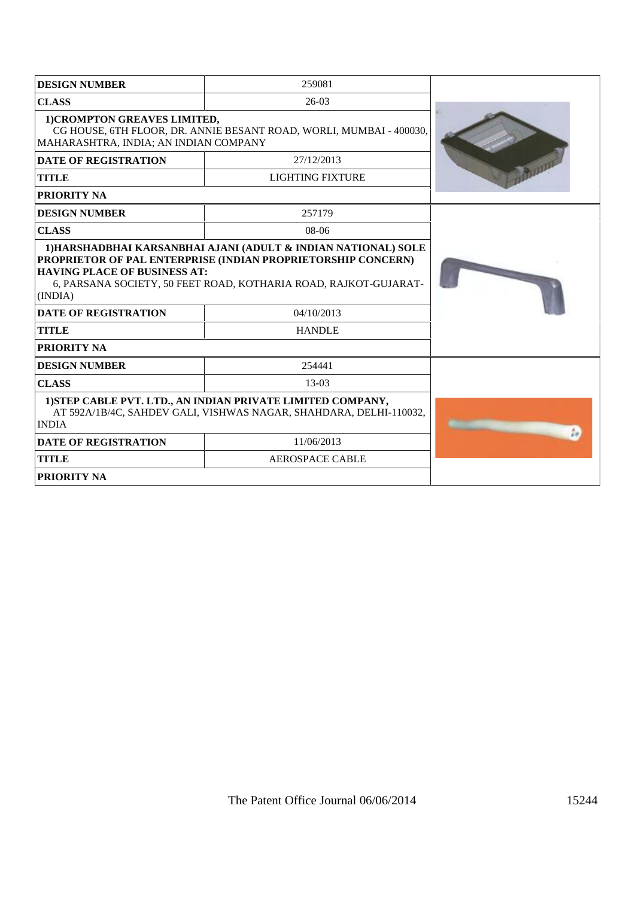| <b>DESIGN NUMBER</b>                                                                                                                              | 259081                                                                                                                                                          |  |
|---------------------------------------------------------------------------------------------------------------------------------------------------|-----------------------------------------------------------------------------------------------------------------------------------------------------------------|--|
| <b>CLASS</b>                                                                                                                                      | $26-03$                                                                                                                                                         |  |
| 1) CROMPTON GREAVES LIMITED,<br>CG HOUSE, 6TH FLOOR, DR. ANNIE BESANT ROAD, WORLI, MUMBAI - 400030,<br>MAHARASHTRA, INDIA; AN INDIAN COMPANY      |                                                                                                                                                                 |  |
| <b>DATE OF REGISTRATION</b>                                                                                                                       | 27/12/2013                                                                                                                                                      |  |
| <b>TITLE</b>                                                                                                                                      | LIGHTING FIXTURE                                                                                                                                                |  |
| <b>PRIORITY NA</b>                                                                                                                                |                                                                                                                                                                 |  |
| <b>DESIGN NUMBER</b>                                                                                                                              | 257179                                                                                                                                                          |  |
| <b>CLASS</b>                                                                                                                                      | $08-06$                                                                                                                                                         |  |
| <b>HAVING PLACE OF BUSINESS AT:</b><br>(INDIA)<br><b>DATE OF REGISTRATION</b><br><b>TITLE</b><br><b>PRIORITY NA</b>                               | PROPRIETOR OF PAL ENTERPRISE (INDIAN PROPRIETORSHIP CONCERN)<br>6, PARSANA SOCIETY, 50 FEET ROAD, KOTHARIA ROAD, RAJKOT-GUJARAT-<br>04/10/2013<br><b>HANDLE</b> |  |
| <b>DESIGN NUMBER</b>                                                                                                                              | 254441                                                                                                                                                          |  |
| <b>CLASS</b>                                                                                                                                      | $13-03$                                                                                                                                                         |  |
| 1) STEP CABLE PVT. LTD., AN INDIAN PRIVATE LIMITED COMPANY,<br>AT 592A/1B/4C, SAHDEV GALI, VISHWAS NAGAR, SHAHDARA, DELHI-110032,<br><b>INDIA</b> |                                                                                                                                                                 |  |
| <b>DATE OF REGISTRATION</b>                                                                                                                       | 11/06/2013                                                                                                                                                      |  |
| <b>TITLE</b>                                                                                                                                      | <b>AEROSPACE CABLE</b>                                                                                                                                          |  |
| PRIORITY NA                                                                                                                                       |                                                                                                                                                                 |  |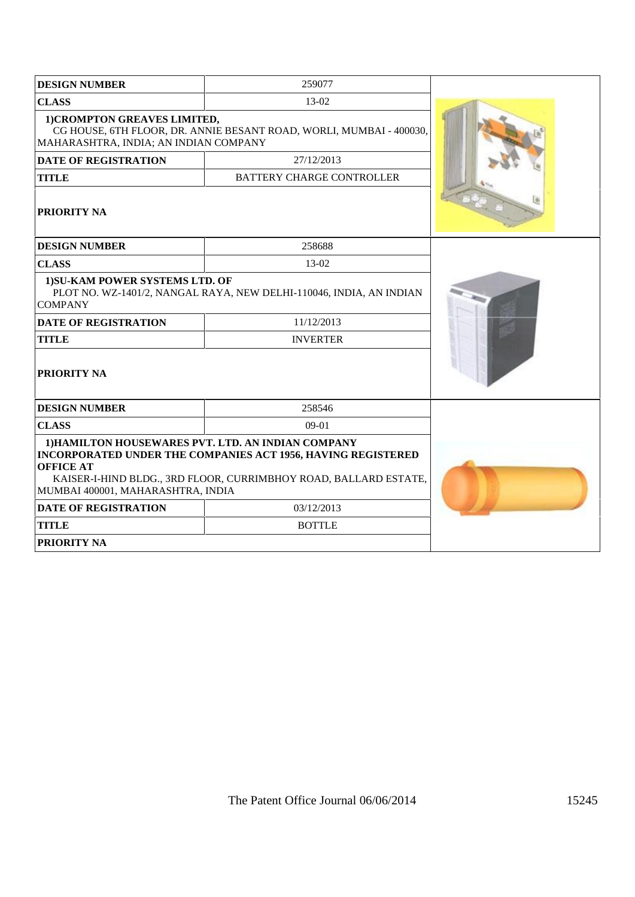| <b>DESIGN NUMBER</b>                                                                                        | 259077                                                                                                                           |  |
|-------------------------------------------------------------------------------------------------------------|----------------------------------------------------------------------------------------------------------------------------------|--|
| <b>CLASS</b>                                                                                                | 13-02                                                                                                                            |  |
| 1) CROMPTON GREAVES LIMITED,<br>MAHARASHTRA, INDIA; AN INDIAN COMPANY                                       | CG HOUSE, 6TH FLOOR, DR. ANNIE BESANT ROAD, WORLI, MUMBAI - 400030,                                                              |  |
| <b>DATE OF REGISTRATION</b>                                                                                 | 27/12/2013                                                                                                                       |  |
| <b>TITLE</b>                                                                                                | <b>BATTERY CHARGE CONTROLLER</b>                                                                                                 |  |
| <b>PRIORITY NA</b>                                                                                          |                                                                                                                                  |  |
| <b>DESIGN NUMBER</b>                                                                                        | 258688                                                                                                                           |  |
| <b>CLASS</b>                                                                                                | 13-02                                                                                                                            |  |
| 1) SU-KAM POWER SYSTEMS LTD. OF<br><b>COMPANY</b>                                                           | PLOT NO. WZ-1401/2, NANGAL RAYA, NEW DELHI-110046, INDIA, AN INDIAN                                                              |  |
| <b>DATE OF REGISTRATION</b>                                                                                 | 11/12/2013                                                                                                                       |  |
| <b>TITLE</b>                                                                                                | <b>INVERTER</b>                                                                                                                  |  |
| <b>PRIORITY NA</b>                                                                                          |                                                                                                                                  |  |
| <b>DESIGN NUMBER</b>                                                                                        | 258546                                                                                                                           |  |
| <b>CLASS</b>                                                                                                | $09-01$                                                                                                                          |  |
| 1) HAMILTON HOUSEWARES PVT. LTD. AN INDIAN COMPANY<br><b>OFFICE AT</b><br>MUMBAI 400001, MAHARASHTRA, INDIA | INCORPORATED UNDER THE COMPANIES ACT 1956, HAVING REGISTERED<br>KAISER-I-HIND BLDG., 3RD FLOOR, CURRIMBHOY ROAD, BALLARD ESTATE, |  |
| <b>DATE OF REGISTRATION</b>                                                                                 | 03/12/2013                                                                                                                       |  |
| <b>TITLE</b>                                                                                                | <b>BOTTLE</b>                                                                                                                    |  |
| <b>PRIORITY NA</b>                                                                                          |                                                                                                                                  |  |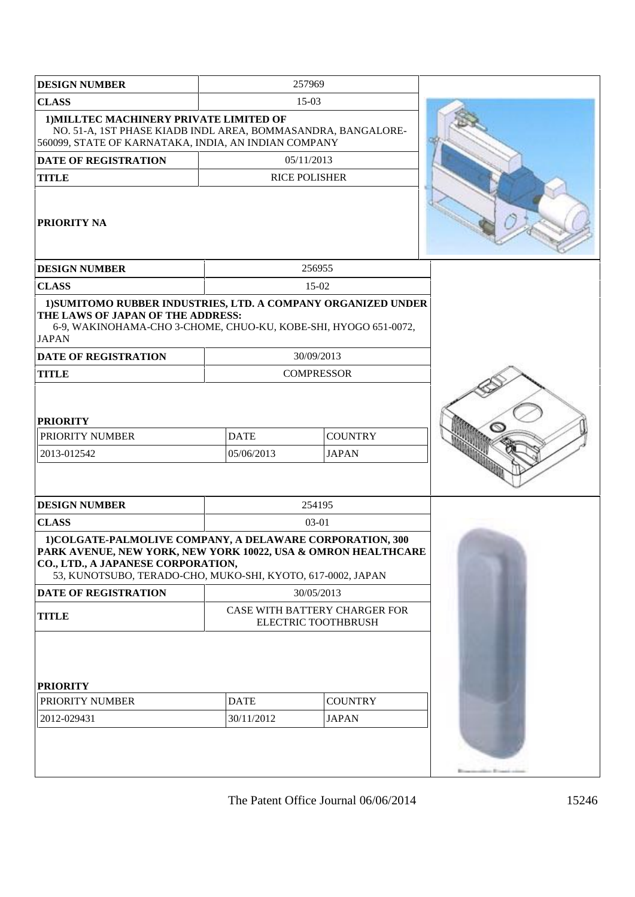| <b>DESIGN NUMBER</b>                                                                                                                                                                                                            |                                                             | 257969                                               |  |
|---------------------------------------------------------------------------------------------------------------------------------------------------------------------------------------------------------------------------------|-------------------------------------------------------------|------------------------------------------------------|--|
| <b>CLASS</b>                                                                                                                                                                                                                    | $15-03$                                                     |                                                      |  |
| 1) MILLTEC MACHINERY PRIVATE LIMITED OF<br>NO. 51-A, 1ST PHASE KIADB INDL AREA, BOMMASANDRA, BANGALORE-<br>560099, STATE OF KARNATAKA, INDIA, AN INDIAN COMPANY                                                                 |                                                             |                                                      |  |
| <b>DATE OF REGISTRATION</b>                                                                                                                                                                                                     |                                                             | 05/11/2013                                           |  |
| <b>TITLE</b>                                                                                                                                                                                                                    |                                                             | <b>RICE POLISHER</b>                                 |  |
| <b>PRIORITY NA</b>                                                                                                                                                                                                              |                                                             |                                                      |  |
| <b>DESIGN NUMBER</b>                                                                                                                                                                                                            |                                                             | 256955                                               |  |
| <b>CLASS</b>                                                                                                                                                                                                                    |                                                             | 15-02                                                |  |
| 1) SUMITOMO RUBBER INDUSTRIES, LTD. A COMPANY ORGANIZED UNDER<br>THE LAWS OF JAPAN OF THE ADDRESS:<br>6-9, WAKINOHAMA-CHO 3-CHOME, CHUO-KU, KOBE-SHI, HYOGO 651-0072,<br><b>JAPAN</b>                                           |                                                             |                                                      |  |
| <b>DATE OF REGISTRATION</b>                                                                                                                                                                                                     |                                                             | 30/09/2013                                           |  |
| <b>TITLE</b>                                                                                                                                                                                                                    |                                                             | <b>COMPRESSOR</b>                                    |  |
| <b>PRIORITY</b><br>PRIORITY NUMBER<br>2013-012542                                                                                                                                                                               | <b>DATE</b><br><b>COUNTRY</b><br>05/06/2013<br><b>JAPAN</b> |                                                      |  |
| <b>DESIGN NUMBER</b>                                                                                                                                                                                                            |                                                             | 254195                                               |  |
| <b>CLASS</b>                                                                                                                                                                                                                    |                                                             | $03-01$                                              |  |
| 1) COLGATE-PALMOLIVE COMPANY, A DELAWARE CORPORATION, 300<br>PARK AVENUE, NEW YORK, NEW YORK 10022, USA & OMRON HEALTHCARE<br>CO., LTD., A JAPANESE CORPORATION,<br>53, KUNOTSUBO, TERADO-CHO, MUKO-SHI, KYOTO, 617-0002, JAPAN |                                                             |                                                      |  |
| <b>DATE OF REGISTRATION</b>                                                                                                                                                                                                     |                                                             | 30/05/2013                                           |  |
| <b>TITLE</b>                                                                                                                                                                                                                    |                                                             | CASE WITH BATTERY CHARGER FOR<br>ELECTRIC TOOTHBRUSH |  |
| <b>PRIORITY</b><br>PRIORITY NUMBER                                                                                                                                                                                              | <b>DATE</b>                                                 | <b>COUNTRY</b>                                       |  |
| 2012-029431                                                                                                                                                                                                                     | 30/11/2012                                                  | <b>JAPAN</b>                                         |  |
|                                                                                                                                                                                                                                 |                                                             |                                                      |  |
|                                                                                                                                                                                                                                 |                                                             |                                                      |  |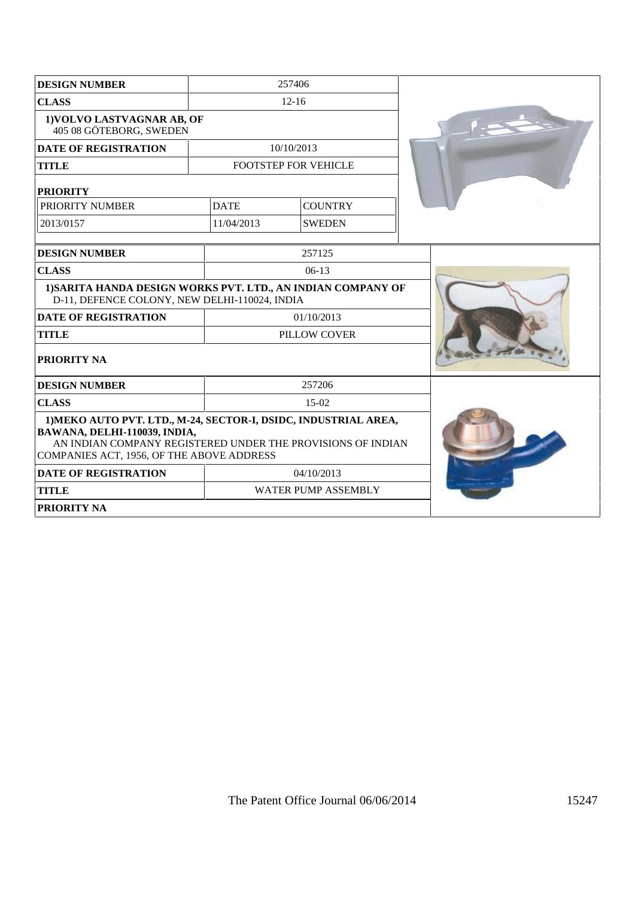| <b>DESIGN NUMBER</b>                                                                                                                                                                                        | 257406      |                            |  |
|-------------------------------------------------------------------------------------------------------------------------------------------------------------------------------------------------------------|-------------|----------------------------|--|
| <b>CLASS</b>                                                                                                                                                                                                | $12 - 16$   |                            |  |
| 1) VOLVO LASTVAGNAR AB, OF<br>405 08 GÖTEBORG, SWEDEN                                                                                                                                                       |             |                            |  |
| <b>DATE OF REGISTRATION</b>                                                                                                                                                                                 |             | 10/10/2013                 |  |
| <b>TITLE</b>                                                                                                                                                                                                |             | FOOTSTEP FOR VEHICLE       |  |
| <b>PRIORITY</b>                                                                                                                                                                                             |             |                            |  |
| PRIORITY NUMBER                                                                                                                                                                                             | <b>DATE</b> | <b>COUNTRY</b>             |  |
| 2013/0157                                                                                                                                                                                                   | 11/04/2013  | <b>SWEDEN</b>              |  |
| <b>DESIGN NUMBER</b>                                                                                                                                                                                        |             | 257125                     |  |
| <b>CLASS</b>                                                                                                                                                                                                |             | $06-13$                    |  |
| 1) SARITA HANDA DESIGN WORKS PVT. LTD., AN INDIAN COMPANY OF<br>D-11, DEFENCE COLONY, NEW DELHI-110024, INDIA                                                                                               |             |                            |  |
| <b>DATE OF REGISTRATION</b>                                                                                                                                                                                 |             | 01/10/2013                 |  |
| <b>TITLE</b>                                                                                                                                                                                                |             | PILLOW COVER               |  |
| PRIORITY NA                                                                                                                                                                                                 |             |                            |  |
| <b>DESIGN NUMBER</b>                                                                                                                                                                                        |             | 257206                     |  |
| <b>CLASS</b>                                                                                                                                                                                                |             | $15-02$                    |  |
| 1) MEKO AUTO PVT. LTD., M-24, SECTOR-I, DSIDC, INDUSTRIAL AREA,<br>BAWANA, DELHI-110039, INDIA,<br>AN INDIAN COMPANY REGISTERED UNDER THE PROVISIONS OF INDIAN<br>COMPANIES ACT, 1956, OF THE ABOVE ADDRESS |             |                            |  |
| <b>DATE OF REGISTRATION</b>                                                                                                                                                                                 | 04/10/2013  |                            |  |
| <b>TITLE</b>                                                                                                                                                                                                |             | <b>WATER PUMP ASSEMBLY</b> |  |
| <b>PRIORITY NA</b>                                                                                                                                                                                          |             |                            |  |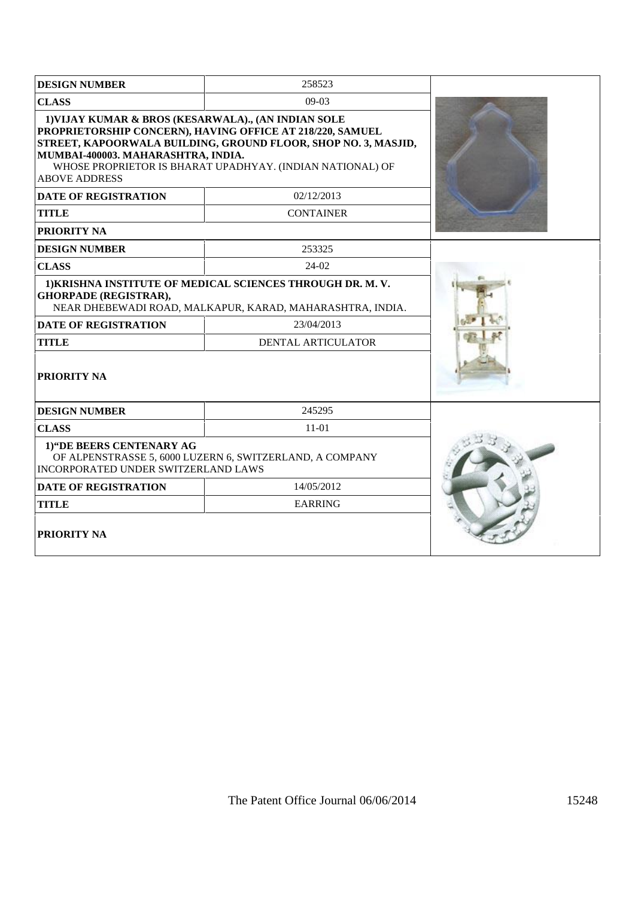| <b>DESIGN NUMBER</b>                                                                                                                                                                                                                                                                                          | 258523             |  |
|---------------------------------------------------------------------------------------------------------------------------------------------------------------------------------------------------------------------------------------------------------------------------------------------------------------|--------------------|--|
| <b>CLASS</b>                                                                                                                                                                                                                                                                                                  |                    |  |
| 1) VIJAY KUMAR & BROS (KESARWALA)., (AN INDIAN SOLE<br>PROPRIETORSHIP CONCERN), HAVING OFFICE AT 218/220, SAMUEL<br>STREET, KAPOORWALA BUILDING, GROUND FLOOR, SHOP NO. 3, MASJID,<br>MUMBAI-400003. MAHARASHTRA, INDIA.<br>WHOSE PROPRIETOR IS BHARAT UPADHYAY. (INDIAN NATIONAL) OF<br><b>ABOVE ADDRESS</b> |                    |  |
| <b>DATE OF REGISTRATION</b>                                                                                                                                                                                                                                                                                   | 02/12/2013         |  |
| <b>TITLE</b>                                                                                                                                                                                                                                                                                                  | <b>CONTAINER</b>   |  |
| <b>PRIORITY NA</b>                                                                                                                                                                                                                                                                                            |                    |  |
| <b>DESIGN NUMBER</b>                                                                                                                                                                                                                                                                                          | 253325             |  |
| <b>CLASS</b>                                                                                                                                                                                                                                                                                                  | 24-02              |  |
| 1) KRISHNA INSTITUTE OF MEDICAL SCIENCES THROUGH DR. M.V.<br><b>GHORPADE (REGISTRAR),</b><br>NEAR DHEBEWADI ROAD, MALKAPUR, KARAD, MAHARASHTRA, INDIA.                                                                                                                                                        |                    |  |
| <b>DATE OF REGISTRATION</b>                                                                                                                                                                                                                                                                                   | 23/04/2013         |  |
| <b>TITLE</b>                                                                                                                                                                                                                                                                                                  | DENTAL ARTICULATOR |  |
| <b>PRIORITY NA</b>                                                                                                                                                                                                                                                                                            |                    |  |
| <b>DESIGN NUMBER</b>                                                                                                                                                                                                                                                                                          | 245295             |  |
| <b>CLASS</b>                                                                                                                                                                                                                                                                                                  | $11-01$            |  |
| 1) "DE BEERS CENTENARY AG<br>OF ALPENSTRASSE 5, 6000 LUZERN 6, SWITZERLAND, A COMPANY<br><b>INCORPORATED UNDER SWITZERLAND LAWS</b>                                                                                                                                                                           |                    |  |
| <b>DATE OF REGISTRATION</b>                                                                                                                                                                                                                                                                                   | 14/05/2012         |  |
| <b>TITLE</b>                                                                                                                                                                                                                                                                                                  | <b>EARRING</b>     |  |
| <b>PRIORITY NA</b>                                                                                                                                                                                                                                                                                            |                    |  |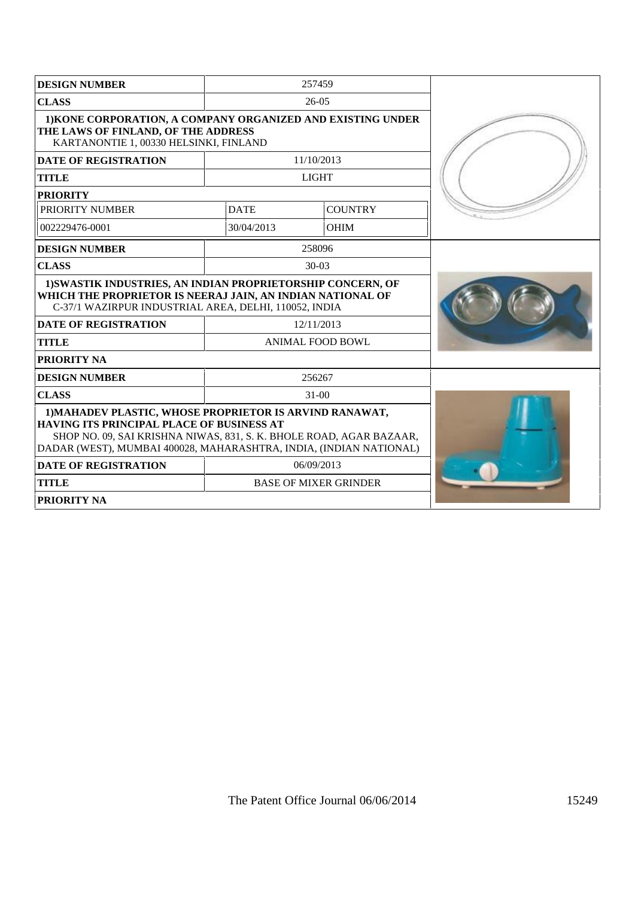| <b>DESIGN NUMBER</b>                                                                                                                                                                                                                              | 257459                       |                |  |
|---------------------------------------------------------------------------------------------------------------------------------------------------------------------------------------------------------------------------------------------------|------------------------------|----------------|--|
| <b>CLASS</b>                                                                                                                                                                                                                                      | $26-05$                      |                |  |
| 1) KONE CORPORATION, A COMPANY ORGANIZED AND EXISTING UNDER<br>THE LAWS OF FINLAND, OF THE ADDRESS<br>KARTANONTIE 1, 00330 HELSINKI, FINLAND                                                                                                      |                              |                |  |
| <b>DATE OF REGISTRATION</b>                                                                                                                                                                                                                       |                              | 11/10/2013     |  |
| <b>TITLE</b>                                                                                                                                                                                                                                      |                              | <b>LIGHT</b>   |  |
| <b>PRIORITY</b>                                                                                                                                                                                                                                   |                              |                |  |
| PRIORITY NUMBER                                                                                                                                                                                                                                   | <b>DATE</b>                  | <b>COUNTRY</b> |  |
| 002229476-0001                                                                                                                                                                                                                                    | 30/04/2013                   | <b>OHIM</b>    |  |
| <b>DESIGN NUMBER</b>                                                                                                                                                                                                                              |                              | 258096         |  |
| <b>CLASS</b>                                                                                                                                                                                                                                      |                              | $30-03$        |  |
| 1) SWASTIK INDUSTRIES, AN INDIAN PROPRIETORSHIP CONCERN, OF<br>WHICH THE PROPRIETOR IS NEERAJ JAIN, AN INDIAN NATIONAL OF<br>C-37/1 WAZIRPUR INDUSTRIAL AREA, DELHI, 110052, INDIA                                                                |                              |                |  |
| <b>DATE OF REGISTRATION</b>                                                                                                                                                                                                                       | 12/11/2013                   |                |  |
| <b>TITLE</b>                                                                                                                                                                                                                                      | <b>ANIMAL FOOD BOWL</b>      |                |  |
| <b>PRIORITY NA</b>                                                                                                                                                                                                                                |                              |                |  |
| <b>DESIGN NUMBER</b>                                                                                                                                                                                                                              | 256267                       |                |  |
| <b>CLASS</b>                                                                                                                                                                                                                                      | $31-00$                      |                |  |
| 1) MAHADEV PLASTIC, WHOSE PROPRIETOR IS ARVIND RANAWAT,<br>HAVING ITS PRINCIPAL PLACE OF BUSINESS AT<br>SHOP NO. 09, SAI KRISHNA NIWAS, 831, S. K. BHOLE ROAD, AGAR BAZAAR,<br>DADAR (WEST), MUMBAI 400028, MAHARASHTRA, INDIA, (INDIAN NATIONAL) |                              |                |  |
| <b>DATE OF REGISTRATION</b>                                                                                                                                                                                                                       | 06/09/2013                   |                |  |
| <b>TITLE</b>                                                                                                                                                                                                                                      | <b>BASE OF MIXER GRINDER</b> |                |  |
| <b>PRIORITY NA</b>                                                                                                                                                                                                                                |                              |                |  |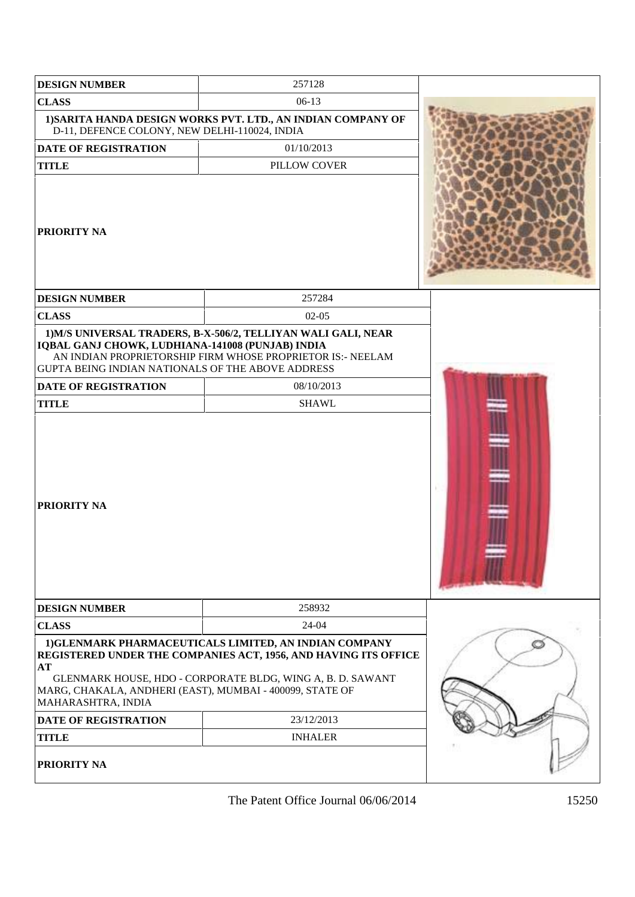| <b>DESIGN NUMBER</b>                                                                                                                                 | 257128                                                                                                                                                                                  |  |
|------------------------------------------------------------------------------------------------------------------------------------------------------|-----------------------------------------------------------------------------------------------------------------------------------------------------------------------------------------|--|
| <b>CLASS</b>                                                                                                                                         | $06-13$                                                                                                                                                                                 |  |
| 1) SARITA HANDA DESIGN WORKS PVT. LTD., AN INDIAN COMPANY OF<br>D-11, DEFENCE COLONY, NEW DELHI-110024, INDIA                                        |                                                                                                                                                                                         |  |
| <b>DATE OF REGISTRATION</b>                                                                                                                          | 01/10/2013                                                                                                                                                                              |  |
| <b>TITLE</b>                                                                                                                                         | PILLOW COVER                                                                                                                                                                            |  |
| <b>PRIORITY NA</b>                                                                                                                                   |                                                                                                                                                                                         |  |
| <b>DESIGN NUMBER</b>                                                                                                                                 | 257284                                                                                                                                                                                  |  |
| <b>CLASS</b>                                                                                                                                         | $02-05$                                                                                                                                                                                 |  |
| IQBAL GANJ CHOWK, LUDHIANA-141008 (PUNJAB) INDIA<br>GUPTA BEING INDIAN NATIONALS OF THE ABOVE ADDRESS<br><b>DATE OF REGISTRATION</b><br><b>TITLE</b> | 1) M/S UNIVERSAL TRADERS, B-X-506/2, TELLIYAN WALI GALI, NEAR<br>AN INDIAN PROPRIETORSHIP FIRM WHOSE PROPRIETOR IS:- NEELAM<br>08/10/2013<br><b>SHAWL</b>                               |  |
| <b>PRIORITY NA</b>                                                                                                                                   |                                                                                                                                                                                         |  |
| <b>DESIGN NUMBER</b>                                                                                                                                 | 258932                                                                                                                                                                                  |  |
| <b>CLASS</b>                                                                                                                                         | 24-04                                                                                                                                                                                   |  |
| AT<br>MARG, CHAKALA, ANDHERI (EAST), MUMBAI - 400099, STATE OF<br>MAHARASHTRA, INDIA                                                                 | 1) GLENMARK PHARMACEUTICALS LIMITED, AN INDIAN COMPANY<br>REGISTERED UNDER THE COMPANIES ACT, 1956, AND HAVING ITS OFFICE<br>GLENMARK HOUSE, HDO - CORPORATE BLDG, WING A, B. D. SAWANT |  |
| <b>DATE OF REGISTRATION</b>                                                                                                                          | 23/12/2013                                                                                                                                                                              |  |
| <b>TITLE</b>                                                                                                                                         | <b>INHALER</b>                                                                                                                                                                          |  |
| <b>PRIORITY NA</b>                                                                                                                                   |                                                                                                                                                                                         |  |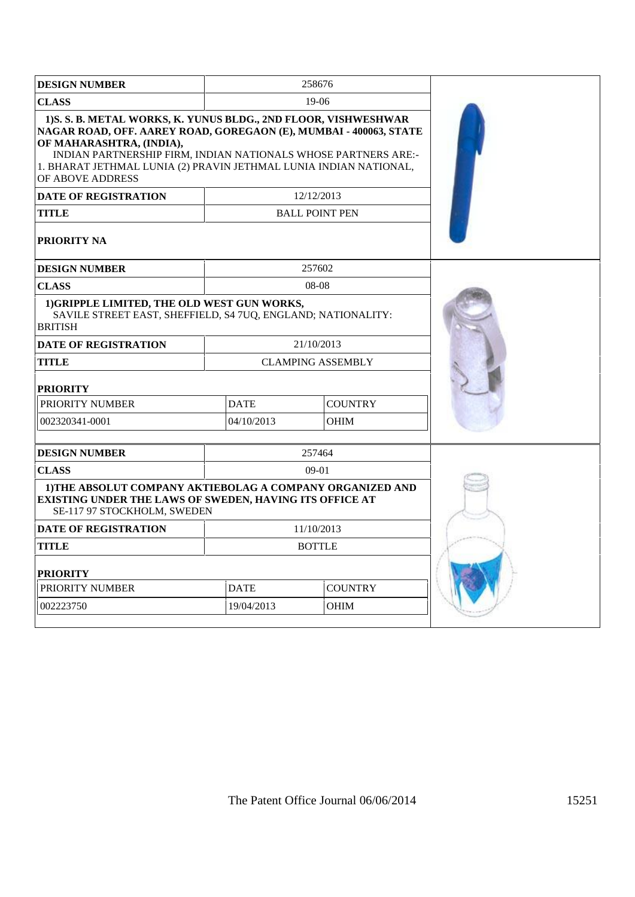| <b>DESIGN NUMBER</b>                                                                                                                                                                                                                                                                                                        |                               | 258676                |  |
|-----------------------------------------------------------------------------------------------------------------------------------------------------------------------------------------------------------------------------------------------------------------------------------------------------------------------------|-------------------------------|-----------------------|--|
| <b>CLASS</b>                                                                                                                                                                                                                                                                                                                |                               | $19-06$               |  |
| 1) S. S. B. METAL WORKS, K. YUNUS BLDG., 2ND FLOOR, VISHWESHWAR<br>NAGAR ROAD, OFF. AAREY ROAD, GOREGAON (E), MUMBAI - 400063, STATE<br>OF MAHARASHTRA, (INDIA),<br>INDIAN PARTNERSHIP FIRM, INDIAN NATIONALS WHOSE PARTNERS ARE:-<br>1. BHARAT JETHMAL LUNIA (2) PRAVIN JETHMAL LUNIA INDIAN NATIONAL,<br>OF ABOVE ADDRESS |                               |                       |  |
| <b>DATE OF REGISTRATION</b>                                                                                                                                                                                                                                                                                                 |                               | 12/12/2013            |  |
| <b>TITLE</b>                                                                                                                                                                                                                                                                                                                |                               | <b>BALL POINT PEN</b> |  |
| <b>PRIORITY NA</b>                                                                                                                                                                                                                                                                                                          |                               |                       |  |
| <b>DESIGN NUMBER</b>                                                                                                                                                                                                                                                                                                        |                               | 257602                |  |
| <b>CLASS</b>                                                                                                                                                                                                                                                                                                                |                               | 08-08                 |  |
| 1) GRIPPLE LIMITED, THE OLD WEST GUN WORKS,<br>SAVILE STREET EAST, SHEFFIELD, S4 7UQ, ENGLAND; NATIONALITY:<br><b>BRITISH</b>                                                                                                                                                                                               |                               |                       |  |
| <b>DATE OF REGISTRATION</b>                                                                                                                                                                                                                                                                                                 | 21/10/2013                    |                       |  |
| <b>TITLE</b>                                                                                                                                                                                                                                                                                                                | <b>CLAMPING ASSEMBLY</b>      |                       |  |
| <b>PRIORITY</b>                                                                                                                                                                                                                                                                                                             |                               |                       |  |
| PRIORITY NUMBER                                                                                                                                                                                                                                                                                                             | <b>DATE</b>                   | <b>COUNTRY</b>        |  |
| 002320341-0001                                                                                                                                                                                                                                                                                                              | 04/10/2013<br><b>OHIM</b>     |                       |  |
| <b>DESIGN NUMBER</b>                                                                                                                                                                                                                                                                                                        |                               | 257464                |  |
| <b>CLASS</b>                                                                                                                                                                                                                                                                                                                | $09-01$                       |                       |  |
| 1) THE ABSOLUT COMPANY AKTIEBOLAG A COMPANY ORGANIZED AND<br>EXISTING UNDER THE LAWS OF SWEDEN, HAVING ITS OFFICE AT<br>SE-117 97 STOCKHOLM, SWEDEN                                                                                                                                                                         |                               |                       |  |
| <b>DATE OF REGISTRATION</b>                                                                                                                                                                                                                                                                                                 | 11/10/2013                    |                       |  |
| <b>TITLE</b>                                                                                                                                                                                                                                                                                                                | <b>BOTTLE</b>                 |                       |  |
| <b>PRIORITY</b>                                                                                                                                                                                                                                                                                                             |                               |                       |  |
| PRIORITY NUMBER                                                                                                                                                                                                                                                                                                             | <b>COUNTRY</b><br><b>DATE</b> |                       |  |
| 002223750                                                                                                                                                                                                                                                                                                                   | 19/04/2013<br>OHIM            |                       |  |
|                                                                                                                                                                                                                                                                                                                             |                               |                       |  |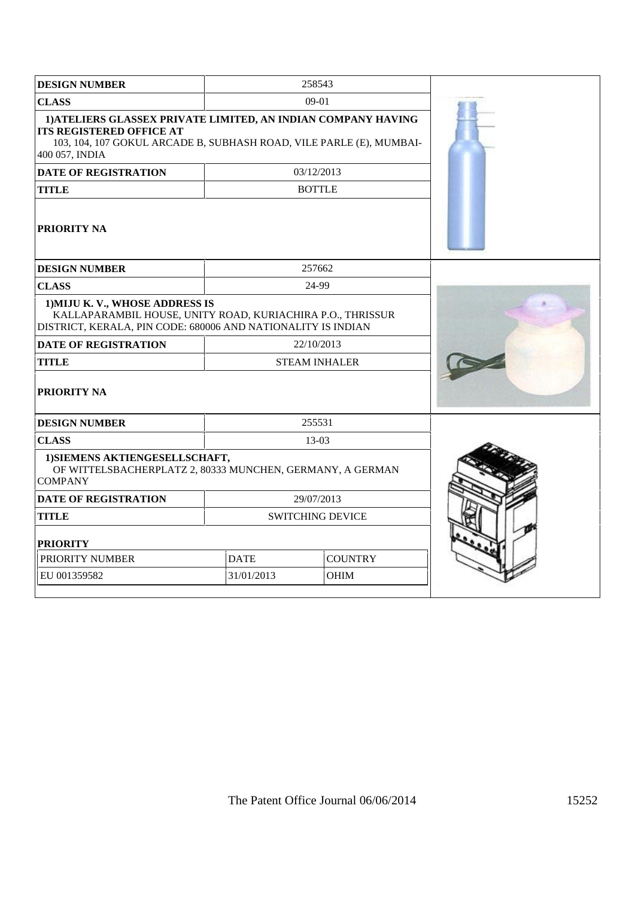| <b>DESIGN NUMBER</b>                                                                                                                                                                      |                               | 258543               |  |
|-------------------------------------------------------------------------------------------------------------------------------------------------------------------------------------------|-------------------------------|----------------------|--|
| <b>CLASS</b>                                                                                                                                                                              |                               | 09-01                |  |
| 1) ATELIERS GLASSEX PRIVATE LIMITED, AN INDIAN COMPANY HAVING<br><b>ITS REGISTERED OFFICE AT</b><br>103, 104, 107 GOKUL ARCADE B, SUBHASH ROAD, VILE PARLE (E), MUMBAI-<br>400 057, INDIA |                               |                      |  |
| <b>DATE OF REGISTRATION</b>                                                                                                                                                               |                               | 03/12/2013           |  |
| <b>TITLE</b>                                                                                                                                                                              |                               | <b>BOTTLE</b>        |  |
| <b>PRIORITY NA</b>                                                                                                                                                                        |                               |                      |  |
| <b>DESIGN NUMBER</b>                                                                                                                                                                      |                               | 257662               |  |
| <b>CLASS</b>                                                                                                                                                                              |                               | 24-99                |  |
| 1) MIJU K.V., WHOSE ADDRESS IS<br>KALLAPARAMBIL HOUSE, UNITY ROAD, KURIACHIRA P.O., THRISSUR<br>DISTRICT, KERALA, PIN CODE: 680006 AND NATIONALITY IS INDIAN                              |                               |                      |  |
| <b>DATE OF REGISTRATION</b>                                                                                                                                                               |                               | 22/10/2013           |  |
| <b>TITLE</b>                                                                                                                                                                              |                               | <b>STEAM INHALER</b> |  |
| <b>PRIORITY NA</b>                                                                                                                                                                        |                               |                      |  |
| <b>DESIGN NUMBER</b>                                                                                                                                                                      |                               | 255531               |  |
| <b>CLASS</b>                                                                                                                                                                              |                               | 13-03                |  |
| 1) SIEMENS AKTIENGESELLSCHAFT,<br>OF WITTELSBACHERPLATZ 2, 80333 MUNCHEN, GERMANY, A GERMAN<br><b>COMPANY</b>                                                                             |                               |                      |  |
| <b>DATE OF REGISTRATION</b>                                                                                                                                                               | 29/07/2013                    |                      |  |
| <b>TITLE</b>                                                                                                                                                                              | <b>SWITCHING DEVICE</b>       |                      |  |
| <b>PRIORITY</b>                                                                                                                                                                           |                               |                      |  |
| <b>PRIORITY NUMBER</b>                                                                                                                                                                    | <b>DATE</b><br><b>COUNTRY</b> |                      |  |
| EU 001359582                                                                                                                                                                              | 31/01/2013                    | OHIM                 |  |
|                                                                                                                                                                                           |                               |                      |  |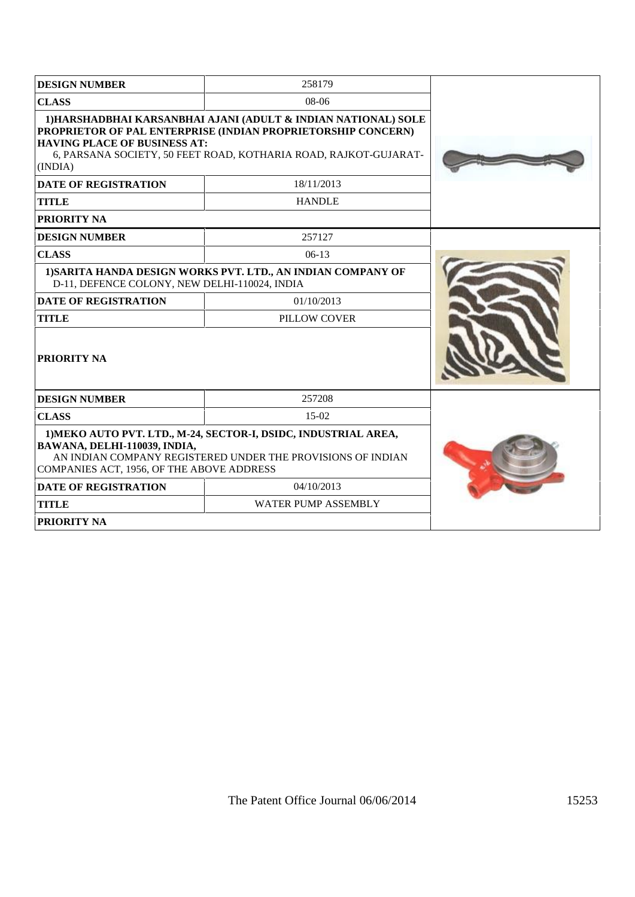| <b>DESIGN NUMBER</b>                                                      | 258179                                                                                                                                                                                            |  |
|---------------------------------------------------------------------------|---------------------------------------------------------------------------------------------------------------------------------------------------------------------------------------------------|--|
| <b>CLASS</b><br>$08-06$                                                   |                                                                                                                                                                                                   |  |
| <b>HAVING PLACE OF BUSINESS AT:</b><br>(INDIA)                            | 1)HARSHADBHAI KARSANBHAI AJANI (ADULT & INDIAN NATIONAL) SOLE<br>PROPRIETOR OF PAL ENTERPRISE (INDIAN PROPRIETORSHIP CONCERN)<br>6, PARSANA SOCIETY, 50 FEET ROAD, KOTHARIA ROAD, RAJKOT-GUJARAT- |  |
| <b>DATE OF REGISTRATION</b>                                               | 18/11/2013                                                                                                                                                                                        |  |
| <b>TITLE</b>                                                              | <b>HANDLE</b>                                                                                                                                                                                     |  |
| <b>PRIORITY NA</b>                                                        |                                                                                                                                                                                                   |  |
| <b>DESIGN NUMBER</b>                                                      | 257127                                                                                                                                                                                            |  |
| <b>CLASS</b>                                                              | $06-13$                                                                                                                                                                                           |  |
| D-11, DEFENCE COLONY, NEW DELHI-110024, INDIA                             | 1) SARITA HANDA DESIGN WORKS PVT. LTD., AN INDIAN COMPANY OF                                                                                                                                      |  |
| <b>DATE OF REGISTRATION</b>                                               | 01/10/2013                                                                                                                                                                                        |  |
| <b>TITLE</b>                                                              | PILLOW COVER                                                                                                                                                                                      |  |
| <b>PRIORITY NA</b>                                                        |                                                                                                                                                                                                   |  |
| <b>DESIGN NUMBER</b>                                                      | 257208                                                                                                                                                                                            |  |
| <b>CLASS</b>                                                              | $15-02$                                                                                                                                                                                           |  |
| BAWANA, DELHI-110039, INDIA,<br>COMPANIES ACT, 1956, OF THE ABOVE ADDRESS | 1) MEKO AUTO PVT. LTD., M-24, SECTOR-I, DSIDC, INDUSTRIAL AREA,<br>AN INDIAN COMPANY REGISTERED UNDER THE PROVISIONS OF INDIAN                                                                    |  |
| <b>DATE OF REGISTRATION</b>                                               | 04/10/2013                                                                                                                                                                                        |  |
| <b>TITLE</b>                                                              | <b>WATER PUMP ASSEMBLY</b>                                                                                                                                                                        |  |
| <b>PRIORITY NA</b>                                                        |                                                                                                                                                                                                   |  |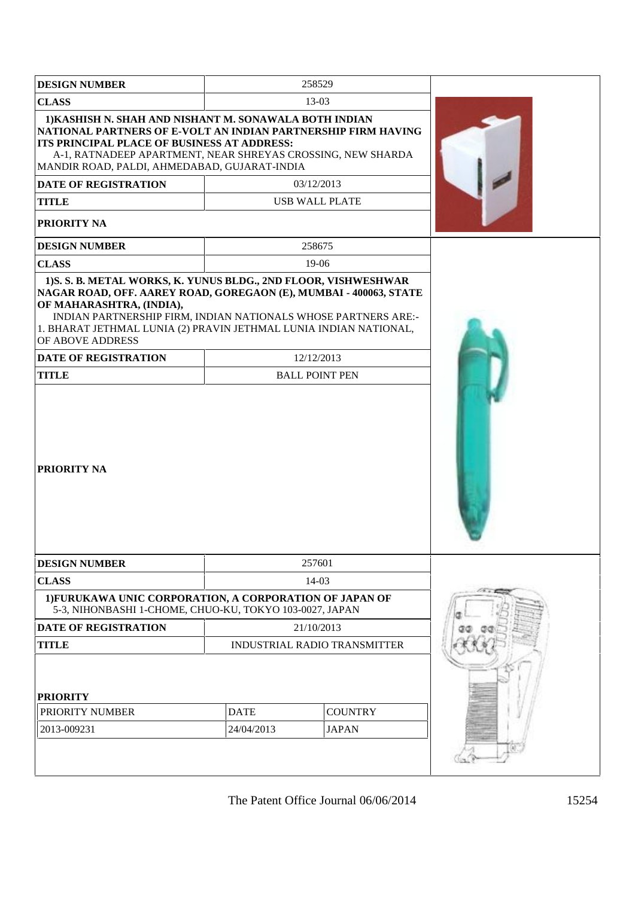| <b>DESIGN NUMBER</b>                                                                                                                                                                                                                                                                                                 |                              | 258529                         |  |
|----------------------------------------------------------------------------------------------------------------------------------------------------------------------------------------------------------------------------------------------------------------------------------------------------------------------|------------------------------|--------------------------------|--|
| <b>CLASS</b>                                                                                                                                                                                                                                                                                                         |                              | $13-03$                        |  |
| 1) KASHISH N. SHAH AND NISHANT M. SONAWALA BOTH INDIAN<br>NATIONAL PARTNERS OF E-VOLT AN INDIAN PARTNERSHIP FIRM HAVING<br>ITS PRINCIPAL PLACE OF BUSINESS AT ADDRESS:<br>A-1, RATNADEEP APARTMENT, NEAR SHREYAS CROSSING, NEW SHARDA<br>MANDIR ROAD, PALDI, AHMEDABAD, GUJARAT-INDIA<br><b>DATE OF REGISTRATION</b> |                              | 03/12/2013                     |  |
| <b>TITLE</b>                                                                                                                                                                                                                                                                                                         |                              | <b>USB WALL PLATE</b>          |  |
| <b>PRIORITY NA</b>                                                                                                                                                                                                                                                                                                   |                              |                                |  |
| <b>DESIGN NUMBER</b>                                                                                                                                                                                                                                                                                                 |                              | 258675                         |  |
| <b>CLASS</b>                                                                                                                                                                                                                                                                                                         |                              | 19-06                          |  |
| OF MAHARASHTRA, (INDIA),<br>INDIAN PARTNERSHIP FIRM, INDIAN NATIONALS WHOSE PARTNERS ARE:-<br>1. BHARAT JETHMAL LUNIA (2) PRAVIN JETHMAL LUNIA INDIAN NATIONAL,<br>OF ABOVE ADDRESS<br><b>DATE OF REGISTRATION</b>                                                                                                   |                              | 12/12/2013                     |  |
| <b>TITLE</b>                                                                                                                                                                                                                                                                                                         |                              | <b>BALL POINT PEN</b>          |  |
| <b>PRIORITY NA</b>                                                                                                                                                                                                                                                                                                   |                              |                                |  |
| <b>DESIGN NUMBER</b>                                                                                                                                                                                                                                                                                                 |                              | 257601                         |  |
| <b>CLASS</b>                                                                                                                                                                                                                                                                                                         |                              | 14-03                          |  |
| 1) FURUKAWA UNIC CORPORATION, A CORPORATION OF JAPAN OF<br>5-3, NIHONBASHI 1-CHOME, CHUO-KU, TOKYO 103-0027, JAPAN                                                                                                                                                                                                   |                              |                                |  |
| <b>DATE OF REGISTRATION</b>                                                                                                                                                                                                                                                                                          | 21/10/2013                   |                                |  |
| <b>TITLE</b>                                                                                                                                                                                                                                                                                                         | INDUSTRIAL RADIO TRANSMITTER |                                |  |
| <b>PRIORITY</b><br>PRIORITY NUMBER<br>2013-009231                                                                                                                                                                                                                                                                    | <b>DATE</b><br>24/04/2013    | <b>COUNTRY</b><br><b>JAPAN</b> |  |
|                                                                                                                                                                                                                                                                                                                      |                              |                                |  |